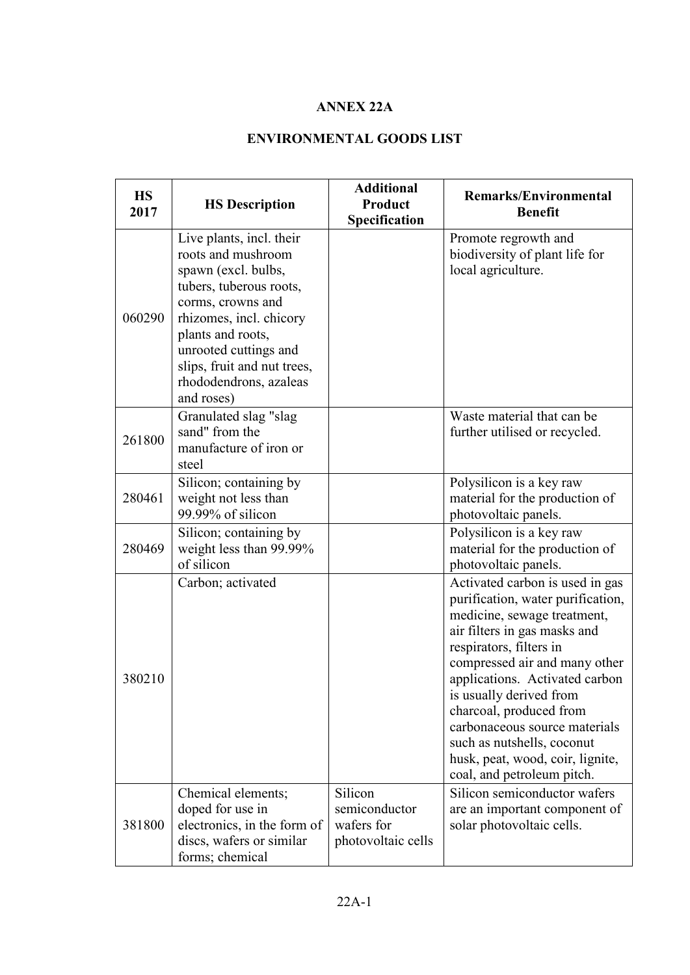## **ANNEX 22A**

## **ENVIRONMENTAL GOODS LIST**

| <b>HS</b><br>2017 | <b>HS Description</b>                                                                                                                                                                                                                                                 | <b>Additional</b><br><b>Product</b><br>Specification         | <b>Remarks/Environmental</b><br><b>Benefit</b>                                                                                                                                                                                                                                                                                                                                                                           |
|-------------------|-----------------------------------------------------------------------------------------------------------------------------------------------------------------------------------------------------------------------------------------------------------------------|--------------------------------------------------------------|--------------------------------------------------------------------------------------------------------------------------------------------------------------------------------------------------------------------------------------------------------------------------------------------------------------------------------------------------------------------------------------------------------------------------|
| 060290            | Live plants, incl. their<br>roots and mushroom<br>spawn (excl. bulbs,<br>tubers, tuberous roots,<br>corms, crowns and<br>rhizomes, incl. chicory<br>plants and roots,<br>unrooted cuttings and<br>slips, fruit and nut trees,<br>rhododendrons, azaleas<br>and roses) |                                                              | Promote regrowth and<br>biodiversity of plant life for<br>local agriculture.                                                                                                                                                                                                                                                                                                                                             |
| 261800            | Granulated slag "slag<br>sand" from the<br>manufacture of iron or<br>steel                                                                                                                                                                                            |                                                              | Waste material that can be<br>further utilised or recycled.                                                                                                                                                                                                                                                                                                                                                              |
| 280461            | Silicon; containing by<br>weight not less than<br>99.99% of silicon                                                                                                                                                                                                   |                                                              | Polysilicon is a key raw<br>material for the production of<br>photovoltaic panels.                                                                                                                                                                                                                                                                                                                                       |
| 280469            | Silicon; containing by<br>weight less than 99.99%<br>of silicon                                                                                                                                                                                                       |                                                              | Polysilicon is a key raw<br>material for the production of<br>photovoltaic panels.                                                                                                                                                                                                                                                                                                                                       |
| 380210            | Carbon; activated                                                                                                                                                                                                                                                     |                                                              | Activated carbon is used in gas<br>purification, water purification,<br>medicine, sewage treatment,<br>air filters in gas masks and<br>respirators, filters in<br>compressed air and many other<br>applications. Activated carbon<br>is usually derived from<br>charcoal, produced from<br>carbonaceous source materials<br>such as nutshells, coconut<br>husk, peat, wood, coir, lignite,<br>coal, and petroleum pitch. |
| 381800            | Chemical elements;<br>doped for use in<br>electronics, in the form of<br>discs, wafers or similar<br>forms; chemical                                                                                                                                                  | Silicon<br>semiconductor<br>wafers for<br>photovoltaic cells | Silicon semiconductor wafers<br>are an important component of<br>solar photovoltaic cells.                                                                                                                                                                                                                                                                                                                               |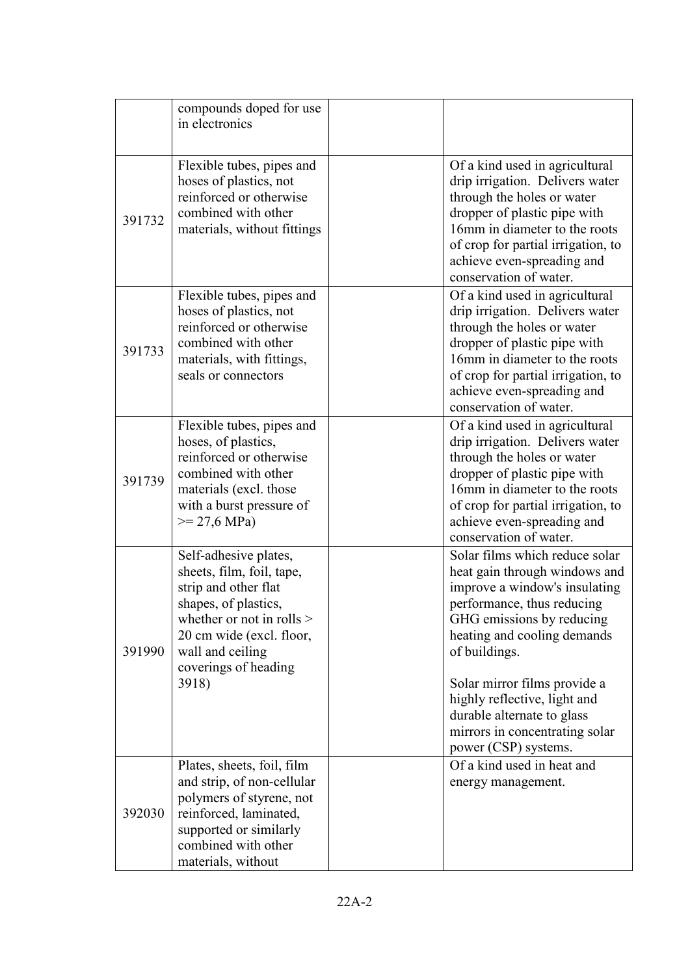|        | compounds doped for use<br>in electronics                                                                                                                                                                          |                                                                                                                                                                                                                                                                                                                                                                     |
|--------|--------------------------------------------------------------------------------------------------------------------------------------------------------------------------------------------------------------------|---------------------------------------------------------------------------------------------------------------------------------------------------------------------------------------------------------------------------------------------------------------------------------------------------------------------------------------------------------------------|
| 391732 | Flexible tubes, pipes and<br>hoses of plastics, not<br>reinforced or otherwise<br>combined with other<br>materials, without fittings                                                                               | Of a kind used in agricultural<br>drip irrigation. Delivers water<br>through the holes or water<br>dropper of plastic pipe with<br>16mm in diameter to the roots<br>of crop for partial irrigation, to<br>achieve even-spreading and<br>conservation of water.                                                                                                      |
| 391733 | Flexible tubes, pipes and<br>hoses of plastics, not<br>reinforced or otherwise<br>combined with other<br>materials, with fittings,<br>seals or connectors                                                          | Of a kind used in agricultural<br>drip irrigation. Delivers water<br>through the holes or water<br>dropper of plastic pipe with<br>16mm in diameter to the roots<br>of crop for partial irrigation, to<br>achieve even-spreading and<br>conservation of water.                                                                                                      |
| 391739 | Flexible tubes, pipes and<br>hoses, of plastics,<br>reinforced or otherwise<br>combined with other<br>materials (excl. those<br>with a burst pressure of<br>$>= 27,6 \text{ MPa}$                                  | Of a kind used in agricultural<br>drip irrigation. Delivers water<br>through the holes or water<br>dropper of plastic pipe with<br>16mm in diameter to the roots<br>of crop for partial irrigation, to<br>achieve even-spreading and<br>conservation of water.                                                                                                      |
| 391990 | Self-adhesive plates,<br>sheets, film, foil, tape,<br>strip and other flat<br>shapes, of plastics,<br>whether or not in rolls $>$<br>20 cm wide (excl. floor,<br>wall and ceiling<br>coverings of heading<br>3918) | Solar films which reduce solar<br>heat gain through windows and<br>improve a window's insulating<br>performance, thus reducing<br>GHG emissions by reducing<br>heating and cooling demands<br>of buildings.<br>Solar mirror films provide a<br>highly reflective, light and<br>durable alternate to glass<br>mirrors in concentrating solar<br>power (CSP) systems. |
| 392030 | Plates, sheets, foil, film<br>and strip, of non-cellular<br>polymers of styrene, not<br>reinforced, laminated,<br>supported or similarly<br>combined with other<br>materials, without                              | Of a kind used in heat and<br>energy management.                                                                                                                                                                                                                                                                                                                    |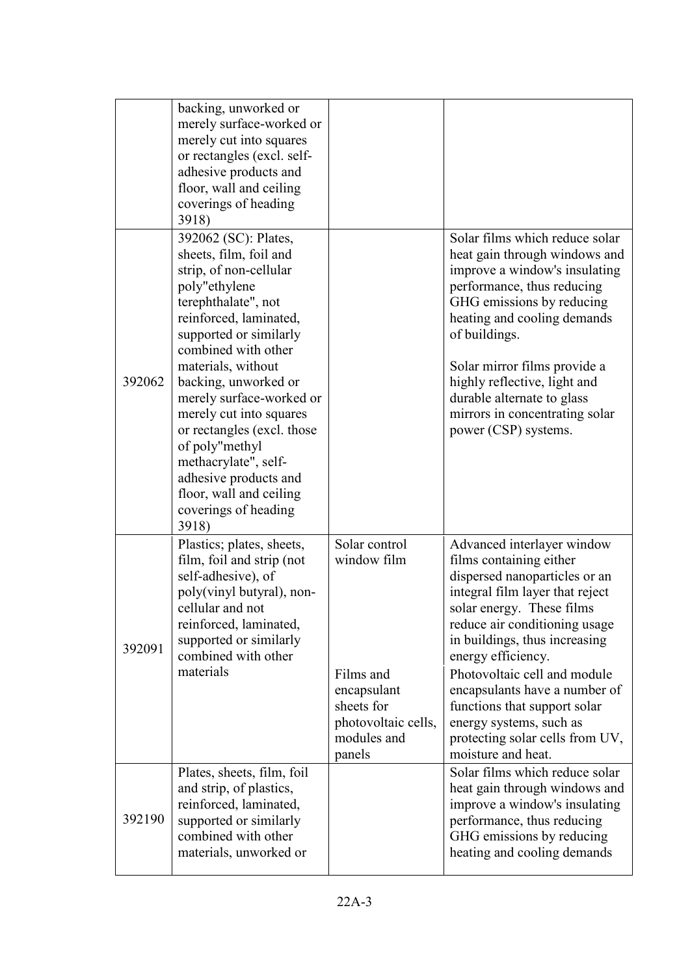|        | backing, unworked or<br>merely surface-worked or<br>merely cut into squares<br>or rectangles (excl. self-<br>adhesive products and<br>floor, wall and ceiling<br>coverings of heading<br>3918)                                                                                                                                                                                                                                                                |                                                                                                              |                                                                                                                                                                                                                                                                                                                                                                                                               |
|--------|---------------------------------------------------------------------------------------------------------------------------------------------------------------------------------------------------------------------------------------------------------------------------------------------------------------------------------------------------------------------------------------------------------------------------------------------------------------|--------------------------------------------------------------------------------------------------------------|---------------------------------------------------------------------------------------------------------------------------------------------------------------------------------------------------------------------------------------------------------------------------------------------------------------------------------------------------------------------------------------------------------------|
| 392062 | 392062 (SC): Plates,<br>sheets, film, foil and<br>strip, of non-cellular<br>poly"ethylene<br>terephthalate", not<br>reinforced, laminated,<br>supported or similarly<br>combined with other<br>materials, without<br>backing, unworked or<br>merely surface-worked or<br>merely cut into squares<br>or rectangles (excl. those<br>of poly"methyl<br>methacrylate", self-<br>adhesive products and<br>floor, wall and ceiling<br>coverings of heading<br>3918) |                                                                                                              | Solar films which reduce solar<br>heat gain through windows and<br>improve a window's insulating<br>performance, thus reducing<br>GHG emissions by reducing<br>heating and cooling demands<br>of buildings.<br>Solar mirror films provide a<br>highly reflective, light and<br>durable alternate to glass<br>mirrors in concentrating solar<br>power (CSP) systems.                                           |
| 392091 | Plastics; plates, sheets,<br>film, foil and strip (not<br>self-adhesive), of<br>poly(vinyl butyral), non-<br>cellular and not<br>reinforced, laminated,<br>supported or similarly<br>combined with other<br>materials                                                                                                                                                                                                                                         | Solar control<br>window film<br>Films and<br>encapsulant<br>sheets for<br>photovoltaic cells,<br>modules and | Advanced interlayer window<br>films containing either<br>dispersed nanoparticles or an<br>integral film layer that reject<br>solar energy. These films<br>reduce air conditioning usage<br>in buildings, thus increasing<br>energy efficiency.<br>Photovoltaic cell and module<br>encapsulants have a number of<br>functions that support solar<br>energy systems, such as<br>protecting solar cells from UV, |
| 392190 | Plates, sheets, film, foil<br>and strip, of plastics,<br>reinforced, laminated,<br>supported or similarly<br>combined with other<br>materials, unworked or                                                                                                                                                                                                                                                                                                    | panels                                                                                                       | moisture and heat.<br>Solar films which reduce solar<br>heat gain through windows and<br>improve a window's insulating<br>performance, thus reducing<br>GHG emissions by reducing<br>heating and cooling demands                                                                                                                                                                                              |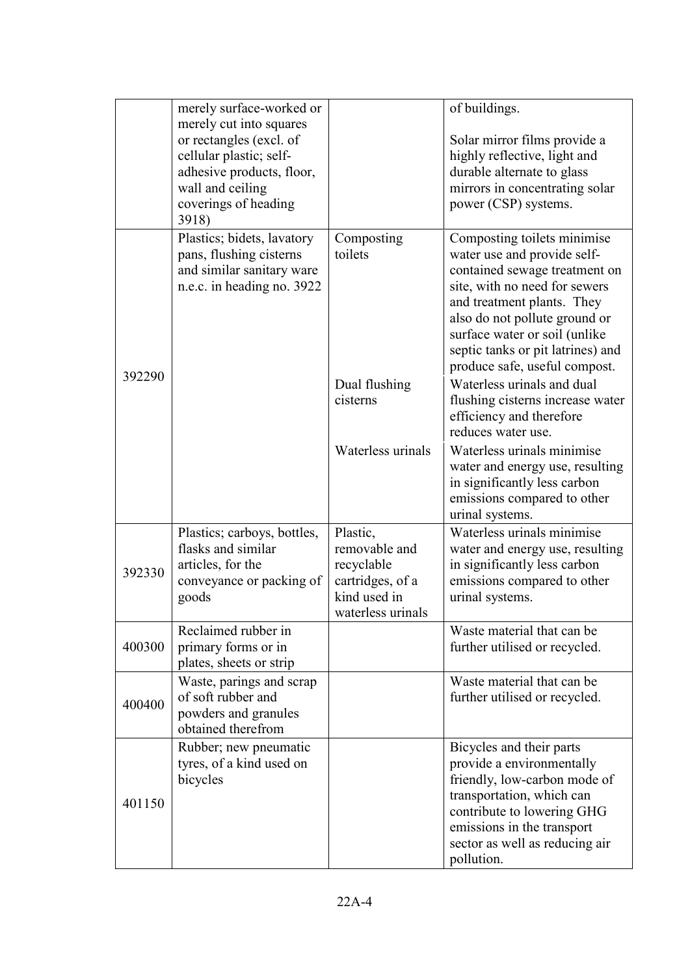|        | merely surface-worked or                                                                                                                                        |                                                                                                  | of buildings.                                                                                                                                                                                                                                                                                      |
|--------|-----------------------------------------------------------------------------------------------------------------------------------------------------------------|--------------------------------------------------------------------------------------------------|----------------------------------------------------------------------------------------------------------------------------------------------------------------------------------------------------------------------------------------------------------------------------------------------------|
|        | merely cut into squares<br>or rectangles (excl. of<br>cellular plastic; self-<br>adhesive products, floor,<br>wall and ceiling<br>coverings of heading<br>3918) |                                                                                                  | Solar mirror films provide a<br>highly reflective, light and<br>durable alternate to glass<br>mirrors in concentrating solar<br>power (CSP) systems.                                                                                                                                               |
|        | Plastics; bidets, lavatory<br>pans, flushing cisterns<br>and similar sanitary ware<br>n.e.c. in heading no. 3922                                                | Composting<br>toilets                                                                            | Composting toilets minimise<br>water use and provide self-<br>contained sewage treatment on<br>site, with no need for sewers<br>and treatment plants. They<br>also do not pollute ground or<br>surface water or soil (unlike<br>septic tanks or pit latrines) and<br>produce safe, useful compost. |
| 392290 |                                                                                                                                                                 | Dual flushing<br>cisterns                                                                        | Waterless urinals and dual<br>flushing cisterns increase water<br>efficiency and therefore<br>reduces water use.                                                                                                                                                                                   |
|        |                                                                                                                                                                 | Waterless urinals                                                                                | Waterless urinals minimise<br>water and energy use, resulting<br>in significantly less carbon<br>emissions compared to other<br>urinal systems.                                                                                                                                                    |
| 392330 | Plastics; carboys, bottles,<br>flasks and similar<br>articles, for the<br>conveyance or packing of<br>goods                                                     | Plastic,<br>removable and<br>recyclable<br>cartridges, of a<br>kind used in<br>waterless urinals | Waterless urinals minimise<br>water and energy use, resulting<br>in significantly less carbon<br>emissions compared to other<br>urinal systems.                                                                                                                                                    |
| 400300 | Reclaimed rubber in<br>primary forms or in<br>plates, sheets or strip                                                                                           |                                                                                                  | Waste material that can be<br>further utilised or recycled.                                                                                                                                                                                                                                        |
| 400400 | Waste, parings and scrap<br>of soft rubber and<br>powders and granules<br>obtained therefrom                                                                    |                                                                                                  | Waste material that can be<br>further utilised or recycled.                                                                                                                                                                                                                                        |
| 401150 | Rubber; new pneumatic<br>tyres, of a kind used on<br>bicycles                                                                                                   |                                                                                                  | Bicycles and their parts<br>provide a environmentally<br>friendly, low-carbon mode of<br>transportation, which can<br>contribute to lowering GHG<br>emissions in the transport<br>sector as well as reducing air<br>pollution.                                                                     |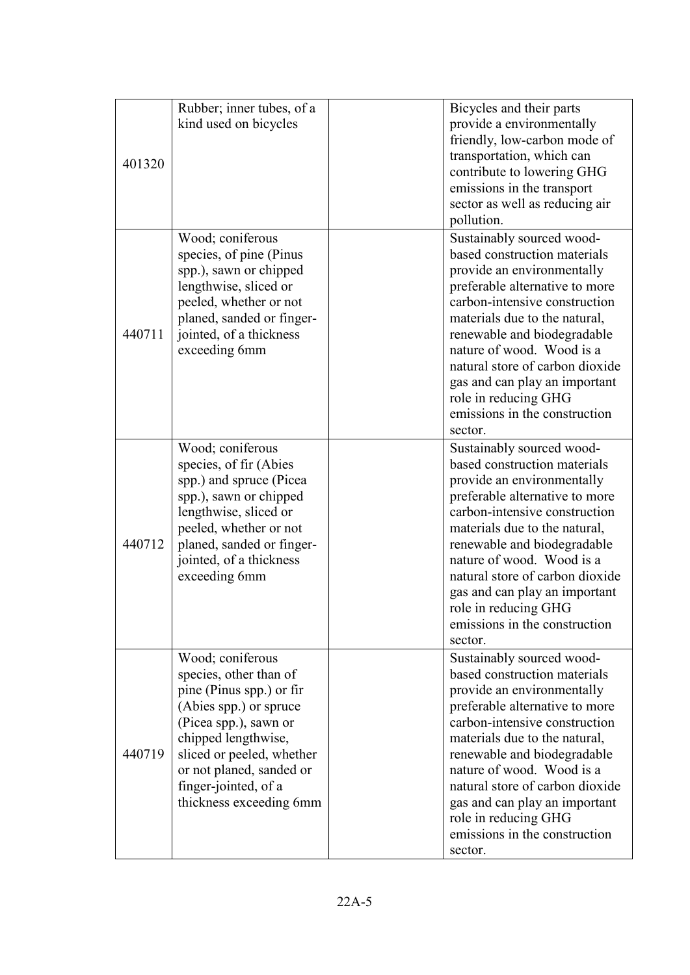| 401320 | Rubber; inner tubes, of a<br>kind used on bicycles                                                                                                                                                                                                           | Bicycles and their parts<br>provide a environmentally<br>friendly, low-carbon mode of<br>transportation, which can<br>contribute to lowering GHG<br>emissions in the transport<br>sector as well as reducing air<br>pollution.                                                                                                                                                                  |
|--------|--------------------------------------------------------------------------------------------------------------------------------------------------------------------------------------------------------------------------------------------------------------|-------------------------------------------------------------------------------------------------------------------------------------------------------------------------------------------------------------------------------------------------------------------------------------------------------------------------------------------------------------------------------------------------|
| 440711 | Wood; coniferous<br>species, of pine (Pinus<br>spp.), sawn or chipped<br>lengthwise, sliced or<br>peeled, whether or not<br>planed, sanded or finger-<br>jointed, of a thickness<br>exceeding 6mm                                                            | Sustainably sourced wood-<br>based construction materials<br>provide an environmentally<br>preferable alternative to more<br>carbon-intensive construction<br>materials due to the natural,<br>renewable and biodegradable<br>nature of wood. Wood is a<br>natural store of carbon dioxide<br>gas and can play an important<br>role in reducing GHG<br>emissions in the construction<br>sector. |
| 440712 | Wood; coniferous<br>species, of fir (Abies<br>spp.) and spruce (Picea<br>spp.), sawn or chipped<br>lengthwise, sliced or<br>peeled, whether or not<br>planed, sanded or finger-<br>jointed, of a thickness<br>exceeding 6mm                                  | Sustainably sourced wood-<br>based construction materials<br>provide an environmentally<br>preferable alternative to more<br>carbon-intensive construction<br>materials due to the natural,<br>renewable and biodegradable<br>nature of wood. Wood is a<br>natural store of carbon dioxide<br>gas and can play an important<br>role in reducing GHG<br>emissions in the construction<br>sector. |
| 440719 | Wood; coniferous<br>species, other than of<br>pine (Pinus spp.) or fir<br>(Abies spp.) or spruce<br>(Picea spp.), sawn or<br>chipped lengthwise,<br>sliced or peeled, whether<br>or not planed, sanded or<br>finger-jointed, of a<br>thickness exceeding 6mm | Sustainably sourced wood-<br>based construction materials<br>provide an environmentally<br>preferable alternative to more<br>carbon-intensive construction<br>materials due to the natural,<br>renewable and biodegradable<br>nature of wood. Wood is a<br>natural store of carbon dioxide<br>gas and can play an important<br>role in reducing GHG<br>emissions in the construction<br>sector. |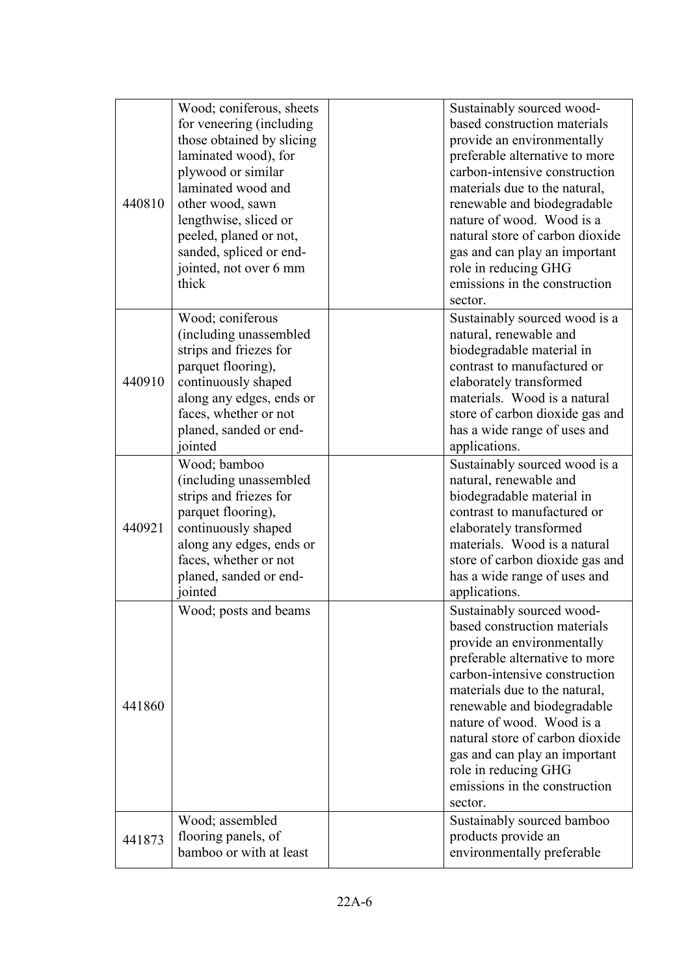| 440810 | Wood; coniferous, sheets<br>for veneering (including<br>those obtained by slicing<br>laminated wood), for<br>plywood or similar<br>laminated wood and<br>other wood, sawn<br>lengthwise, sliced or<br>peeled, planed or not,<br>sanded, spliced or end-<br>jointed, not over 6 mm<br>thick | Sustainably sourced wood-<br>based construction materials<br>provide an environmentally<br>preferable alternative to more<br>carbon-intensive construction<br>materials due to the natural,<br>renewable and biodegradable<br>nature of wood. Wood is a<br>natural store of carbon dioxide<br>gas and can play an important<br>role in reducing GHG<br>emissions in the construction<br>sector. |
|--------|--------------------------------------------------------------------------------------------------------------------------------------------------------------------------------------------------------------------------------------------------------------------------------------------|-------------------------------------------------------------------------------------------------------------------------------------------------------------------------------------------------------------------------------------------------------------------------------------------------------------------------------------------------------------------------------------------------|
| 440910 | Wood; coniferous<br>(including unassembled<br>strips and friezes for<br>parquet flooring),<br>continuously shaped<br>along any edges, ends or<br>faces, whether or not<br>planed, sanded or end-<br>jointed                                                                                | Sustainably sourced wood is a<br>natural, renewable and<br>biodegradable material in<br>contrast to manufactured or<br>elaborately transformed<br>materials. Wood is a natural<br>store of carbon dioxide gas and<br>has a wide range of uses and<br>applications.                                                                                                                              |
| 440921 | Wood; bamboo<br>(including unassembled<br>strips and friezes for<br>parquet flooring),<br>continuously shaped<br>along any edges, ends or<br>faces, whether or not<br>planed, sanded or end-<br>jointed                                                                                    | Sustainably sourced wood is a<br>natural, renewable and<br>biodegradable material in<br>contrast to manufactured or<br>elaborately transformed<br>materials. Wood is a natural<br>store of carbon dioxide gas and<br>has a wide range of uses and<br>applications.                                                                                                                              |
| 441860 | Wood; posts and beams                                                                                                                                                                                                                                                                      | Sustainably sourced wood-<br>based construction materials<br>provide an environmentally<br>preferable alternative to more<br>carbon-intensive construction<br>materials due to the natural,<br>renewable and biodegradable<br>nature of wood. Wood is a<br>natural store of carbon dioxide<br>gas and can play an important<br>role in reducing GHG<br>emissions in the construction<br>sector. |
| 441873 | Wood; assembled<br>flooring panels, of<br>bamboo or with at least                                                                                                                                                                                                                          | Sustainably sourced bamboo<br>products provide an<br>environmentally preferable                                                                                                                                                                                                                                                                                                                 |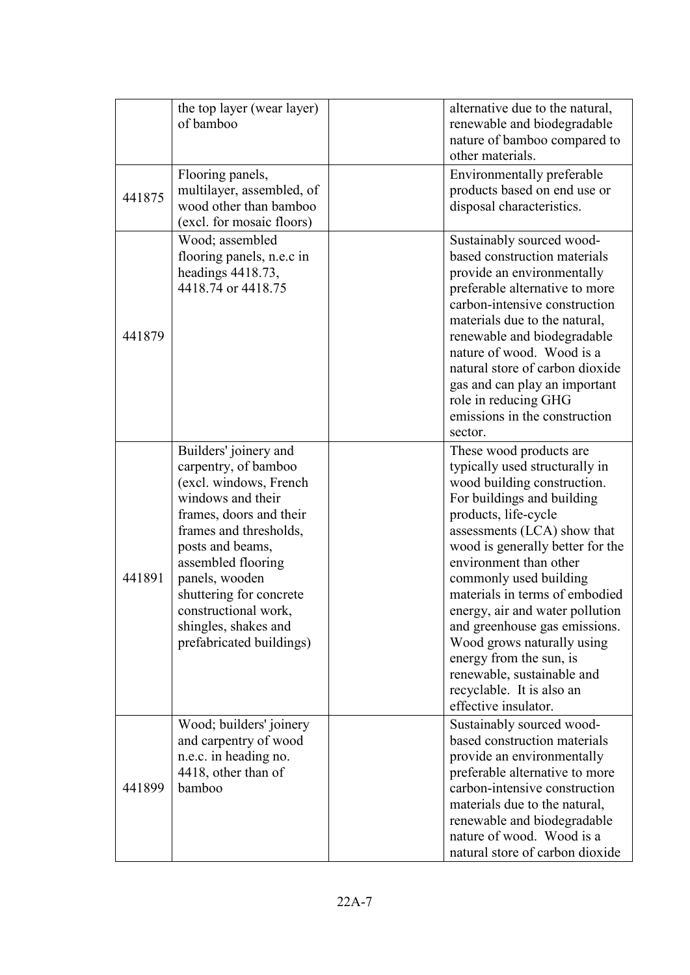|        | the top layer (wear layer)<br>of bamboo                                                                                                                                                                                                                                                                              | alternative due to the natural,<br>renewable and biodegradable<br>nature of bamboo compared to<br>other materials.                                                                                                                                                                                                                                                                                                                                                                                                      |
|--------|----------------------------------------------------------------------------------------------------------------------------------------------------------------------------------------------------------------------------------------------------------------------------------------------------------------------|-------------------------------------------------------------------------------------------------------------------------------------------------------------------------------------------------------------------------------------------------------------------------------------------------------------------------------------------------------------------------------------------------------------------------------------------------------------------------------------------------------------------------|
| 441875 | Flooring panels,<br>multilayer, assembled, of<br>wood other than bamboo<br>(excl. for mosaic floors)                                                                                                                                                                                                                 | Environmentally preferable<br>products based on end use or<br>disposal characteristics.                                                                                                                                                                                                                                                                                                                                                                                                                                 |
| 441879 | Wood; assembled<br>flooring panels, n.e.c in<br>headings 4418.73,<br>4418.74 or 4418.75                                                                                                                                                                                                                              | Sustainably sourced wood-<br>based construction materials<br>provide an environmentally<br>preferable alternative to more<br>carbon-intensive construction<br>materials due to the natural,<br>renewable and biodegradable<br>nature of wood. Wood is a<br>natural store of carbon dioxide<br>gas and can play an important<br>role in reducing GHG<br>emissions in the construction<br>sector.                                                                                                                         |
| 441891 | Builders' joinery and<br>carpentry, of bamboo<br>(excl. windows, French<br>windows and their<br>frames, doors and their<br>frames and thresholds,<br>posts and beams,<br>assembled flooring<br>panels, wooden<br>shuttering for concrete<br>constructional work.<br>shingles, shakes and<br>prefabricated buildings) | These wood products are<br>typically used structurally in<br>wood building construction.<br>For buildings and building<br>products, life-cycle<br>assessments (LCA) show that<br>wood is generally better for the<br>environment than other<br>commonly used building<br>materials in terms of embodied<br>energy, air and water pollution<br>and greenhouse gas emissions.<br>Wood grows naturally using<br>energy from the sun, is<br>renewable, sustainable and<br>recyclable. It is also an<br>effective insulator. |
| 441899 | Wood; builders' joinery<br>and carpentry of wood<br>n.e.c. in heading no.<br>4418, other than of<br>bamboo                                                                                                                                                                                                           | Sustainably sourced wood-<br>based construction materials<br>provide an environmentally<br>preferable alternative to more<br>carbon-intensive construction<br>materials due to the natural,<br>renewable and biodegradable<br>nature of wood. Wood is a<br>natural store of carbon dioxide                                                                                                                                                                                                                              |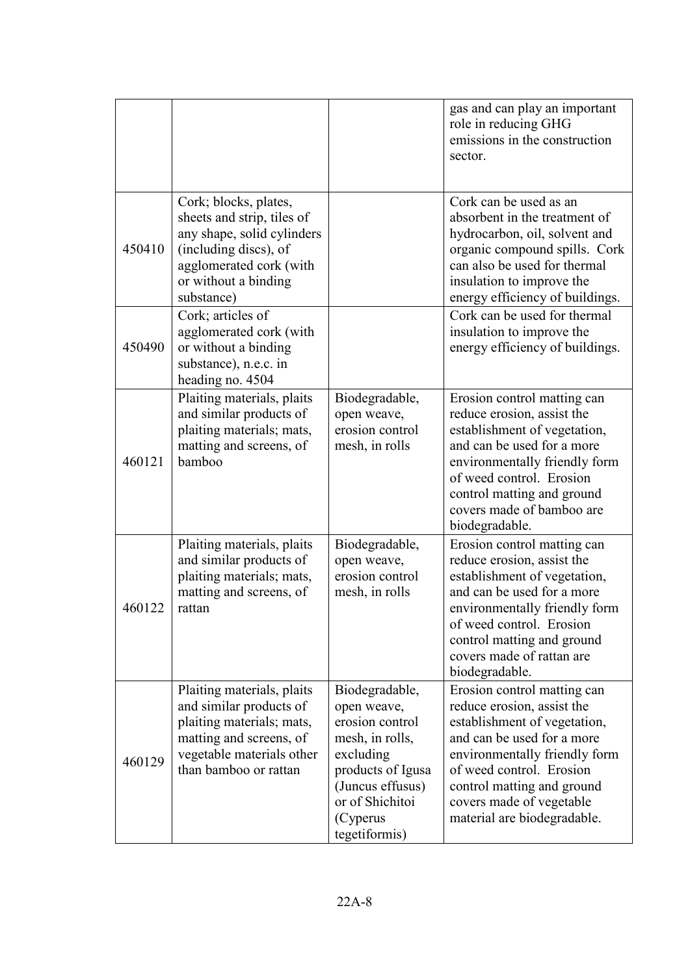|        |                                                                                                                                                                             |                                                                                                                                                                           | gas and can play an important<br>role in reducing GHG<br>emissions in the construction<br>sector.                                                                                                                                                                             |
|--------|-----------------------------------------------------------------------------------------------------------------------------------------------------------------------------|---------------------------------------------------------------------------------------------------------------------------------------------------------------------------|-------------------------------------------------------------------------------------------------------------------------------------------------------------------------------------------------------------------------------------------------------------------------------|
| 450410 | Cork; blocks, plates,<br>sheets and strip, tiles of<br>any shape, solid cylinders<br>(including discs), of<br>agglomerated cork (with<br>or without a binding<br>substance) |                                                                                                                                                                           | Cork can be used as an<br>absorbent in the treatment of<br>hydrocarbon, oil, solvent and<br>organic compound spills. Cork<br>can also be used for thermal<br>insulation to improve the<br>energy efficiency of buildings.                                                     |
| 450490 | Cork; articles of<br>agglomerated cork (with<br>or without a binding<br>substance), n.e.c. in<br>heading no. 4504                                                           |                                                                                                                                                                           | Cork can be used for thermal<br>insulation to improve the<br>energy efficiency of buildings.                                                                                                                                                                                  |
| 460121 | Plaiting materials, plaits<br>and similar products of<br>plaiting materials; mats,<br>matting and screens, of<br>bamboo                                                     | Biodegradable,<br>open weave,<br>erosion control<br>mesh, in rolls                                                                                                        | Erosion control matting can<br>reduce erosion, assist the<br>establishment of vegetation,<br>and can be used for a more<br>environmentally friendly form<br>of weed control. Erosion<br>control matting and ground<br>covers made of bamboo are<br>biodegradable.             |
| 460122 | Plaiting materials, plaits<br>and similar products of<br>plaiting materials; mats,<br>matting and screens, of<br>rattan                                                     | Biodegradable,<br>open weave,<br>erosion control<br>mesh, in rolls                                                                                                        | Erosion control matting can<br>reduce erosion, assist the<br>establishment of vegetation,<br>and can be used for a more<br>environmentally friendly form<br>of weed control. Erosion<br>control matting and ground<br>covers made of rattan are<br>biodegradable.             |
| 460129 | Plaiting materials, plaits<br>and similar products of<br>plaiting materials; mats,<br>matting and screens, of<br>vegetable materials other<br>than bamboo or rattan         | Biodegradable,<br>open weave,<br>erosion control<br>mesh, in rolls,<br>excluding<br>products of Igusa<br>(Juncus effusus)<br>or of Shichitoi<br>(Cyperus<br>tegetiformis) | Erosion control matting can<br>reduce erosion, assist the<br>establishment of vegetation,<br>and can be used for a more<br>environmentally friendly form<br>of weed control. Erosion<br>control matting and ground<br>covers made of vegetable<br>material are biodegradable. |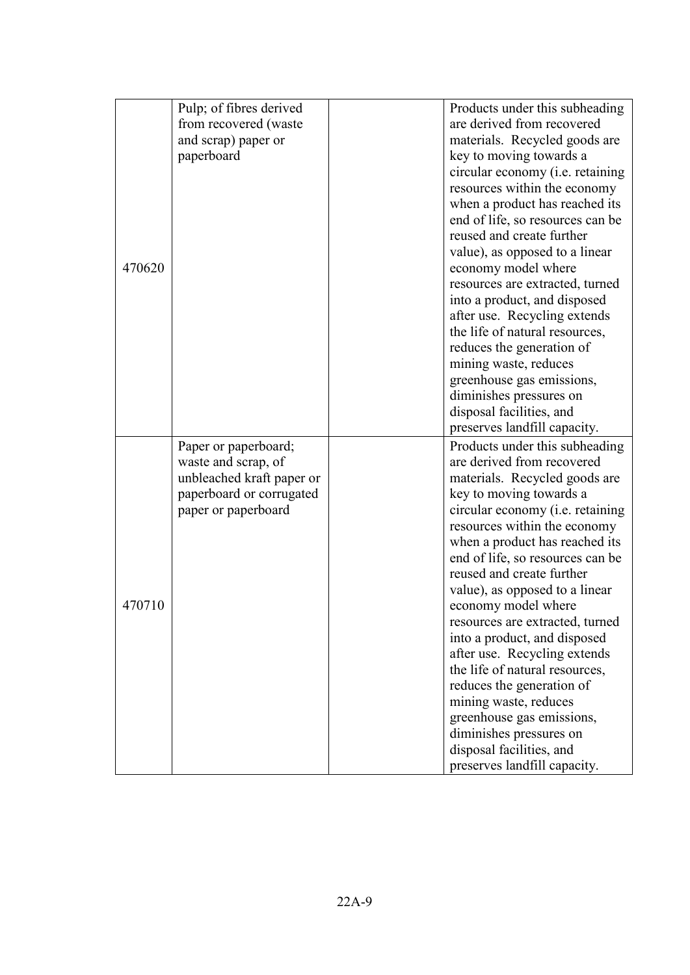|        | Pulp; of fibres derived   | Products under this subheading   |
|--------|---------------------------|----------------------------------|
|        | from recovered (waste     | are derived from recovered       |
|        | and scrap) paper or       | materials. Recycled goods are    |
|        | paperboard                | key to moving towards a          |
|        |                           | circular economy (i.e. retaining |
|        |                           | resources within the economy     |
|        |                           | when a product has reached its   |
|        |                           | end of life, so resources can be |
|        |                           | reused and create further        |
|        |                           | value), as opposed to a linear   |
| 470620 |                           | economy model where              |
|        |                           | resources are extracted, turned  |
|        |                           | into a product, and disposed     |
|        |                           | after use. Recycling extends     |
|        |                           | the life of natural resources,   |
|        |                           | reduces the generation of        |
|        |                           | mining waste, reduces            |
|        |                           | greenhouse gas emissions,        |
|        |                           | diminishes pressures on          |
|        |                           | disposal facilities, and         |
|        |                           | preserves landfill capacity.     |
|        | Paper or paperboard;      | Products under this subheading   |
|        | waste and scrap, of       | are derived from recovered       |
|        | unbleached kraft paper or | materials. Recycled goods are    |
|        | paperboard or corrugated  | key to moving towards a          |
|        | paper or paperboard       | circular economy (i.e. retaining |
|        |                           | resources within the economy     |
|        |                           | when a product has reached its   |
|        |                           | end of life, so resources can be |
|        |                           | reused and create further        |
|        |                           | value), as opposed to a linear   |
| 470710 |                           | economy model where              |
|        |                           | resources are extracted, turned  |
|        |                           | into a product, and disposed     |
|        |                           | after use. Recycling extends     |
|        |                           | the life of natural resources,   |
|        |                           | reduces the generation of        |
|        |                           | mining waste, reduces            |
|        |                           | greenhouse gas emissions,        |
|        |                           | diminishes pressures on          |
|        |                           | disposal facilities, and         |
|        |                           | preserves landfill capacity.     |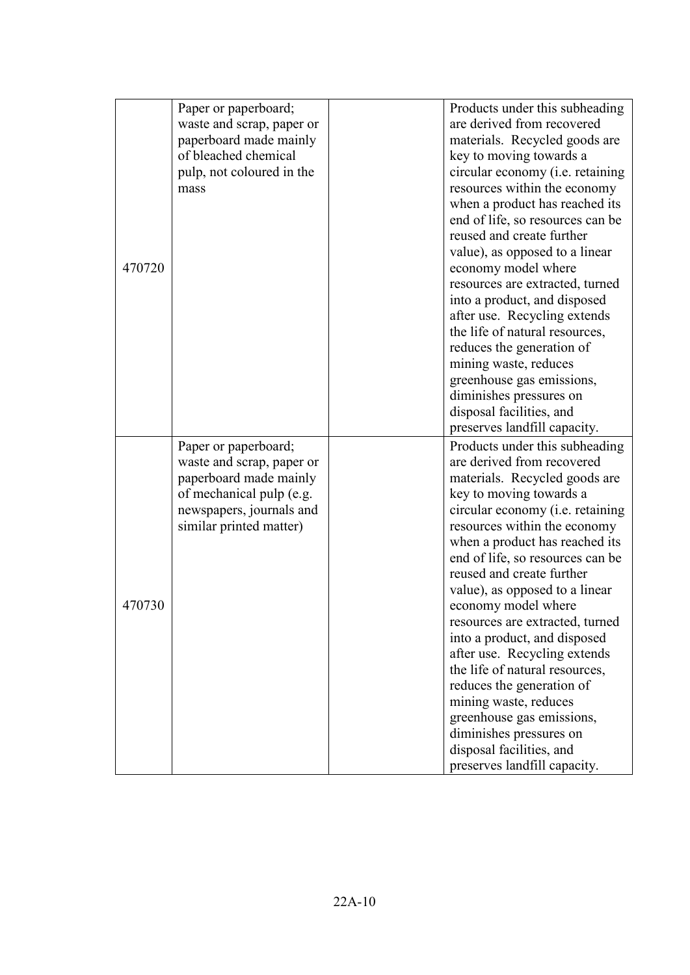|        | Paper or paperboard;                              | Products under this subheading                                 |
|--------|---------------------------------------------------|----------------------------------------------------------------|
|        | waste and scrap, paper or                         | are derived from recovered                                     |
|        | paperboard made mainly                            | materials. Recycled goods are                                  |
|        | of bleached chemical                              | key to moving towards a                                        |
|        | pulp, not coloured in the                         | circular economy (i.e. retaining                               |
|        | mass                                              | resources within the economy                                   |
|        |                                                   | when a product has reached its                                 |
|        |                                                   | end of life, so resources can be                               |
|        |                                                   | reused and create further                                      |
|        |                                                   | value), as opposed to a linear                                 |
| 470720 |                                                   | economy model where                                            |
|        |                                                   | resources are extracted, turned                                |
|        |                                                   | into a product, and disposed                                   |
|        |                                                   | after use. Recycling extends                                   |
|        |                                                   | the life of natural resources,                                 |
|        |                                                   | reduces the generation of                                      |
|        |                                                   | mining waste, reduces                                          |
|        |                                                   | greenhouse gas emissions,                                      |
|        |                                                   | diminishes pressures on                                        |
|        |                                                   | disposal facilities, and                                       |
|        |                                                   | preserves landfill capacity.                                   |
|        |                                                   | Products under this subheading                                 |
|        | Paper or paperboard;<br>waste and scrap, paper or | are derived from recovered                                     |
|        | paperboard made mainly                            | materials. Recycled goods are                                  |
|        | of mechanical pulp (e.g.                          |                                                                |
|        | newspapers, journals and                          | key to moving towards a                                        |
|        |                                                   | circular economy ( <i>i.e.</i> retaining                       |
|        | similar printed matter)                           | resources within the economy                                   |
|        |                                                   | when a product has reached its                                 |
|        |                                                   | end of life, so resources can be<br>reused and create further  |
|        |                                                   |                                                                |
| 470730 |                                                   | value), as opposed to a linear                                 |
|        |                                                   | economy model where                                            |
|        |                                                   | resources are extracted, turned                                |
|        |                                                   | into a product, and disposed                                   |
|        |                                                   | after use. Recycling extends<br>the life of natural resources, |
|        |                                                   |                                                                |
|        |                                                   | reduces the generation of                                      |
|        |                                                   | mining waste, reduces                                          |
|        |                                                   | greenhouse gas emissions,                                      |
|        |                                                   | diminishes pressures on                                        |
|        |                                                   | disposal facilities, and                                       |
|        |                                                   | preserves landfill capacity.                                   |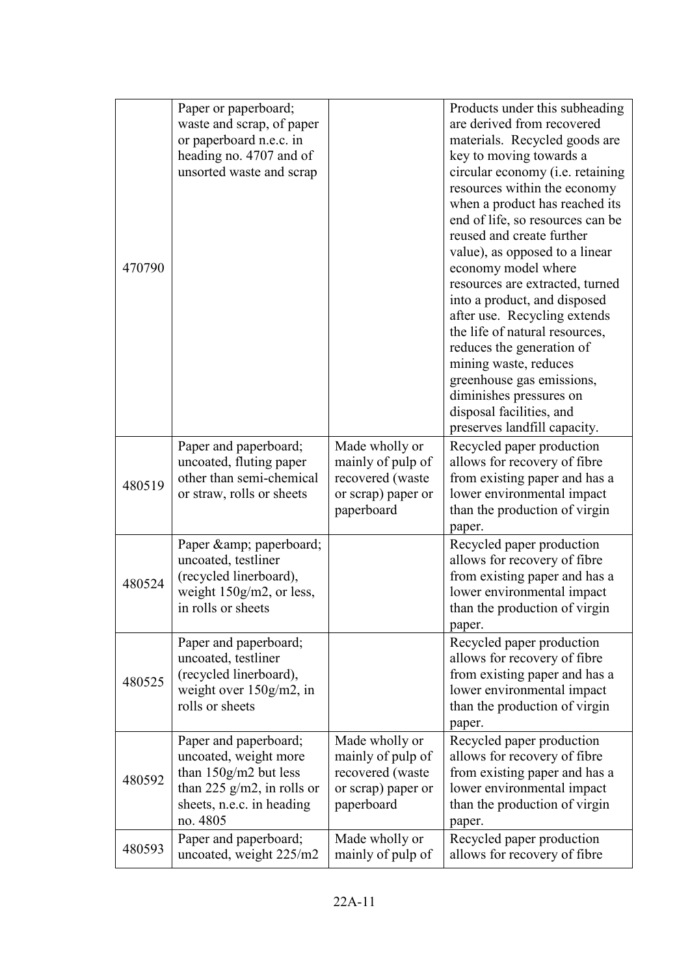|        | Paper or paperboard;          |                    | Products under this subheading   |
|--------|-------------------------------|--------------------|----------------------------------|
|        | waste and scrap, of paper     |                    | are derived from recovered       |
|        | or paperboard n.e.c. in       |                    | materials. Recycled goods are    |
|        | heading no. 4707 and of       |                    | key to moving towards a          |
|        | unsorted waste and scrap      |                    | circular economy (i.e. retaining |
|        |                               |                    | resources within the economy     |
|        |                               |                    | when a product has reached its   |
|        |                               |                    | end of life, so resources can be |
|        |                               |                    | reused and create further        |
|        |                               |                    | value), as opposed to a linear   |
| 470790 |                               |                    | economy model where              |
|        |                               |                    | resources are extracted, turned  |
|        |                               |                    | into a product, and disposed     |
|        |                               |                    | after use. Recycling extends     |
|        |                               |                    | the life of natural resources,   |
|        |                               |                    | reduces the generation of        |
|        |                               |                    | mining waste, reduces            |
|        |                               |                    | greenhouse gas emissions,        |
|        |                               |                    | diminishes pressures on          |
|        |                               |                    | disposal facilities, and         |
|        |                               |                    | preserves landfill capacity.     |
|        | Paper and paperboard;         | Made wholly or     | Recycled paper production        |
|        | uncoated, fluting paper       | mainly of pulp of  | allows for recovery of fibre     |
| 480519 | other than semi-chemical      | recovered (waste   | from existing paper and has a    |
|        | or straw, rolls or sheets     | or scrap) paper or | lower environmental impact       |
|        |                               | paperboard         | than the production of virgin    |
|        |                               |                    | paper.                           |
|        | Paper & amp; paperboard;      |                    | Recycled paper production        |
|        | uncoated, testliner           |                    | allows for recovery of fibre     |
| 480524 | (recycled linerboard),        |                    | from existing paper and has a    |
|        | weight $150g/m2$ , or less,   |                    | lower environmental impact       |
|        | in rolls or sheets            |                    | than the production of virgin    |
|        |                               |                    | paper.                           |
|        | Paper and paperboard;         |                    | Recycled paper production        |
|        | uncoated, testliner           |                    | allows for recovery of fibre     |
| 480525 | (recycled linerboard),        |                    | from existing paper and has a    |
|        | weight over $150g/m2$ , in    |                    | lower environmental impact       |
|        | rolls or sheets               |                    | than the production of virgin    |
|        |                               |                    | paper.                           |
|        | Paper and paperboard;         | Made wholly or     | Recycled paper production        |
|        | uncoated, weight more         | mainly of pulp of  | allows for recovery of fibre     |
| 480592 | than $150g/m2$ but less       | recovered (waste   | from existing paper and has a    |
|        | than 225 $g/m2$ , in rolls or | or scrap) paper or | lower environmental impact       |
|        | sheets, n.e.c. in heading     | paperboard         | than the production of virgin    |
|        | no. 4805                      |                    | paper.                           |
| 480593 | Paper and paperboard;         | Made wholly or     | Recycled paper production        |
|        | uncoated, weight 225/m2       | mainly of pulp of  | allows for recovery of fibre     |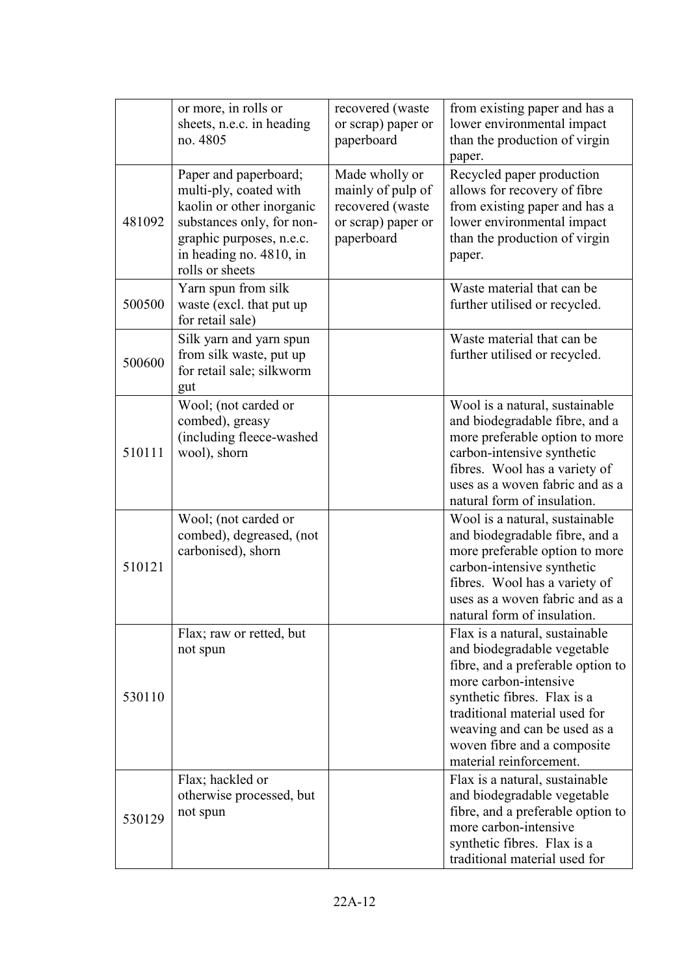|        | or more, in rolls or<br>sheets, n.e.c. in heading<br>no. 4805                                                                                                                       | recovered (waste<br>or scrap) paper or<br>paperboard                                        | from existing paper and has a<br>lower environmental impact<br>than the production of virgin<br>paper.                                                                                                                                                                                |
|--------|-------------------------------------------------------------------------------------------------------------------------------------------------------------------------------------|---------------------------------------------------------------------------------------------|---------------------------------------------------------------------------------------------------------------------------------------------------------------------------------------------------------------------------------------------------------------------------------------|
| 481092 | Paper and paperboard;<br>multi-ply, coated with<br>kaolin or other inorganic<br>substances only, for non-<br>graphic purposes, n.e.c.<br>in heading no. 4810, in<br>rolls or sheets | Made wholly or<br>mainly of pulp of<br>recovered (waste<br>or scrap) paper or<br>paperboard | Recycled paper production<br>allows for recovery of fibre<br>from existing paper and has a<br>lower environmental impact<br>than the production of virgin<br>paper.                                                                                                                   |
| 500500 | Yarn spun from silk<br>waste (excl. that put up<br>for retail sale)                                                                                                                 |                                                                                             | Waste material that can be<br>further utilised or recycled.                                                                                                                                                                                                                           |
| 500600 | Silk yarn and yarn spun<br>from silk waste, put up<br>for retail sale; silkworm<br>gut                                                                                              |                                                                                             | Waste material that can be<br>further utilised or recycled.                                                                                                                                                                                                                           |
| 510111 | Wool; (not carded or<br>combed), greasy<br>(including fleece-washed<br>wool), shorn                                                                                                 |                                                                                             | Wool is a natural, sustainable<br>and biodegradable fibre, and a<br>more preferable option to more<br>carbon-intensive synthetic<br>fibres. Wool has a variety of<br>uses as a woven fabric and as a<br>natural form of insulation.                                                   |
| 510121 | Wool; (not carded or<br>combed), degreased, (not<br>carbonised), shorn                                                                                                              |                                                                                             | Wool is a natural, sustainable<br>and biodegradable fibre, and a<br>more preferable option to more<br>carbon-intensive synthetic<br>fibres. Wool has a variety of<br>uses as a woven fabric and as a<br>natural form of insulation.                                                   |
| 530110 | Flax; raw or retted, but<br>not spun                                                                                                                                                |                                                                                             | Flax is a natural, sustainable<br>and biodegradable vegetable<br>fibre, and a preferable option to<br>more carbon-intensive<br>synthetic fibres. Flax is a<br>traditional material used for<br>weaving and can be used as a<br>woven fibre and a composite<br>material reinforcement. |
| 530129 | Flax; hackled or<br>otherwise processed, but<br>not spun                                                                                                                            |                                                                                             | Flax is a natural, sustainable<br>and biodegradable vegetable<br>fibre, and a preferable option to<br>more carbon-intensive<br>synthetic fibres. Flax is a<br>traditional material used for                                                                                           |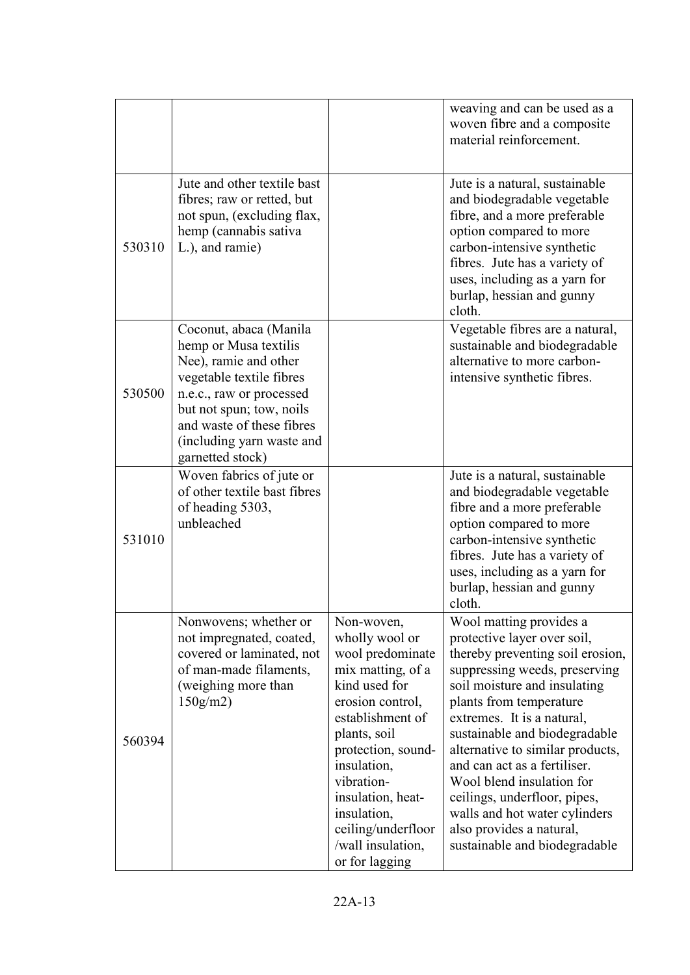|        |                                                                                                                                                                                                                                            |                                                                                                                                                                                                                                                                                                    | weaving and can be used as a<br>woven fibre and a composite<br>material reinforcement.                                                                                                                                                                                                                                                                                                                                                                                               |
|--------|--------------------------------------------------------------------------------------------------------------------------------------------------------------------------------------------------------------------------------------------|----------------------------------------------------------------------------------------------------------------------------------------------------------------------------------------------------------------------------------------------------------------------------------------------------|--------------------------------------------------------------------------------------------------------------------------------------------------------------------------------------------------------------------------------------------------------------------------------------------------------------------------------------------------------------------------------------------------------------------------------------------------------------------------------------|
| 530310 | Jute and other textile bast<br>fibres; raw or retted, but<br>not spun, (excluding flax,<br>hemp (cannabis sativa<br>L.), and ramie)                                                                                                        |                                                                                                                                                                                                                                                                                                    | Jute is a natural, sustainable<br>and biodegradable vegetable<br>fibre, and a more preferable<br>option compared to more<br>carbon-intensive synthetic<br>fibres. Jute has a variety of<br>uses, including as a yarn for<br>burlap, hessian and gunny<br>cloth.                                                                                                                                                                                                                      |
| 530500 | Coconut, abaca (Manila<br>hemp or Musa textilis<br>Nee), ramie and other<br>vegetable textile fibres<br>n.e.c., raw or processed<br>but not spun; tow, noils<br>and waste of these fibres<br>(including yarn waste and<br>garnetted stock) |                                                                                                                                                                                                                                                                                                    | Vegetable fibres are a natural,<br>sustainable and biodegradable<br>alternative to more carbon-<br>intensive synthetic fibres.                                                                                                                                                                                                                                                                                                                                                       |
| 531010 | Woven fabrics of jute or<br>of other textile bast fibres<br>of heading 5303,<br>unbleached                                                                                                                                                 |                                                                                                                                                                                                                                                                                                    | Jute is a natural, sustainable<br>and biodegradable vegetable<br>fibre and a more preferable<br>option compared to more<br>carbon-intensive synthetic<br>fibres. Jute has a variety of<br>uses, including as a yarn for<br>burlap, hessian and gunny<br>cloth.                                                                                                                                                                                                                       |
| 560394 | Nonwovens; whether or<br>not impregnated, coated,<br>covered or laminated, not<br>of man-made filaments,<br>(weighing more than<br>150g/m2                                                                                                 | Non-woven,<br>wholly wool or<br>wool predominate<br>mix matting, of a<br>kind used for<br>erosion control,<br>establishment of<br>plants, soil<br>protection, sound-<br>insulation,<br>vibration-<br>insulation, heat-<br>insulation,<br>ceiling/underfloor<br>/wall insulation,<br>or for lagging | Wool matting provides a<br>protective layer over soil,<br>thereby preventing soil erosion,<br>suppressing weeds, preserving<br>soil moisture and insulating<br>plants from temperature<br>extremes. It is a natural,<br>sustainable and biodegradable<br>alternative to similar products,<br>and can act as a fertiliser.<br>Wool blend insulation for<br>ceilings, underfloor, pipes,<br>walls and hot water cylinders<br>also provides a natural,<br>sustainable and biodegradable |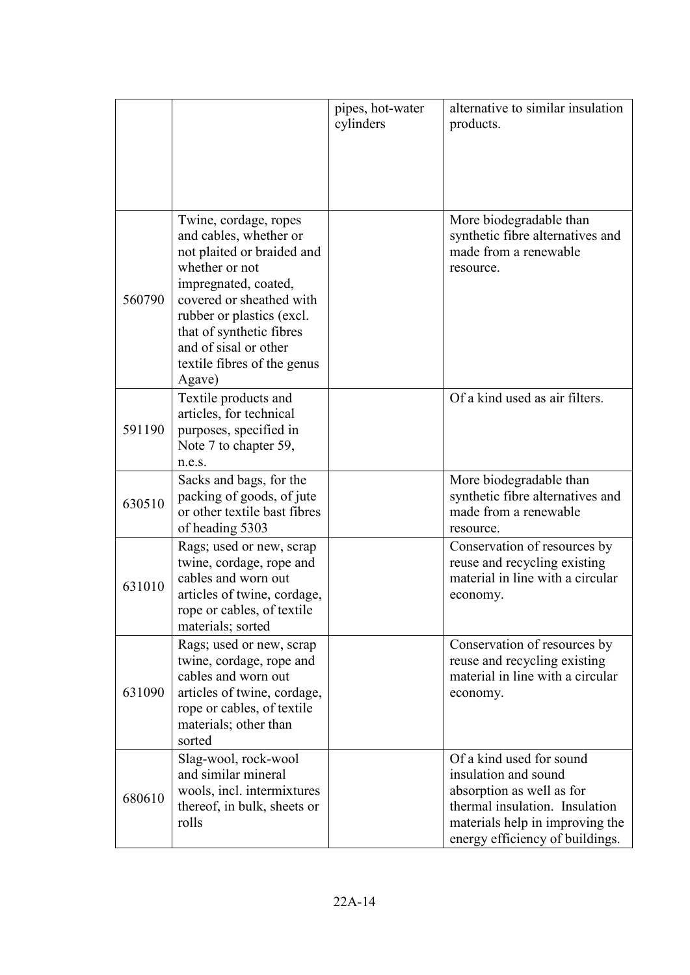|        |                                                                                                                                                                                                                                                                                | pipes, hot-water<br>cylinders | alternative to similar insulation<br>products.                                                                                                                                        |
|--------|--------------------------------------------------------------------------------------------------------------------------------------------------------------------------------------------------------------------------------------------------------------------------------|-------------------------------|---------------------------------------------------------------------------------------------------------------------------------------------------------------------------------------|
| 560790 | Twine, cordage, ropes<br>and cables, whether or<br>not plaited or braided and<br>whether or not<br>impregnated, coated,<br>covered or sheathed with<br>rubber or plastics (excl.<br>that of synthetic fibres<br>and of sisal or other<br>textile fibres of the genus<br>Agave) |                               | More biodegradable than<br>synthetic fibre alternatives and<br>made from a renewable<br>resource.                                                                                     |
| 591190 | Textile products and<br>articles, for technical<br>purposes, specified in<br>Note 7 to chapter 59,<br>n.e.s.                                                                                                                                                                   |                               | Of a kind used as air filters.                                                                                                                                                        |
| 630510 | Sacks and bags, for the<br>packing of goods, of jute<br>or other textile bast fibres<br>of heading 5303                                                                                                                                                                        |                               | More biodegradable than<br>synthetic fibre alternatives and<br>made from a renewable<br>resource.                                                                                     |
| 631010 | Rags; used or new, scrap<br>twine, cordage, rope and<br>cables and worn out<br>articles of twine, cordage,<br>rope or cables, of textile<br>materials; sorted                                                                                                                  |                               | Conservation of resources by<br>reuse and recycling existing<br>material in line with a circular<br>economy.                                                                          |
| 631090 | Rags; used or new, scrap<br>twine, cordage, rope and<br>cables and worn out<br>articles of twine, cordage,<br>rope or cables, of textile<br>materials; other than<br>sorted                                                                                                    |                               | Conservation of resources by<br>reuse and recycling existing<br>material in line with a circular<br>economy.                                                                          |
| 680610 | Slag-wool, rock-wool<br>and similar mineral<br>wools, incl. intermixtures<br>thereof, in bulk, sheets or<br>rolls                                                                                                                                                              |                               | Of a kind used for sound<br>insulation and sound<br>absorption as well as for<br>thermal insulation. Insulation<br>materials help in improving the<br>energy efficiency of buildings. |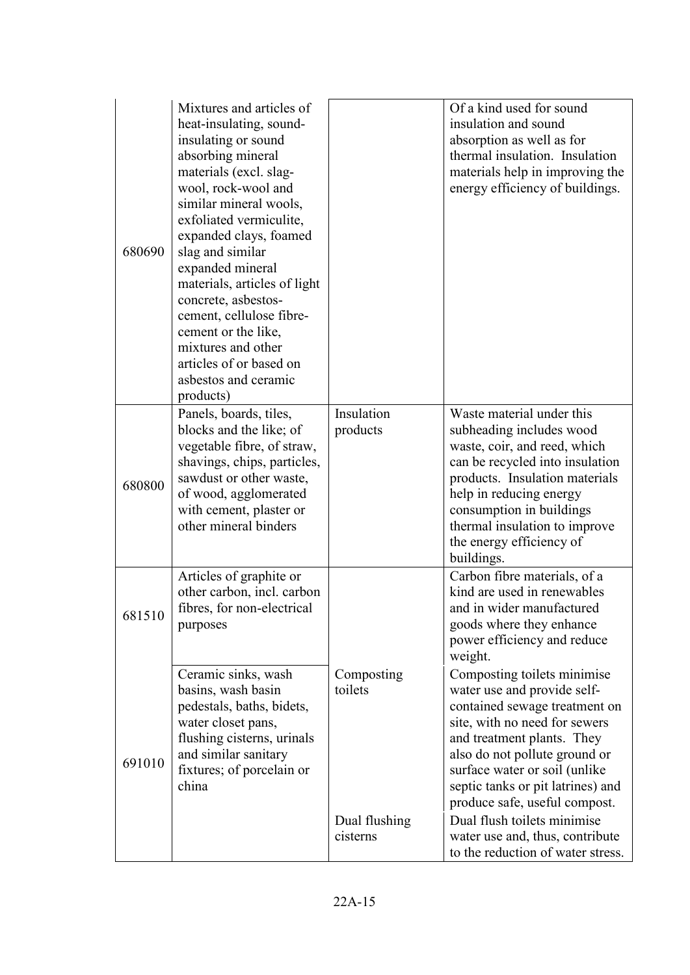| 680690 | Mixtures and articles of<br>heat-insulating, sound-<br>insulating or sound<br>absorbing mineral<br>materials (excl. slag-<br>wool, rock-wool and<br>similar mineral wools,<br>exfoliated vermiculite,<br>expanded clays, foamed<br>slag and similar<br>expanded mineral<br>materials, articles of light<br>concrete, asbestos-<br>cement, cellulose fibre-<br>cement or the like,<br>mixtures and other<br>articles of or based on<br>asbestos and ceramic<br>products) |                                                    | Of a kind used for sound<br>insulation and sound<br>absorption as well as for<br>thermal insulation. Insulation<br>materials help in improving the<br>energy efficiency of buildings.                                                                                                                                                                                                                     |
|--------|-------------------------------------------------------------------------------------------------------------------------------------------------------------------------------------------------------------------------------------------------------------------------------------------------------------------------------------------------------------------------------------------------------------------------------------------------------------------------|----------------------------------------------------|-----------------------------------------------------------------------------------------------------------------------------------------------------------------------------------------------------------------------------------------------------------------------------------------------------------------------------------------------------------------------------------------------------------|
| 680800 | Panels, boards, tiles,<br>blocks and the like; of<br>vegetable fibre, of straw,<br>shavings, chips, particles,<br>sawdust or other waste,<br>of wood, agglomerated<br>with cement, plaster or<br>other mineral binders                                                                                                                                                                                                                                                  | Insulation<br>products                             | Waste material under this<br>subheading includes wood<br>waste, coir, and reed, which<br>can be recycled into insulation<br>products. Insulation materials<br>help in reducing energy<br>consumption in buildings<br>thermal insulation to improve<br>the energy efficiency of<br>buildings.                                                                                                              |
| 681510 | Articles of graphite or<br>other carbon, incl. carbon<br>fibres, for non-electrical<br>purposes                                                                                                                                                                                                                                                                                                                                                                         |                                                    | Carbon fibre materials, of a<br>kind are used in renewables<br>and in wider manufactured<br>goods where they enhance<br>power efficiency and reduce<br>weight.                                                                                                                                                                                                                                            |
| 691010 | Ceramic sinks, wash<br>basins, wash basin<br>pedestals, baths, bidets,<br>water closet pans,<br>flushing cisterns, urinals<br>and similar sanitary<br>fixtures; of porcelain or<br>china                                                                                                                                                                                                                                                                                | Composting<br>toilets<br>Dual flushing<br>cisterns | Composting toilets minimise<br>water use and provide self-<br>contained sewage treatment on<br>site, with no need for sewers<br>and treatment plants. They<br>also do not pollute ground or<br>surface water or soil (unlike<br>septic tanks or pit latrines) and<br>produce safe, useful compost.<br>Dual flush toilets minimise<br>water use and, thus, contribute<br>to the reduction of water stress. |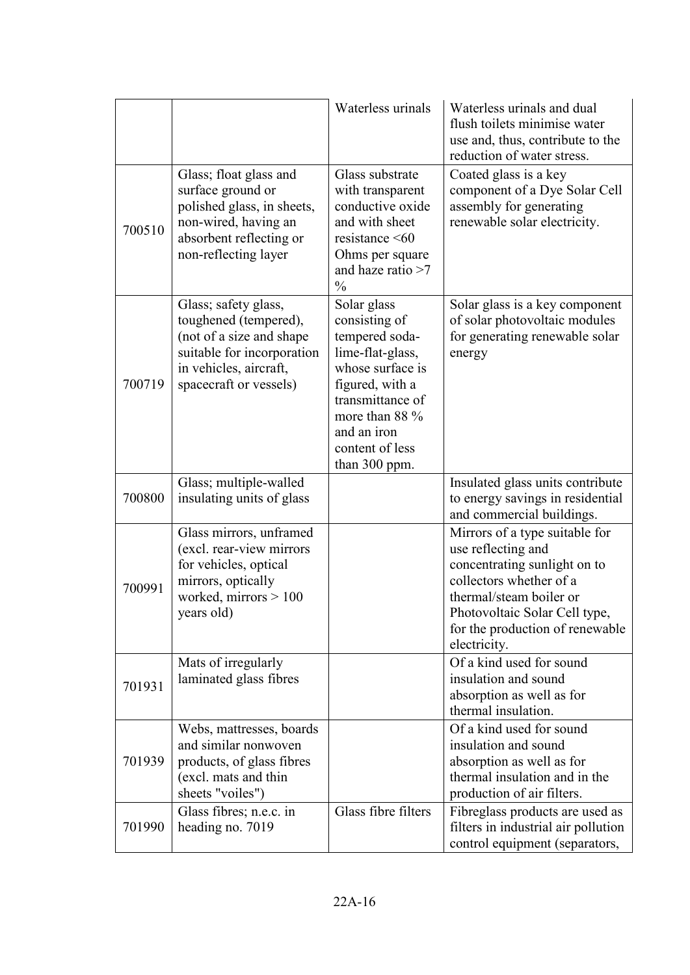|        |                                                                                                                                                             | Waterless urinals                                                                                                                                                                                  | Waterless urinals and dual<br>flush toilets minimise water<br>use and, thus, contribute to the<br>reduction of water stress.                                                                                                   |
|--------|-------------------------------------------------------------------------------------------------------------------------------------------------------------|----------------------------------------------------------------------------------------------------------------------------------------------------------------------------------------------------|--------------------------------------------------------------------------------------------------------------------------------------------------------------------------------------------------------------------------------|
| 700510 | Glass; float glass and<br>surface ground or<br>polished glass, in sheets,<br>non-wired, having an<br>absorbent reflecting or<br>non-reflecting layer        | Glass substrate<br>with transparent<br>conductive oxide<br>and with sheet<br>resistance $\leq 60$<br>Ohms per square<br>and haze ratio $>7$<br>$\frac{0}{0}$                                       | Coated glass is a key<br>component of a Dye Solar Cell<br>assembly for generating<br>renewable solar electricity.                                                                                                              |
| 700719 | Glass; safety glass,<br>toughened (tempered),<br>(not of a size and shape<br>suitable for incorporation<br>in vehicles, aircraft,<br>spacecraft or vessels) | Solar glass<br>consisting of<br>tempered soda-<br>lime-flat-glass,<br>whose surface is<br>figured, with a<br>transmittance of<br>more than 88 %<br>and an iron<br>content of less<br>than 300 ppm. | Solar glass is a key component<br>of solar photovoltaic modules<br>for generating renewable solar<br>energy                                                                                                                    |
| 700800 | Glass; multiple-walled<br>insulating units of glass                                                                                                         |                                                                                                                                                                                                    | Insulated glass units contribute<br>to energy savings in residential<br>and commercial buildings.                                                                                                                              |
| 700991 | Glass mirrors, unframed<br>(excl. rear-view mirrors<br>for vehicles, optical<br>mirrors, optically<br>worked, mirrors $> 100$<br>years old)                 |                                                                                                                                                                                                    | Mirrors of a type suitable for<br>use reflecting and<br>concentrating sunlight on to<br>collectors whether of a<br>thermal/steam boiler or<br>Photovoltaic Solar Cell type,<br>for the production of renewable<br>electricity. |
| 701931 | Mats of irregularly<br>laminated glass fibres                                                                                                               |                                                                                                                                                                                                    | Of a kind used for sound<br>insulation and sound<br>absorption as well as for<br>thermal insulation.                                                                                                                           |
| 701939 | Webs, mattresses, boards<br>and similar nonwoven<br>products, of glass fibres<br>(excl. mats and thin<br>sheets "voiles")                                   |                                                                                                                                                                                                    | Of a kind used for sound<br>insulation and sound<br>absorption as well as for<br>thermal insulation and in the<br>production of air filters.                                                                                   |
| 701990 | Glass fibres; n.e.c. in<br>heading no. 7019                                                                                                                 | Glass fibre filters                                                                                                                                                                                | Fibreglass products are used as<br>filters in industrial air pollution<br>control equipment (separators,                                                                                                                       |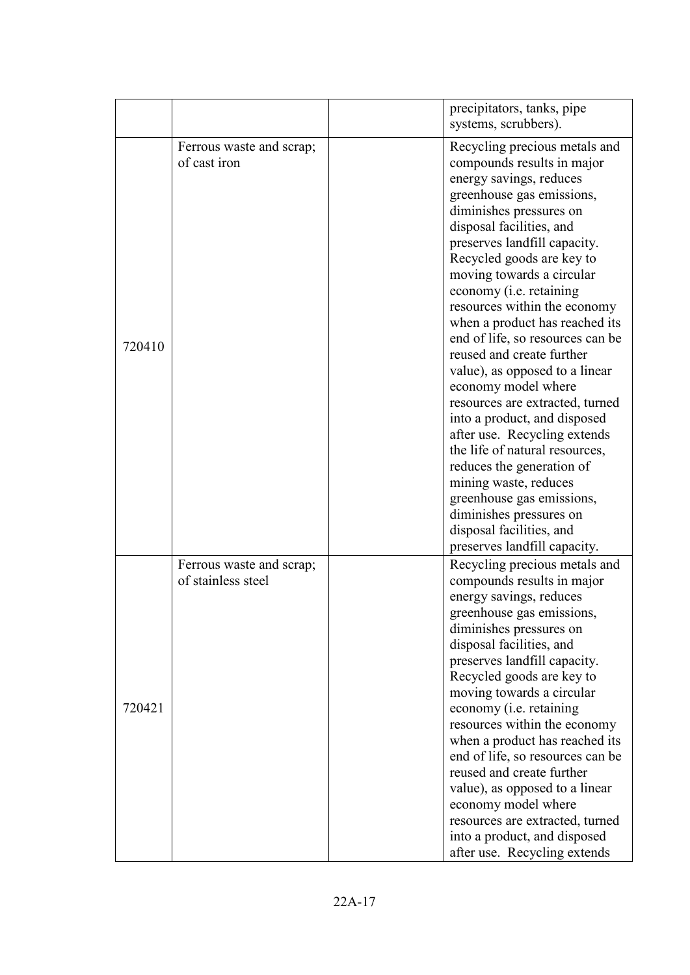|        |                                                | precipitators, tanks, pipe<br>systems, scrubbers).                                                                                                                                                                                                                                                                                                                                                                                                                                                                                                                                                                                                                                                                                                                                                         |
|--------|------------------------------------------------|------------------------------------------------------------------------------------------------------------------------------------------------------------------------------------------------------------------------------------------------------------------------------------------------------------------------------------------------------------------------------------------------------------------------------------------------------------------------------------------------------------------------------------------------------------------------------------------------------------------------------------------------------------------------------------------------------------------------------------------------------------------------------------------------------------|
| 720410 | Ferrous waste and scrap;<br>of cast iron       | Recycling precious metals and<br>compounds results in major<br>energy savings, reduces<br>greenhouse gas emissions,<br>diminishes pressures on<br>disposal facilities, and<br>preserves landfill capacity.<br>Recycled goods are key to<br>moving towards a circular<br>economy (i.e. retaining<br>resources within the economy<br>when a product has reached its<br>end of life, so resources can be<br>reused and create further<br>value), as opposed to a linear<br>economy model where<br>resources are extracted, turned<br>into a product, and disposed<br>after use. Recycling extends<br>the life of natural resources,<br>reduces the generation of<br>mining waste, reduces<br>greenhouse gas emissions,<br>diminishes pressures on<br>disposal facilities, and<br>preserves landfill capacity. |
| 720421 | Ferrous waste and scrap;<br>of stainless steel | Recycling precious metals and<br>compounds results in major<br>energy savings, reduces<br>greenhouse gas emissions,<br>diminishes pressures on<br>disposal facilities, and<br>preserves landfill capacity.<br>Recycled goods are key to<br>moving towards a circular<br>economy (i.e. retaining<br>resources within the economy<br>when a product has reached its<br>end of life, so resources can be<br>reused and create further<br>value), as opposed to a linear<br>economy model where<br>resources are extracted, turned<br>into a product, and disposed<br>after use. Recycling extends                                                                                                                                                                                                             |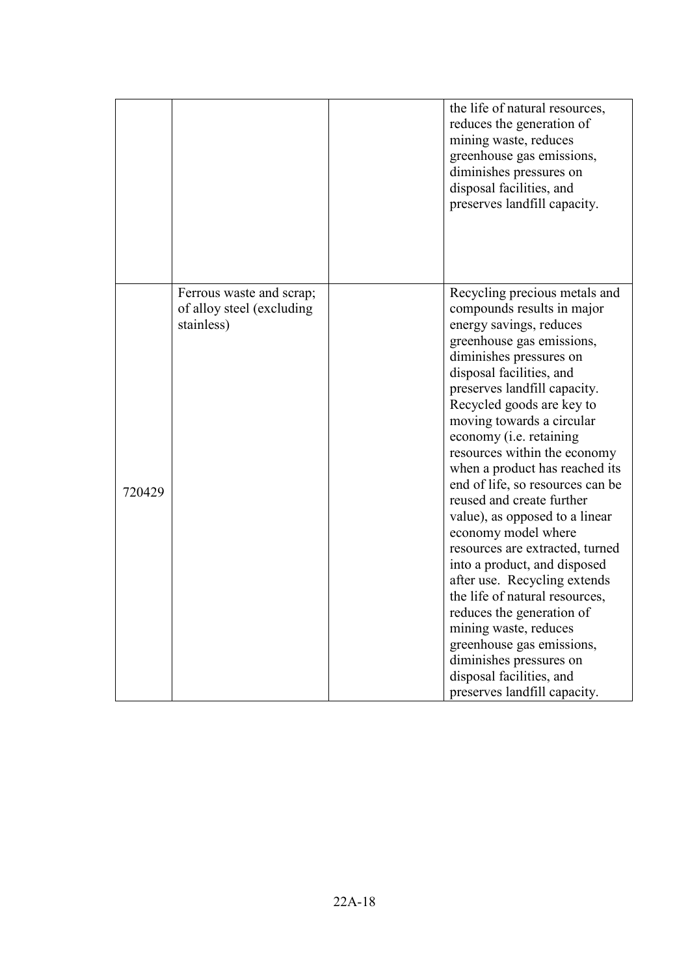|        |                                                                     | the life of natural resources,<br>reduces the generation of<br>mining waste, reduces<br>greenhouse gas emissions,<br>diminishes pressures on<br>disposal facilities, and<br>preserves landfill capacity.                                                                                                                                                                                                                                                                                                                                                                                                                                                                                                                                                                                                           |
|--------|---------------------------------------------------------------------|--------------------------------------------------------------------------------------------------------------------------------------------------------------------------------------------------------------------------------------------------------------------------------------------------------------------------------------------------------------------------------------------------------------------------------------------------------------------------------------------------------------------------------------------------------------------------------------------------------------------------------------------------------------------------------------------------------------------------------------------------------------------------------------------------------------------|
| 720429 | Ferrous waste and scrap;<br>of alloy steel (excluding<br>stainless) | Recycling precious metals and<br>compounds results in major<br>energy savings, reduces<br>greenhouse gas emissions,<br>diminishes pressures on<br>disposal facilities, and<br>preserves landfill capacity.<br>Recycled goods are key to<br>moving towards a circular<br>economy ( <i>i.e.</i> retaining<br>resources within the economy<br>when a product has reached its<br>end of life, so resources can be<br>reused and create further<br>value), as opposed to a linear<br>economy model where<br>resources are extracted, turned<br>into a product, and disposed<br>after use. Recycling extends<br>the life of natural resources,<br>reduces the generation of<br>mining waste, reduces<br>greenhouse gas emissions,<br>diminishes pressures on<br>disposal facilities, and<br>preserves landfill capacity. |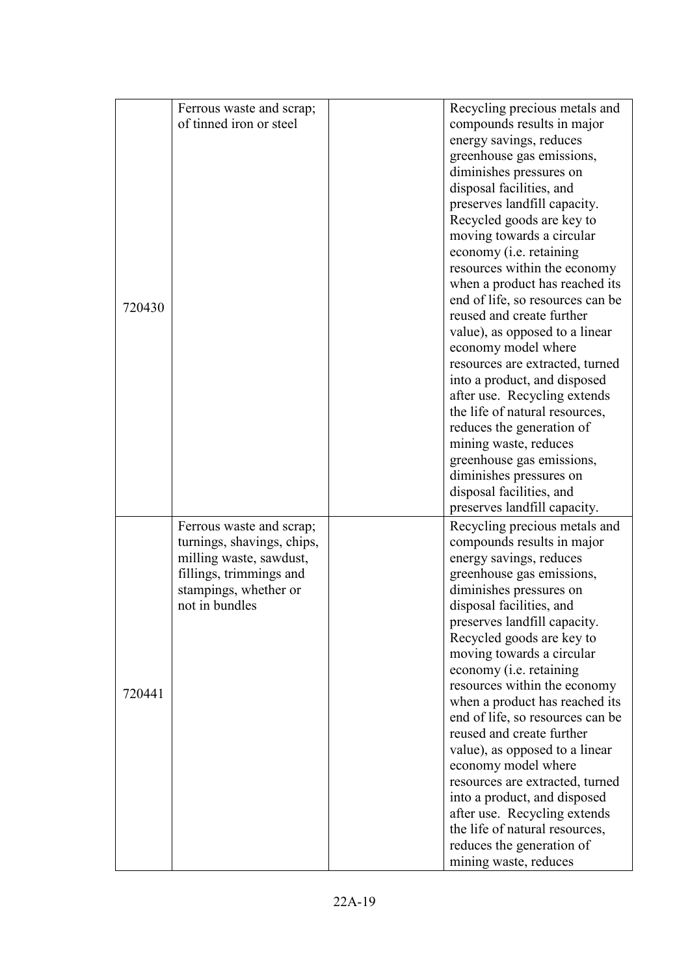|        | Ferrous waste and scrap;   | Recycling precious metals and                                      |
|--------|----------------------------|--------------------------------------------------------------------|
|        | of tinned iron or steel    | compounds results in major                                         |
|        |                            | energy savings, reduces                                            |
|        |                            | greenhouse gas emissions,                                          |
|        |                            | diminishes pressures on                                            |
|        |                            | disposal facilities, and                                           |
|        |                            | preserves landfill capacity.                                       |
|        |                            | Recycled goods are key to                                          |
|        |                            | moving towards a circular                                          |
|        |                            | economy (i.e. retaining                                            |
|        |                            | resources within the economy                                       |
|        |                            | when a product has reached its                                     |
|        |                            | end of life, so resources can be                                   |
| 720430 |                            | reused and create further                                          |
|        |                            | value), as opposed to a linear                                     |
|        |                            | economy model where                                                |
|        |                            | resources are extracted, turned                                    |
|        |                            | into a product, and disposed                                       |
|        |                            | after use. Recycling extends                                       |
|        |                            | the life of natural resources,                                     |
|        |                            | reduces the generation of                                          |
|        |                            | mining waste, reduces                                              |
|        |                            | greenhouse gas emissions,                                          |
|        |                            | diminishes pressures on                                            |
|        |                            | disposal facilities, and                                           |
|        |                            | preserves landfill capacity.                                       |
|        | Ferrous waste and scrap;   | Recycling precious metals and                                      |
|        | turnings, shavings, chips, | compounds results in major                                         |
|        | milling waste, sawdust,    | energy savings, reduces                                            |
|        | fillings, trimmings and    | greenhouse gas emissions,                                          |
|        | stampings, whether or      | diminishes pressures on                                            |
|        | not in bundles             | disposal facilities, and                                           |
|        |                            | preserves landfill capacity.                                       |
|        |                            | Recycled goods are key to                                          |
|        |                            | moving towards a circular                                          |
|        |                            | economy ( <i>i.e.</i> retaining                                    |
| 720441 |                            | resources within the economy                                       |
|        |                            | when a product has reached its<br>end of life, so resources can be |
|        |                            | reused and create further                                          |
|        |                            | value), as opposed to a linear                                     |
|        |                            | economy model where                                                |
|        |                            | resources are extracted, turned                                    |
|        |                            | into a product, and disposed                                       |
|        |                            | after use. Recycling extends                                       |
|        |                            | the life of natural resources,                                     |
|        |                            | reduces the generation of                                          |
|        |                            | mining waste, reduces                                              |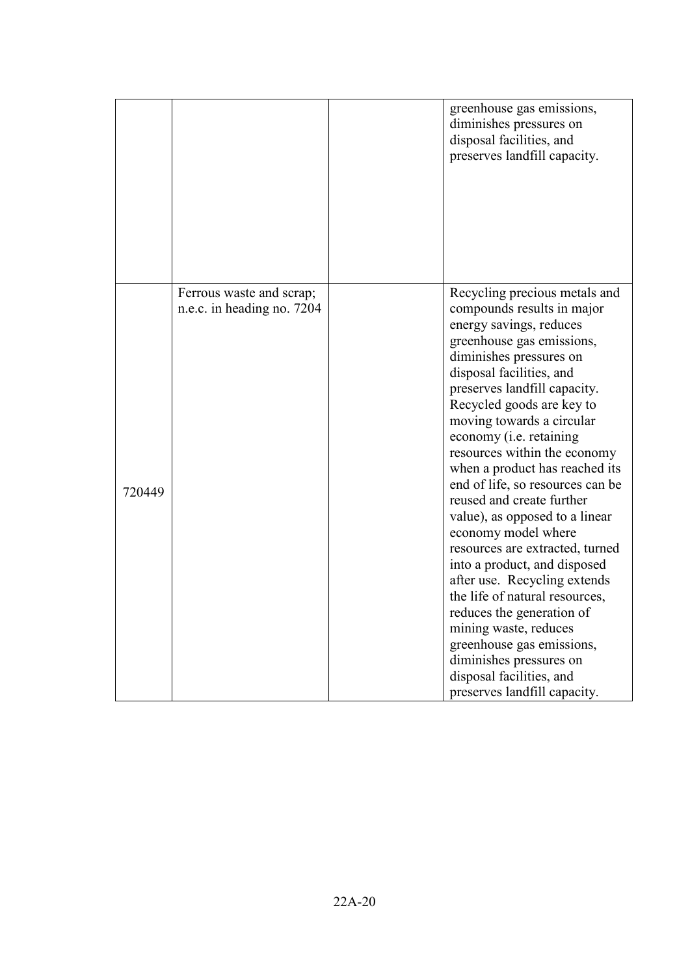|        |                                                        | greenhouse gas emissions,<br>diminishes pressures on<br>disposal facilities, and<br>preserves landfill capacity.                                                                                                                                                                                                                                                                                                                                                                                                                                                                                                                                                                                                                                                                                           |
|--------|--------------------------------------------------------|------------------------------------------------------------------------------------------------------------------------------------------------------------------------------------------------------------------------------------------------------------------------------------------------------------------------------------------------------------------------------------------------------------------------------------------------------------------------------------------------------------------------------------------------------------------------------------------------------------------------------------------------------------------------------------------------------------------------------------------------------------------------------------------------------------|
| 720449 | Ferrous waste and scrap;<br>n.e.c. in heading no. 7204 | Recycling precious metals and<br>compounds results in major<br>energy savings, reduces<br>greenhouse gas emissions,<br>diminishes pressures on<br>disposal facilities, and<br>preserves landfill capacity.<br>Recycled goods are key to<br>moving towards a circular<br>economy (i.e. retaining<br>resources within the economy<br>when a product has reached its<br>end of life, so resources can be<br>reused and create further<br>value), as opposed to a linear<br>economy model where<br>resources are extracted, turned<br>into a product, and disposed<br>after use. Recycling extends<br>the life of natural resources,<br>reduces the generation of<br>mining waste, reduces<br>greenhouse gas emissions,<br>diminishes pressures on<br>disposal facilities, and<br>preserves landfill capacity. |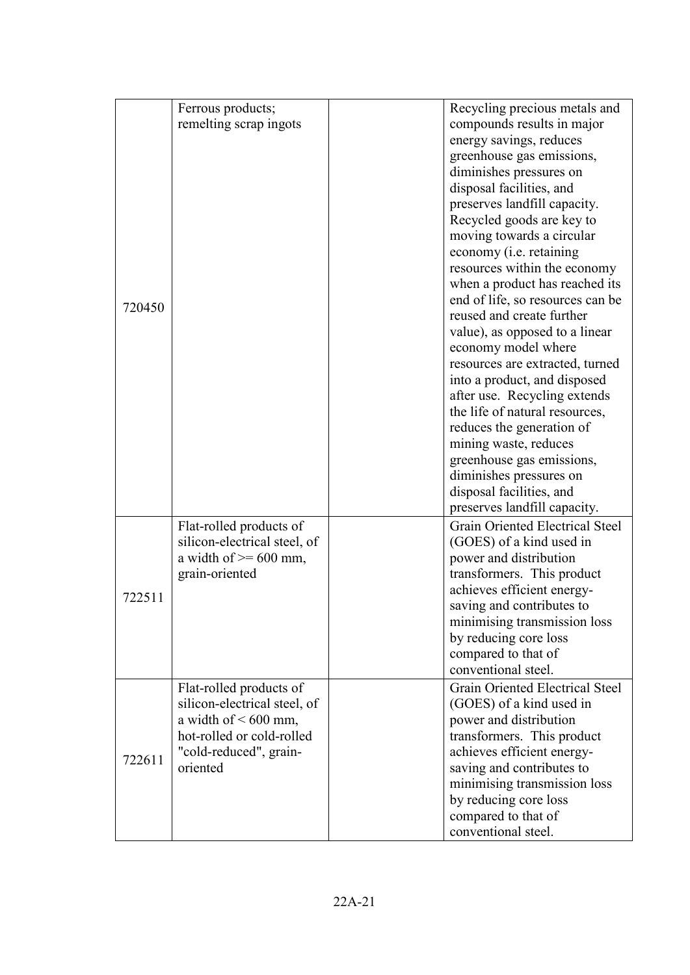|        | Ferrous products;                                         | Recycling precious metals and                      |
|--------|-----------------------------------------------------------|----------------------------------------------------|
|        | remelting scrap ingots                                    | compounds results in major                         |
|        |                                                           | energy savings, reduces                            |
|        |                                                           | greenhouse gas emissions,                          |
|        |                                                           | diminishes pressures on                            |
|        |                                                           | disposal facilities, and                           |
|        |                                                           | preserves landfill capacity.                       |
|        |                                                           | Recycled goods are key to                          |
|        |                                                           | moving towards a circular                          |
|        |                                                           | economy ( <i>i.e.</i> retaining                    |
|        |                                                           | resources within the economy                       |
|        |                                                           | when a product has reached its                     |
| 720450 |                                                           | end of life, so resources can be                   |
|        |                                                           | reused and create further                          |
|        |                                                           | value), as opposed to a linear                     |
|        |                                                           | economy model where                                |
|        |                                                           | resources are extracted, turned                    |
|        |                                                           | into a product, and disposed                       |
|        |                                                           | after use. Recycling extends                       |
|        |                                                           | the life of natural resources,                     |
|        |                                                           | reduces the generation of                          |
|        |                                                           | mining waste, reduces                              |
|        |                                                           | greenhouse gas emissions,                          |
|        |                                                           | diminishes pressures on                            |
|        |                                                           | disposal facilities, and                           |
|        |                                                           | preserves landfill capacity.                       |
|        | Flat-rolled products of                                   | Grain Oriented Electrical Steel                    |
|        | silicon-electrical steel, of<br>a width of $\geq 600$ mm, | (GOES) of a kind used in<br>power and distribution |
|        | grain-oriented                                            | transformers. This product                         |
|        |                                                           | achieves efficient energy-                         |
| 722511 |                                                           | saving and contributes to                          |
|        |                                                           | minimising transmission loss                       |
|        |                                                           | by reducing core loss                              |
|        |                                                           | compared to that of                                |
|        |                                                           | conventional steel.                                |
|        | Flat-rolled products of                                   | Grain Oriented Electrical Steel                    |
|        | silicon-electrical steel, of                              | (GOES) of a kind used in                           |
|        | a width of $\leq 600$ mm,                                 | power and distribution                             |
|        | hot-rolled or cold-rolled                                 | transformers. This product                         |
|        | "cold-reduced", grain-                                    | achieves efficient energy-                         |
| 722611 | oriented                                                  | saving and contributes to                          |
|        |                                                           | minimising transmission loss                       |
|        |                                                           | by reducing core loss                              |
|        |                                                           | compared to that of                                |
|        |                                                           | conventional steel.                                |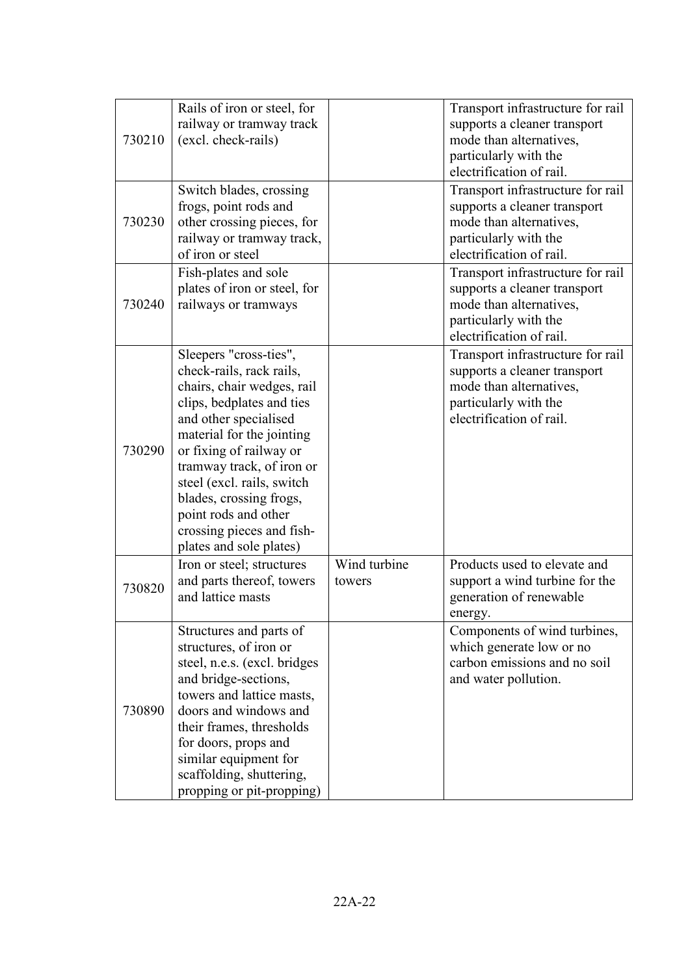| 730210 | Rails of iron or steel, for<br>railway or tramway track<br>(excl. check-rails)                                                                                                                                                                                                                                                                                       |                        | Transport infrastructure for rail<br>supports a cleaner transport<br>mode than alternatives,<br>particularly with the                                                         |
|--------|----------------------------------------------------------------------------------------------------------------------------------------------------------------------------------------------------------------------------------------------------------------------------------------------------------------------------------------------------------------------|------------------------|-------------------------------------------------------------------------------------------------------------------------------------------------------------------------------|
| 730230 | Switch blades, crossing<br>frogs, point rods and<br>other crossing pieces, for<br>railway or tramway track,<br>of iron or steel                                                                                                                                                                                                                                      |                        | electrification of rail.<br>Transport infrastructure for rail<br>supports a cleaner transport<br>mode than alternatives,<br>particularly with the<br>electrification of rail. |
| 730240 | Fish-plates and sole<br>plates of iron or steel, for<br>railways or tramways                                                                                                                                                                                                                                                                                         |                        | Transport infrastructure for rail<br>supports a cleaner transport<br>mode than alternatives,<br>particularly with the<br>electrification of rail.                             |
| 730290 | Sleepers "cross-ties",<br>check-rails, rack rails,<br>chairs, chair wedges, rail<br>clips, bedplates and ties<br>and other specialised<br>material for the jointing<br>or fixing of railway or<br>tramway track, of iron or<br>steel (excl. rails, switch<br>blades, crossing frogs,<br>point rods and other<br>crossing pieces and fish-<br>plates and sole plates) |                        | Transport infrastructure for rail<br>supports a cleaner transport<br>mode than alternatives,<br>particularly with the<br>electrification of rail.                             |
| 730820 | Iron or steel; structures<br>and parts thereof, towers<br>and lattice masts                                                                                                                                                                                                                                                                                          | Wind turbine<br>towers | Products used to elevate and<br>support a wind turbine for the<br>generation of renewable<br>energy.                                                                          |
| 730890 | Structures and parts of<br>structures, of iron or<br>steel, n.e.s. (excl. bridges<br>and bridge-sections,<br>towers and lattice masts,<br>doors and windows and<br>their frames, thresholds<br>for doors, props and<br>similar equipment for<br>scaffolding, shuttering,<br>propping or pit-propping)                                                                |                        | Components of wind turbines,<br>which generate low or no<br>carbon emissions and no soil<br>and water pollution.                                                              |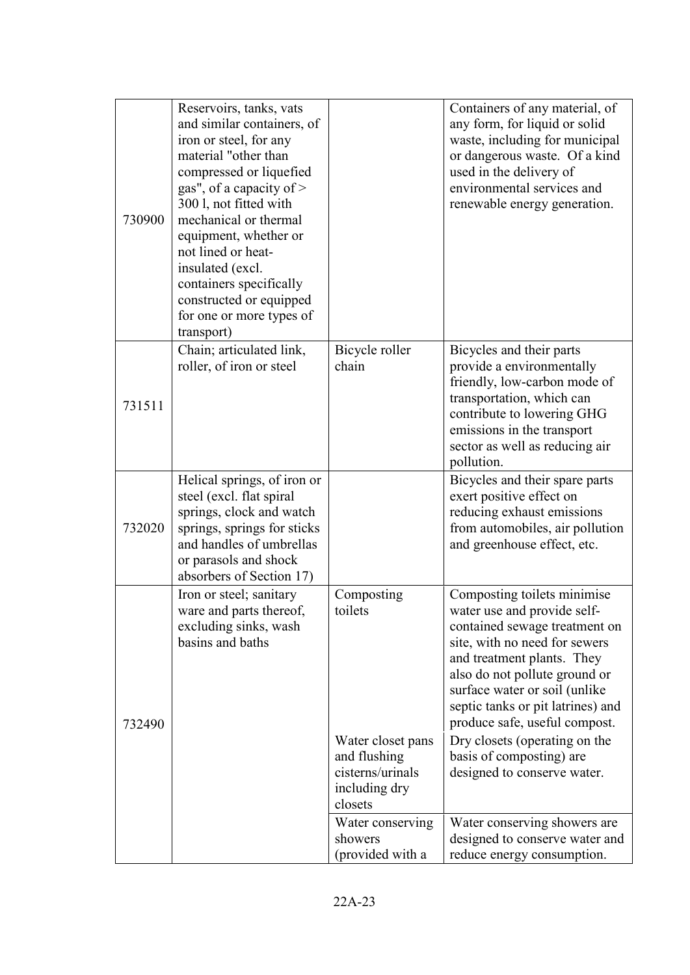| 730900 | Reservoirs, tanks, vats<br>and similar containers, of<br>iron or steel, for any<br>material "other than<br>compressed or liquefied<br>gas", of a capacity of $>$<br>300 l, not fitted with<br>mechanical or thermal<br>equipment, whether or<br>not lined or heat-<br>insulated (excl.<br>containers specifically<br>constructed or equipped<br>for one or more types of<br>transport) |                                                                                   | Containers of any material, of<br>any form, for liquid or solid<br>waste, including for municipal<br>or dangerous waste. Of a kind<br>used in the delivery of<br>environmental services and<br>renewable energy generation.                                                                        |
|--------|----------------------------------------------------------------------------------------------------------------------------------------------------------------------------------------------------------------------------------------------------------------------------------------------------------------------------------------------------------------------------------------|-----------------------------------------------------------------------------------|----------------------------------------------------------------------------------------------------------------------------------------------------------------------------------------------------------------------------------------------------------------------------------------------------|
| 731511 | Chain; articulated link,<br>roller, of iron or steel                                                                                                                                                                                                                                                                                                                                   | Bicycle roller<br>chain                                                           | Bicycles and their parts<br>provide a environmentally<br>friendly, low-carbon mode of<br>transportation, which can<br>contribute to lowering GHG<br>emissions in the transport<br>sector as well as reducing air<br>pollution.                                                                     |
| 732020 | Helical springs, of iron or<br>steel (excl. flat spiral<br>springs, clock and watch<br>springs, springs for sticks<br>and handles of umbrellas<br>or parasols and shock<br>absorbers of Section 17)                                                                                                                                                                                    |                                                                                   | Bicycles and their spare parts<br>exert positive effect on<br>reducing exhaust emissions<br>from automobiles, air pollution<br>and greenhouse effect, etc.                                                                                                                                         |
| 732490 | Iron or steel; sanitary<br>ware and parts thereof,<br>excluding sinks, wash<br>basins and baths                                                                                                                                                                                                                                                                                        | Composting<br>toilets                                                             | Composting toilets minimise<br>water use and provide self-<br>contained sewage treatment on<br>site, with no need for sewers<br>and treatment plants. They<br>also do not pollute ground or<br>surface water or soil (unlike<br>septic tanks or pit latrines) and<br>produce safe, useful compost. |
|        |                                                                                                                                                                                                                                                                                                                                                                                        | Water closet pans<br>and flushing<br>cisterns/urinals<br>including dry<br>closets | Dry closets (operating on the<br>basis of composting) are<br>designed to conserve water.                                                                                                                                                                                                           |
|        |                                                                                                                                                                                                                                                                                                                                                                                        | Water conserving<br>showers<br>(provided with a                                   | Water conserving showers are<br>designed to conserve water and<br>reduce energy consumption.                                                                                                                                                                                                       |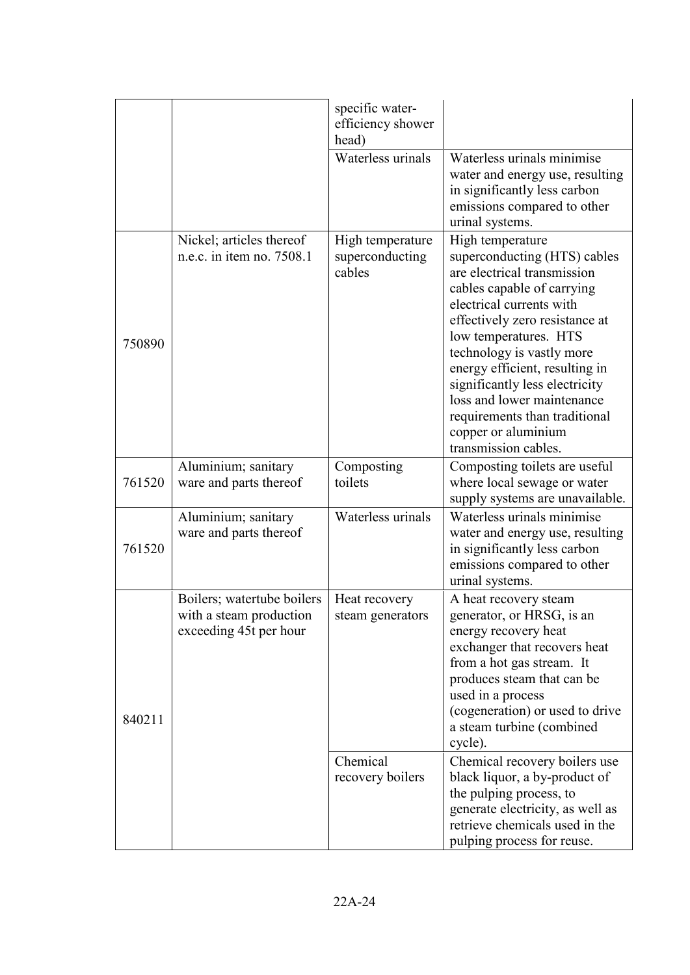|        |                                                                                 | specific water-<br>efficiency shower<br>head) |                                                                                                                                                                                                                                                                                                                                                                                                                     |
|--------|---------------------------------------------------------------------------------|-----------------------------------------------|---------------------------------------------------------------------------------------------------------------------------------------------------------------------------------------------------------------------------------------------------------------------------------------------------------------------------------------------------------------------------------------------------------------------|
|        |                                                                                 | Waterless urinals                             | Waterless urinals minimise<br>water and energy use, resulting<br>in significantly less carbon<br>emissions compared to other<br>urinal systems.                                                                                                                                                                                                                                                                     |
| 750890 | Nickel; articles thereof<br>n.e.c. in item no. 7508.1                           | High temperature<br>superconducting<br>cables | High temperature<br>superconducting (HTS) cables<br>are electrical transmission<br>cables capable of carrying<br>electrical currents with<br>effectively zero resistance at<br>low temperatures. HTS<br>technology is vastly more<br>energy efficient, resulting in<br>significantly less electricity<br>loss and lower maintenance<br>requirements than traditional<br>copper or aluminium<br>transmission cables. |
| 761520 | Aluminium; sanitary<br>ware and parts thereof                                   | Composting<br>toilets                         | Composting toilets are useful<br>where local sewage or water<br>supply systems are unavailable.                                                                                                                                                                                                                                                                                                                     |
| 761520 | Aluminium; sanitary<br>ware and parts thereof                                   | Waterless urinals                             | Waterless urinals minimise<br>water and energy use, resulting<br>in significantly less carbon<br>emissions compared to other<br>urinal systems.                                                                                                                                                                                                                                                                     |
| 840211 | Boilers; watertube boilers<br>with a steam production<br>exceeding 45t per hour | Heat recovery<br>steam generators             | A heat recovery steam<br>generator, or HRSG, is an<br>energy recovery heat<br>exchanger that recovers heat<br>from a hot gas stream. It<br>produces steam that can be<br>used in a process<br>(cogeneration) or used to drive<br>a steam turbine (combined<br>cycle).                                                                                                                                               |
|        |                                                                                 | Chemical<br>recovery boilers                  | Chemical recovery boilers use<br>black liquor, a by-product of<br>the pulping process, to<br>generate electricity, as well as<br>retrieve chemicals used in the<br>pulping process for reuse.                                                                                                                                                                                                                       |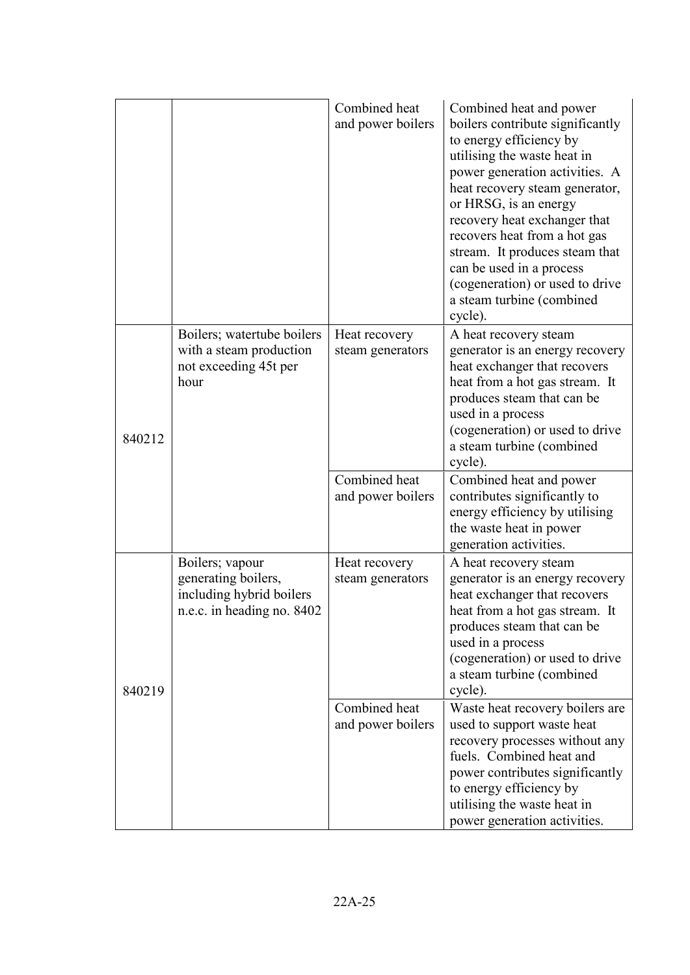|        |                                                                                                  | Combined heat<br>and power boilers | Combined heat and power<br>boilers contribute significantly<br>to energy efficiency by<br>utilising the waste heat in<br>power generation activities. A<br>heat recovery steam generator,<br>or HRSG, is an energy<br>recovery heat exchanger that<br>recovers heat from a hot gas<br>stream. It produces steam that<br>can be used in a process<br>(cogeneration) or used to drive<br>a steam turbine (combined<br>cycle). |
|--------|--------------------------------------------------------------------------------------------------|------------------------------------|-----------------------------------------------------------------------------------------------------------------------------------------------------------------------------------------------------------------------------------------------------------------------------------------------------------------------------------------------------------------------------------------------------------------------------|
| 840212 | Boilers; watertube boilers<br>with a steam production<br>not exceeding 45t per<br>hour           | Heat recovery<br>steam generators  | A heat recovery steam<br>generator is an energy recovery<br>heat exchanger that recovers<br>heat from a hot gas stream. It<br>produces steam that can be<br>used in a process<br>(cogeneration) or used to drive<br>a steam turbine (combined<br>cycle).                                                                                                                                                                    |
|        |                                                                                                  | Combined heat<br>and power boilers | Combined heat and power<br>contributes significantly to<br>energy efficiency by utilising<br>the waste heat in power<br>generation activities.                                                                                                                                                                                                                                                                              |
| 840219 | Boilers; vapour<br>generating boilers,<br>including hybrid boilers<br>n.e.c. in heading no. 8402 | Heat recovery<br>steam generators  | A heat recovery steam<br>generator is an energy recovery<br>heat exchanger that recovers<br>heat from a hot gas stream. It<br>produces steam that can be<br>used in a process<br>(cogeneration) or used to drive<br>a steam turbine (combined<br>cycle).                                                                                                                                                                    |
|        |                                                                                                  | Combined heat<br>and power boilers | Waste heat recovery boilers are<br>used to support waste heat<br>recovery processes without any<br>fuels. Combined heat and<br>power contributes significantly<br>to energy efficiency by<br>utilising the waste heat in<br>power generation activities.                                                                                                                                                                    |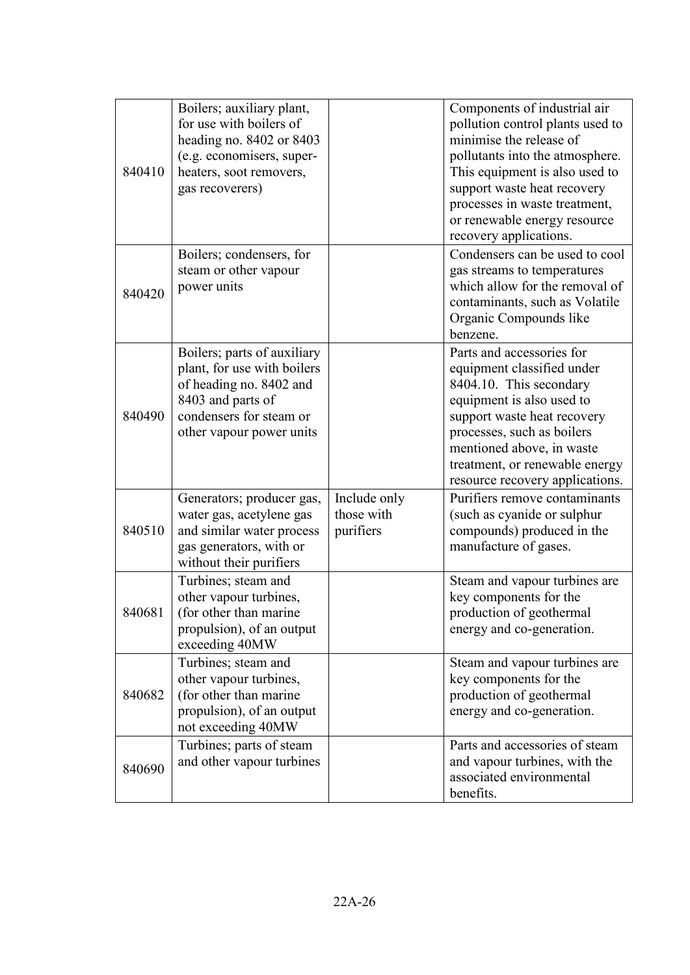| 840410 | Boilers; auxiliary plant,<br>for use with boilers of<br>heading no. $8402$ or $8403$<br>(e.g. economisers, super-<br>heaters, soot removers,<br>gas recoverers)   |                                         | Components of industrial air<br>pollution control plants used to<br>minimise the release of<br>pollutants into the atmosphere.<br>This equipment is also used to<br>support waste heat recovery<br>processes in waste treatment,<br>or renewable energy resource<br>recovery applications. |
|--------|-------------------------------------------------------------------------------------------------------------------------------------------------------------------|-----------------------------------------|--------------------------------------------------------------------------------------------------------------------------------------------------------------------------------------------------------------------------------------------------------------------------------------------|
| 840420 | Boilers; condensers, for<br>steam or other vapour<br>power units                                                                                                  |                                         | Condensers can be used to cool<br>gas streams to temperatures<br>which allow for the removal of<br>contaminants, such as Volatile<br>Organic Compounds like<br>benzene.                                                                                                                    |
| 840490 | Boilers; parts of auxiliary<br>plant, for use with boilers<br>of heading no. 8402 and<br>8403 and parts of<br>condensers for steam or<br>other vapour power units |                                         | Parts and accessories for<br>equipment classified under<br>8404.10. This secondary<br>equipment is also used to<br>support waste heat recovery<br>processes, such as boilers<br>mentioned above, in waste<br>treatment, or renewable energy<br>resource recovery applications.             |
| 840510 | Generators; producer gas,<br>water gas, acetylene gas<br>and similar water process<br>gas generators, with or<br>without their purifiers                          | Include only<br>those with<br>purifiers | Purifiers remove contaminants<br>(such as cyanide or sulphur<br>compounds) produced in the<br>manufacture of gases.                                                                                                                                                                        |
| 840681 | Turbines; steam and<br>other vapour turbines,<br>(for other than marine<br>propulsion), of an output<br>exceeding 40MW                                            |                                         | Steam and vapour turbines are<br>key components for the<br>production of geothermal<br>energy and co-generation.                                                                                                                                                                           |
| 840682 | Turbines; steam and<br>other vapour turbines,<br>(for other than marine<br>propulsion), of an output<br>not exceeding 40MW                                        |                                         | Steam and vapour turbines are<br>key components for the<br>production of geothermal<br>energy and co-generation.                                                                                                                                                                           |
| 840690 | Turbines; parts of steam<br>and other vapour turbines                                                                                                             |                                         | Parts and accessories of steam<br>and vapour turbines, with the<br>associated environmental<br>benefits.                                                                                                                                                                                   |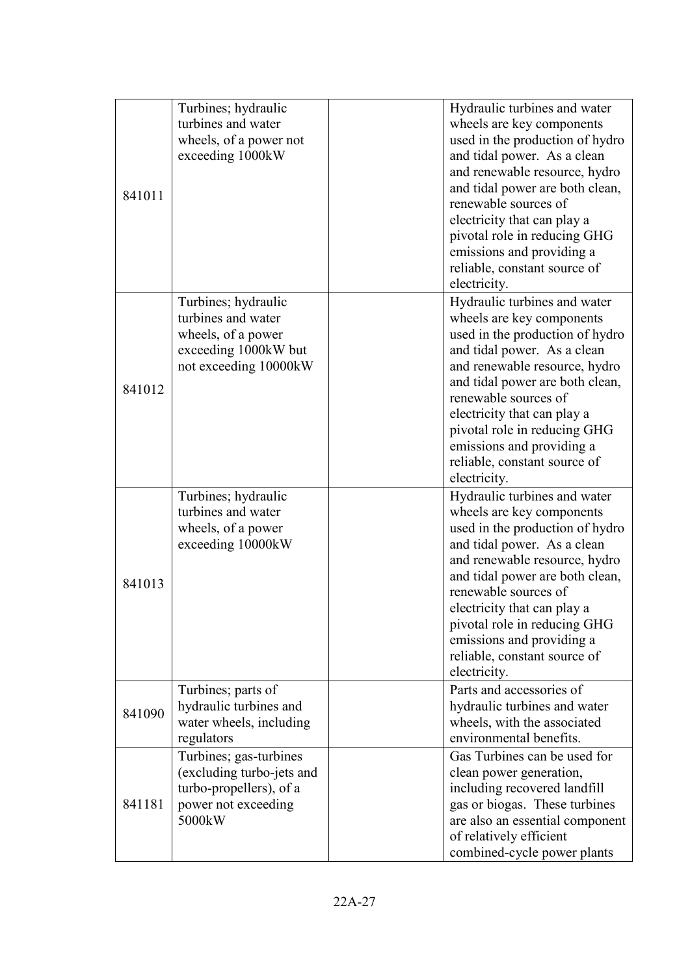| 841011 | Turbines; hydraulic<br>turbines and water<br>wheels, of a power not<br>exceeding 1000kW                          | Hydraulic turbines and water<br>wheels are key components<br>used in the production of hydro<br>and tidal power. As a clean<br>and renewable resource, hydro<br>and tidal power are both clean,<br>renewable sources of<br>electricity that can play a<br>pivotal role in reducing GHG<br>emissions and providing a<br>reliable, constant source of<br>electricity. |  |
|--------|------------------------------------------------------------------------------------------------------------------|---------------------------------------------------------------------------------------------------------------------------------------------------------------------------------------------------------------------------------------------------------------------------------------------------------------------------------------------------------------------|--|
| 841012 | Turbines; hydraulic<br>turbines and water<br>wheels, of a power<br>exceeding 1000kW but<br>not exceeding 10000kW | Hydraulic turbines and water<br>wheels are key components<br>used in the production of hydro<br>and tidal power. As a clean<br>and renewable resource, hydro<br>and tidal power are both clean,<br>renewable sources of<br>electricity that can play a<br>pivotal role in reducing GHG<br>emissions and providing a<br>reliable, constant source of<br>electricity. |  |
| 841013 | Turbines; hydraulic<br>turbines and water<br>wheels, of a power<br>exceeding 10000kW                             | Hydraulic turbines and water<br>wheels are key components<br>used in the production of hydro<br>and tidal power. As a clean<br>and renewable resource, hydro<br>and tidal power are both clean,<br>renewable sources of<br>electricity that can play a<br>pivotal role in reducing GHG<br>emissions and providing a<br>reliable, constant source of<br>electricity. |  |
| 841090 | Turbines; parts of<br>hydraulic turbines and<br>water wheels, including<br>regulators                            | Parts and accessories of<br>hydraulic turbines and water<br>wheels, with the associated<br>environmental benefits.                                                                                                                                                                                                                                                  |  |
| 841181 | Turbines; gas-turbines<br>(excluding turbo-jets and<br>turbo-propellers), of a<br>power not exceeding<br>5000kW  | Gas Turbines can be used for<br>clean power generation,<br>including recovered landfill<br>gas or biogas. These turbines<br>are also an essential component<br>of relatively efficient<br>combined-cycle power plants                                                                                                                                               |  |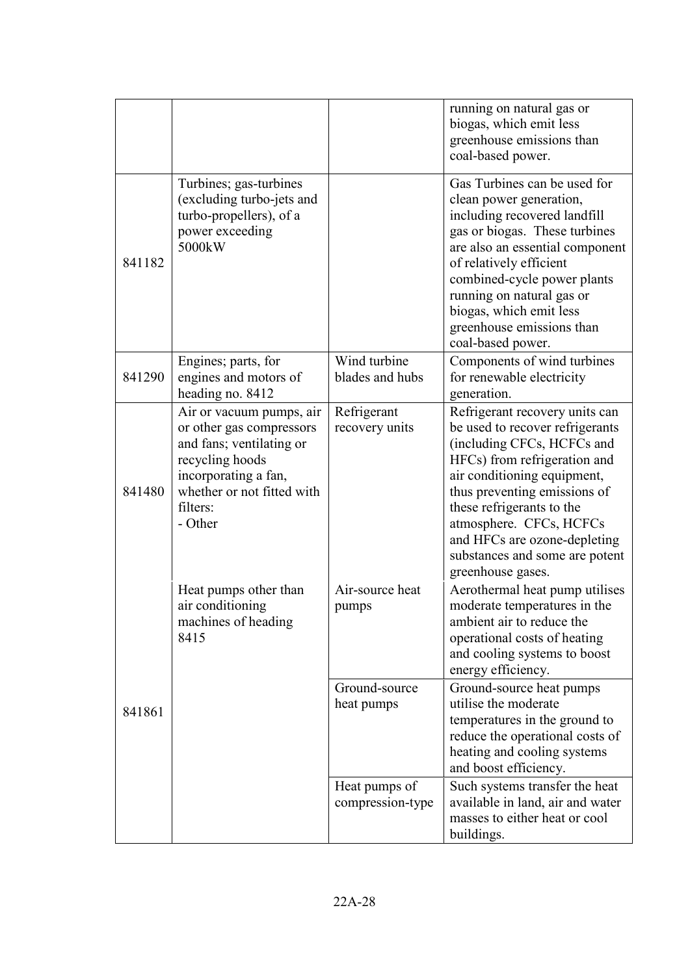|        |                                                                                                                                                                                  |                                   | running on natural gas or<br>biogas, which emit less<br>greenhouse emissions than<br>coal-based power.                                                                                                                                                                                                                                        |
|--------|----------------------------------------------------------------------------------------------------------------------------------------------------------------------------------|-----------------------------------|-----------------------------------------------------------------------------------------------------------------------------------------------------------------------------------------------------------------------------------------------------------------------------------------------------------------------------------------------|
| 841182 | Turbines; gas-turbines<br>(excluding turbo-jets and<br>turbo-propellers), of a<br>power exceeding<br>5000kW                                                                      |                                   | Gas Turbines can be used for<br>clean power generation,<br>including recovered landfill<br>gas or biogas. These turbines<br>are also an essential component<br>of relatively efficient<br>combined-cycle power plants<br>running on natural gas or<br>biogas, which emit less<br>greenhouse emissions than<br>coal-based power.               |
| 841290 | Engines; parts, for<br>engines and motors of<br>heading no. 8412                                                                                                                 | Wind turbine<br>blades and hubs   | Components of wind turbines<br>for renewable electricity<br>generation.                                                                                                                                                                                                                                                                       |
| 841480 | Air or vacuum pumps, air<br>or other gas compressors<br>and fans; ventilating or<br>recycling hoods<br>incorporating a fan,<br>whether or not fitted with<br>filters:<br>- Other | Refrigerant<br>recovery units     | Refrigerant recovery units can<br>be used to recover refrigerants<br>(including CFCs, HCFCs and<br>HFCs) from refrigeration and<br>air conditioning equipment,<br>thus preventing emissions of<br>these refrigerants to the<br>atmosphere. CFCs, HCFCs<br>and HFCs are ozone-depleting<br>substances and some are potent<br>greenhouse gases. |
|        | Heat pumps other than<br>air conditioning<br>machines of heading<br>8415                                                                                                         | Air-source heat<br>pumps          | Aerothermal heat pump utilises<br>moderate temperatures in the<br>ambient air to reduce the<br>operational costs of heating<br>and cooling systems to boost<br>energy efficiency.                                                                                                                                                             |
| 841861 |                                                                                                                                                                                  | Ground-source<br>heat pumps       | Ground-source heat pumps<br>utilise the moderate<br>temperatures in the ground to<br>reduce the operational costs of<br>heating and cooling systems<br>and boost efficiency.                                                                                                                                                                  |
|        |                                                                                                                                                                                  | Heat pumps of<br>compression-type | Such systems transfer the heat<br>available in land, air and water<br>masses to either heat or cool<br>buildings.                                                                                                                                                                                                                             |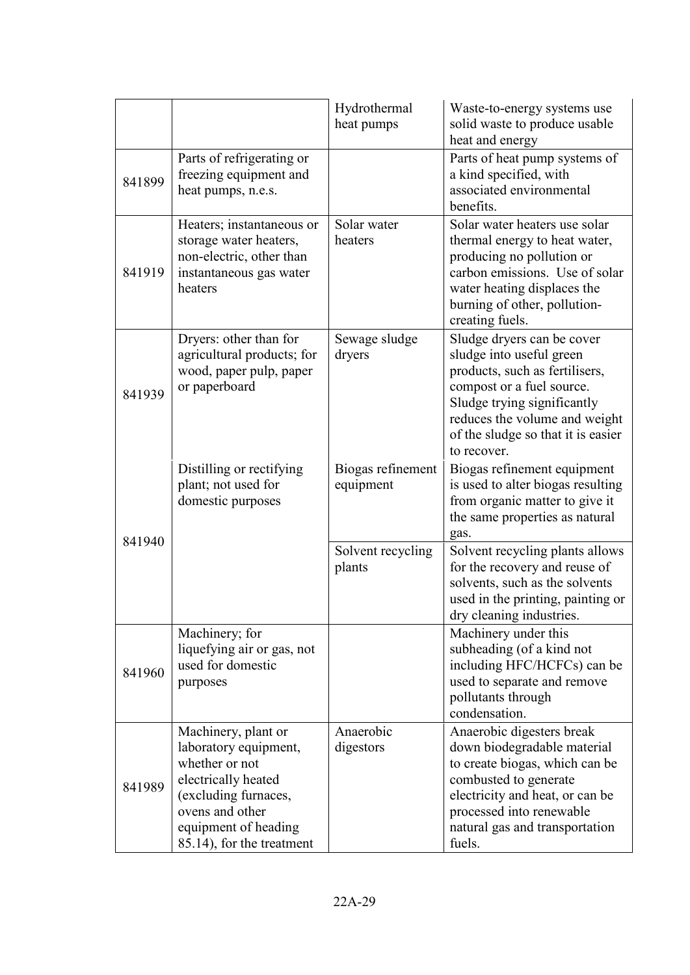|        |                                                                                                                                                                                       | Hydrothermal<br>heat pumps     | Waste-to-energy systems use<br>solid waste to produce usable<br>heat and energy                                                                                                                                                            |
|--------|---------------------------------------------------------------------------------------------------------------------------------------------------------------------------------------|--------------------------------|--------------------------------------------------------------------------------------------------------------------------------------------------------------------------------------------------------------------------------------------|
| 841899 | Parts of refrigerating or<br>freezing equipment and<br>heat pumps, n.e.s.                                                                                                             |                                | Parts of heat pump systems of<br>a kind specified, with<br>associated environmental<br>benefits.                                                                                                                                           |
| 841919 | Heaters; instantaneous or<br>storage water heaters,<br>non-electric, other than<br>instantaneous gas water<br>heaters                                                                 | Solar water<br>heaters         | Solar water heaters use solar<br>thermal energy to heat water,<br>producing no pollution or<br>carbon emissions. Use of solar<br>water heating displaces the<br>burning of other, pollution-<br>creating fuels.                            |
| 841939 | Dryers: other than for<br>agricultural products; for<br>wood, paper pulp, paper<br>or paperboard                                                                                      | Sewage sludge<br>dryers        | Sludge dryers can be cover<br>sludge into useful green<br>products, such as fertilisers,<br>compost or a fuel source.<br>Sludge trying significantly<br>reduces the volume and weight<br>of the sludge so that it is easier<br>to recover. |
| 841940 | Distilling or rectifying<br>plant; not used for<br>domestic purposes                                                                                                                  | Biogas refinement<br>equipment | Biogas refinement equipment<br>is used to alter biogas resulting<br>from organic matter to give it<br>the same properties as natural<br>gas.                                                                                               |
|        |                                                                                                                                                                                       | Solvent recycling<br>plants    | Solvent recycling plants allows<br>for the recovery and reuse of<br>solvents, such as the solvents<br>used in the printing, painting or<br>dry cleaning industries.                                                                        |
| 841960 | Machinery; for<br>liquefying air or gas, not<br>used for domestic<br>purposes                                                                                                         |                                | Machinery under this<br>subheading (of a kind not<br>including HFC/HCFCs) can be<br>used to separate and remove<br>pollutants through<br>condensation.                                                                                     |
| 841989 | Machinery, plant or<br>laboratory equipment,<br>whether or not<br>electrically heated<br>(excluding furnaces,<br>ovens and other<br>equipment of heading<br>85.14), for the treatment | Anaerobic<br>digestors         | Anaerobic digesters break<br>down biodegradable material<br>to create biogas, which can be<br>combusted to generate<br>electricity and heat, or can be<br>processed into renewable<br>natural gas and transportation<br>fuels.             |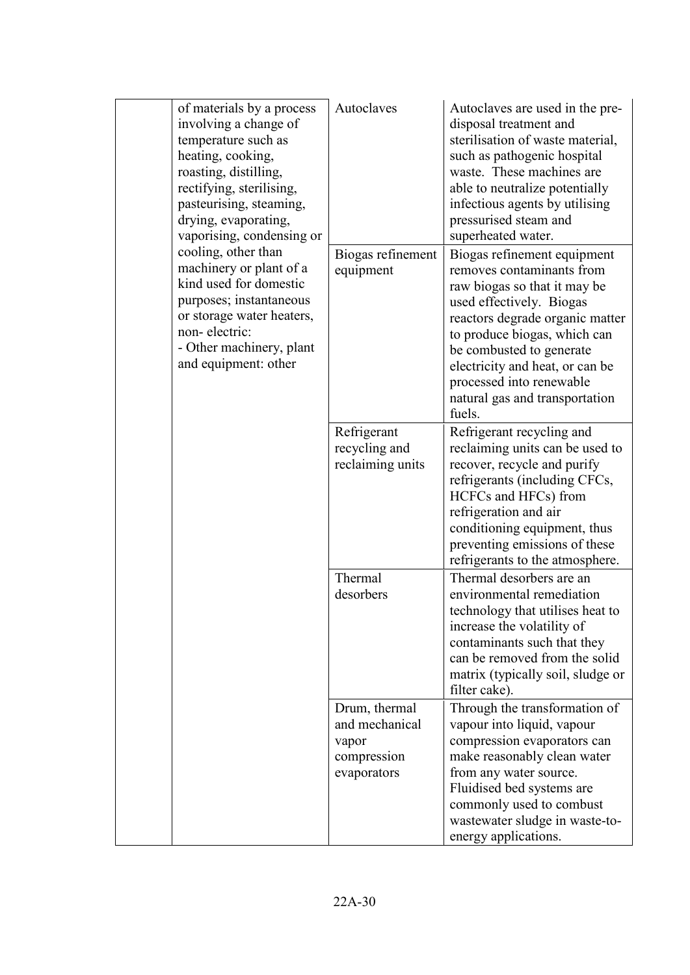| temperature such as<br>heating, cooking,<br>roasting, distilling,<br>rectifying, sterilising,<br>drying, evaporating,<br>vaporising, condensing or<br>cooling, other than<br>non-electric:<br>and equipment: other | of materials by a process<br>involving a change of<br>pasteurising, steaming,                                                         | Autoclaves                                                             | Autoclaves are used in the pre-<br>disposal treatment and<br>sterilisation of waste material,<br>such as pathogenic hospital<br>waste. These machines are<br>able to neutralize potentially<br>infectious agents by utilising<br>pressurised steam and<br>superheated water.                                                   |
|--------------------------------------------------------------------------------------------------------------------------------------------------------------------------------------------------------------------|---------------------------------------------------------------------------------------------------------------------------------------|------------------------------------------------------------------------|--------------------------------------------------------------------------------------------------------------------------------------------------------------------------------------------------------------------------------------------------------------------------------------------------------------------------------|
|                                                                                                                                                                                                                    | machinery or plant of a<br>kind used for domestic<br>purposes; instantaneous<br>or storage water heaters,<br>- Other machinery, plant | Biogas refinement<br>equipment                                         | Biogas refinement equipment<br>removes contaminants from<br>raw biogas so that it may be<br>used effectively. Biogas<br>reactors degrade organic matter<br>to produce biogas, which can<br>be combusted to generate<br>electricity and heat, or can be<br>processed into renewable<br>natural gas and transportation<br>fuels. |
|                                                                                                                                                                                                                    |                                                                                                                                       | Refrigerant<br>recycling and<br>reclaiming units                       | Refrigerant recycling and<br>reclaiming units can be used to<br>recover, recycle and purify<br>refrigerants (including CFCs,<br>HCFCs and HFCs) from<br>refrigeration and air<br>conditioning equipment, thus<br>preventing emissions of these<br>refrigerants to the atmosphere.                                              |
|                                                                                                                                                                                                                    |                                                                                                                                       | Thermal<br>desorbers                                                   | Thermal desorbers are an<br>environmental remediation<br>technology that utilises heat to<br>increase the volatility of<br>contaminants such that they<br>can be removed from the solid<br>matrix (typically soil, sludge or<br>filter cake).                                                                                  |
|                                                                                                                                                                                                                    |                                                                                                                                       | Drum, thermal<br>and mechanical<br>vapor<br>compression<br>evaporators | Through the transformation of<br>vapour into liquid, vapour<br>compression evaporators can<br>make reasonably clean water<br>from any water source.<br>Fluidised bed systems are<br>commonly used to combust<br>wastewater sludge in waste-to-<br>energy applications.                                                         |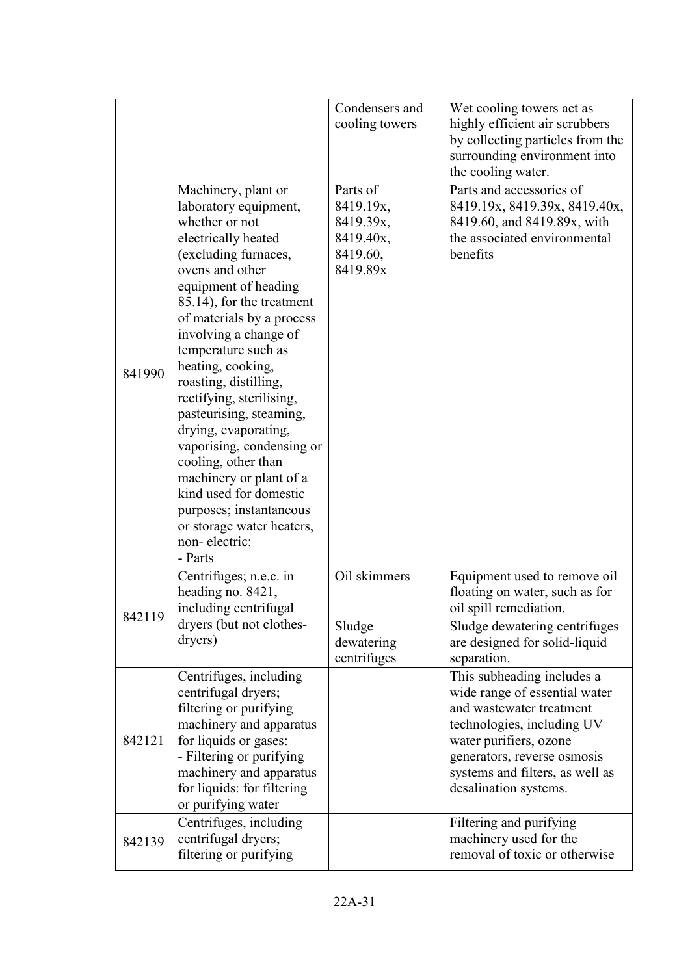|        |                                                                                                                                                                                                                                                                                                                                                                                                                                                                                                                                                                                              | Condensers and<br>cooling towers                                        | Wet cooling towers act as<br>highly efficient air scrubbers<br>by collecting particles from the<br>surrounding environment into<br>the cooling water.                                                                                      |
|--------|----------------------------------------------------------------------------------------------------------------------------------------------------------------------------------------------------------------------------------------------------------------------------------------------------------------------------------------------------------------------------------------------------------------------------------------------------------------------------------------------------------------------------------------------------------------------------------------------|-------------------------------------------------------------------------|--------------------------------------------------------------------------------------------------------------------------------------------------------------------------------------------------------------------------------------------|
| 841990 | Machinery, plant or<br>laboratory equipment,<br>whether or not<br>electrically heated<br>(excluding furnaces,<br>ovens and other<br>equipment of heading<br>85.14), for the treatment<br>of materials by a process<br>involving a change of<br>temperature such as<br>heating, cooking,<br>roasting, distilling,<br>rectifying, sterilising,<br>pasteurising, steaming,<br>drying, evaporating,<br>vaporising, condensing or<br>cooling, other than<br>machinery or plant of a<br>kind used for domestic<br>purposes; instantaneous<br>or storage water heaters,<br>non-electric:<br>- Parts | Parts of<br>8419.19x,<br>8419.39x,<br>8419.40x,<br>8419.60,<br>8419.89x | Parts and accessories of<br>8419.19x, 8419.39x, 8419.40x,<br>8419.60, and 8419.89x, with<br>the associated environmental<br>benefits                                                                                                       |
| 842119 | Centrifuges; n.e.c. in<br>heading no. 8421,<br>including centrifugal<br>dryers (but not clothes-<br>dryers)                                                                                                                                                                                                                                                                                                                                                                                                                                                                                  | Oil skimmers<br>Sludge<br>dewatering<br>centrifuges                     | Equipment used to remove oil<br>floating on water, such as for<br>oil spill remediation.<br>Sludge dewatering centrifuges<br>are designed for solid-liquid<br>separation.                                                                  |
| 842121 | Centrifuges, including<br>centrifugal dryers;<br>filtering or purifying<br>machinery and apparatus<br>for liquids or gases:<br>- Filtering or purifying<br>machinery and apparatus<br>for liquids: for filtering<br>or purifying water                                                                                                                                                                                                                                                                                                                                                       |                                                                         | This subheading includes a<br>wide range of essential water<br>and wastewater treatment<br>technologies, including UV<br>water purifiers, ozone<br>generators, reverse osmosis<br>systems and filters, as well as<br>desalination systems. |
| 842139 | Centrifuges, including<br>centrifugal dryers;<br>filtering or purifying                                                                                                                                                                                                                                                                                                                                                                                                                                                                                                                      |                                                                         | Filtering and purifying<br>machinery used for the<br>removal of toxic or otherwise                                                                                                                                                         |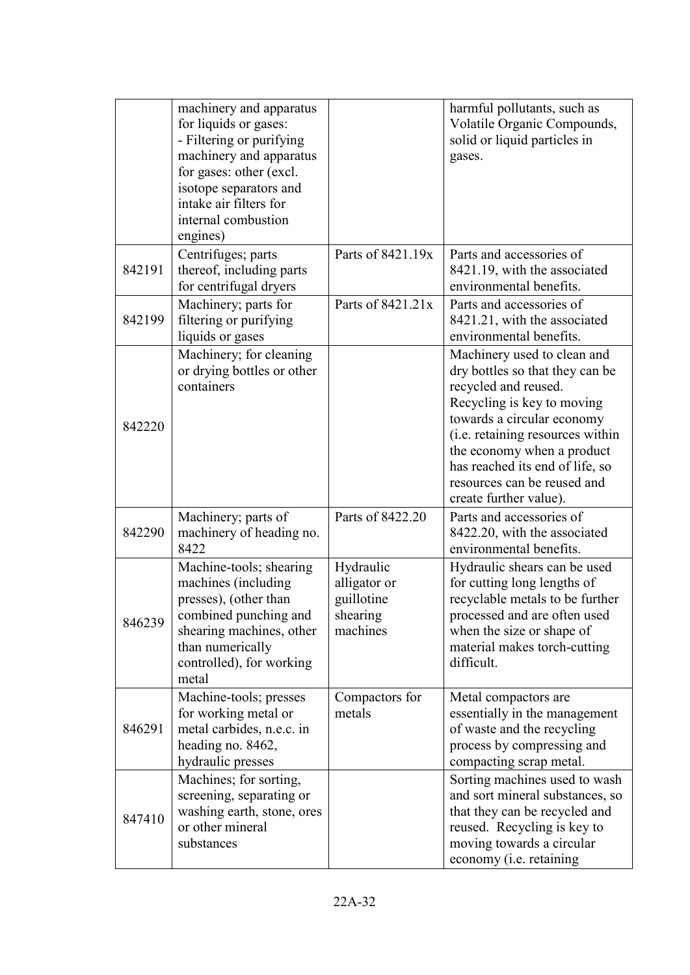|        | machinery and apparatus<br>for liquids or gases:<br>- Filtering or purifying<br>machinery and apparatus<br>for gases: other (excl.<br>isotope separators and<br>intake air filters for<br>internal combustion<br>engines) |                                                                 | harmful pollutants, such as<br>Volatile Organic Compounds,<br>solid or liquid particles in<br>gases.                                                                                                                                                                                                             |
|--------|---------------------------------------------------------------------------------------------------------------------------------------------------------------------------------------------------------------------------|-----------------------------------------------------------------|------------------------------------------------------------------------------------------------------------------------------------------------------------------------------------------------------------------------------------------------------------------------------------------------------------------|
| 842191 | Centrifuges; parts<br>thereof, including parts<br>for centrifugal dryers                                                                                                                                                  | Parts of 8421.19x                                               | Parts and accessories of<br>8421.19, with the associated<br>environmental benefits.                                                                                                                                                                                                                              |
| 842199 | Machinery; parts for<br>filtering or purifying<br>liquids or gases                                                                                                                                                        | Parts of 8421.21x                                               | Parts and accessories of<br>8421.21, with the associated<br>environmental benefits.                                                                                                                                                                                                                              |
| 842220 | Machinery; for cleaning<br>or drying bottles or other<br>containers                                                                                                                                                       |                                                                 | Machinery used to clean and<br>dry bottles so that they can be<br>recycled and reused.<br>Recycling is key to moving<br>towards a circular economy<br>(i.e. retaining resources within<br>the economy when a product<br>has reached its end of life, so<br>resources can be reused and<br>create further value). |
| 842290 | Machinery; parts of<br>machinery of heading no.<br>8422                                                                                                                                                                   | Parts of 8422.20                                                | Parts and accessories of<br>8422.20, with the associated<br>environmental benefits.                                                                                                                                                                                                                              |
| 846239 | Machine-tools; shearing<br>machines (including<br>presses), (other than<br>combined punching and<br>shearing machines, other<br>than numerically<br>controlled), for working<br>metal                                     | Hydraulic<br>alligator or<br>guillotine<br>shearing<br>machines | Hydraulic shears can be used<br>for cutting long lengths of<br>recyclable metals to be further<br>processed and are often used<br>when the size or shape of<br>material makes torch-cutting<br>difficult.                                                                                                        |
| 846291 | Machine-tools; presses<br>for working metal or<br>metal carbides, n.e.c. in<br>heading no. 8462,<br>hydraulic presses                                                                                                     | Compactors for<br>metals                                        | Metal compactors are<br>essentially in the management<br>of waste and the recycling<br>process by compressing and<br>compacting scrap metal.                                                                                                                                                                     |
| 847410 | Machines; for sorting,<br>screening, separating or<br>washing earth, stone, ores<br>or other mineral<br>substances                                                                                                        |                                                                 | Sorting machines used to wash<br>and sort mineral substances, so<br>that they can be recycled and<br>reused. Recycling is key to<br>moving towards a circular<br>economy (i.e. retaining                                                                                                                         |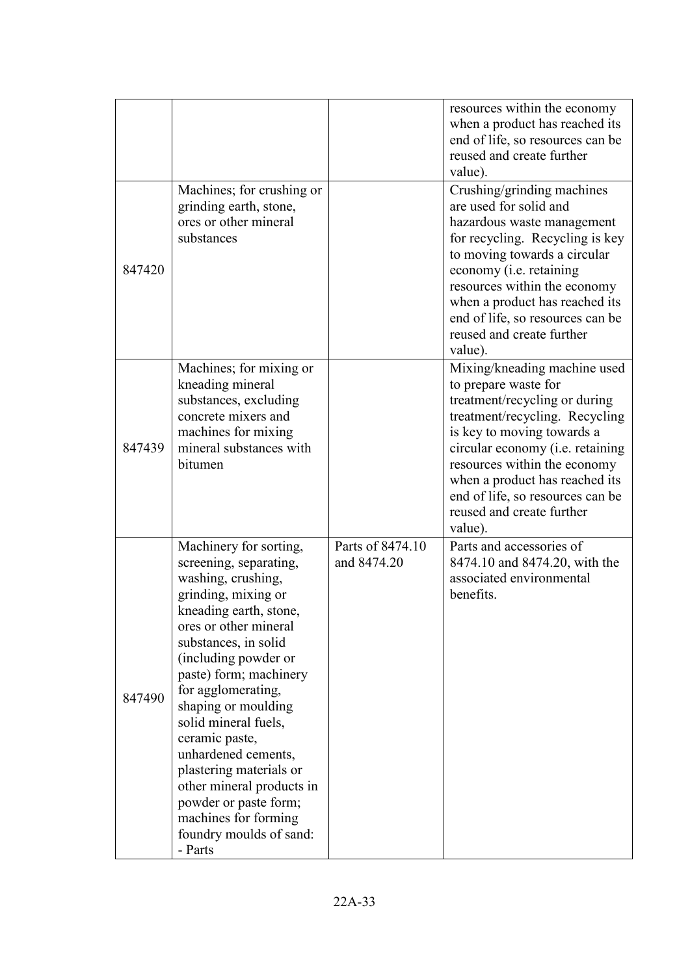|        |                                                                                                                                                                                                                                                                                                                                                                                                                                                                                         |                                 | resources within the economy<br>when a product has reached its<br>end of life, so resources can be<br>reused and create further<br>value).                                                                                                                                                                                              |
|--------|-----------------------------------------------------------------------------------------------------------------------------------------------------------------------------------------------------------------------------------------------------------------------------------------------------------------------------------------------------------------------------------------------------------------------------------------------------------------------------------------|---------------------------------|-----------------------------------------------------------------------------------------------------------------------------------------------------------------------------------------------------------------------------------------------------------------------------------------------------------------------------------------|
| 847420 | Machines; for crushing or<br>grinding earth, stone,<br>ores or other mineral<br>substances                                                                                                                                                                                                                                                                                                                                                                                              |                                 | Crushing/grinding machines<br>are used for solid and<br>hazardous waste management<br>for recycling. Recycling is key<br>to moving towards a circular<br>economy (i.e. retaining<br>resources within the economy<br>when a product has reached its<br>end of life, so resources can be<br>reused and create further<br>value).          |
| 847439 | Machines; for mixing or<br>kneading mineral<br>substances, excluding<br>concrete mixers and<br>machines for mixing<br>mineral substances with<br>bitumen                                                                                                                                                                                                                                                                                                                                |                                 | Mixing/kneading machine used<br>to prepare waste for<br>treatment/recycling or during<br>treatment/recycling. Recycling<br>is key to moving towards a<br>circular economy (i.e. retaining<br>resources within the economy<br>when a product has reached its<br>end of life, so resources can be<br>reused and create further<br>value). |
| 847490 | Machinery for sorting,<br>screening, separating,<br>washing, crushing,<br>grinding, mixing or<br>kneading earth, stone,<br>ores or other mineral<br>substances, in solid<br>(including powder or<br>paste) form; machinery<br>for agglomerating,<br>shaping or moulding<br>solid mineral fuels,<br>ceramic paste,<br>unhardened cements,<br>plastering materials or<br>other mineral products in<br>powder or paste form;<br>machines for forming<br>foundry moulds of sand:<br>- Parts | Parts of 8474.10<br>and 8474.20 | Parts and accessories of<br>8474.10 and 8474.20, with the<br>associated environmental<br>benefits.                                                                                                                                                                                                                                      |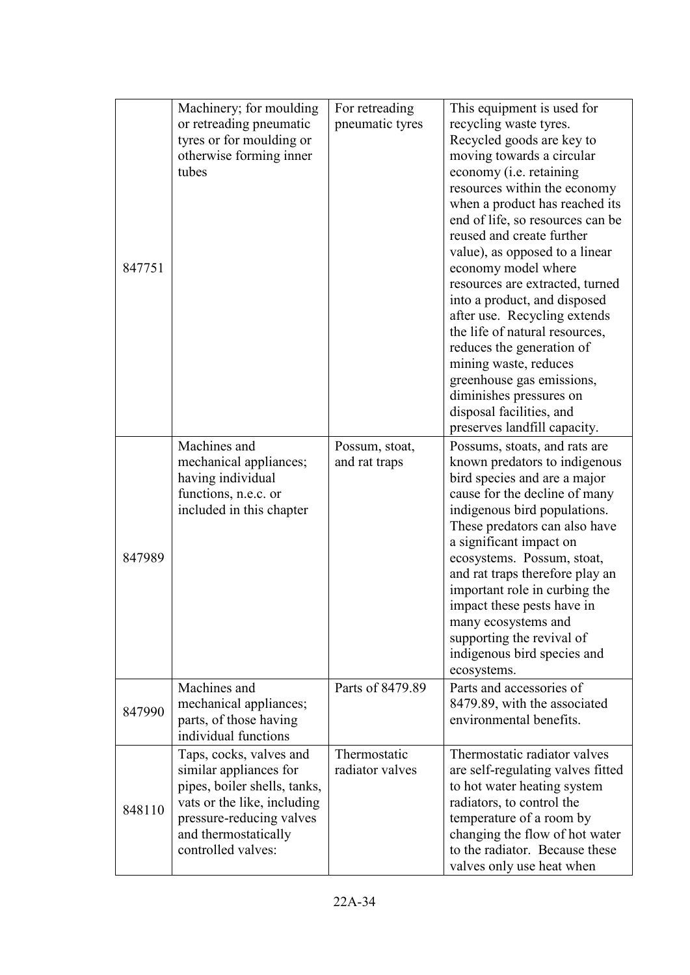|        | Machinery; for moulding      | For retreading   | This equipment is used for        |
|--------|------------------------------|------------------|-----------------------------------|
|        | or retreading pneumatic      | pneumatic tyres  | recycling waste tyres.            |
|        | tyres or for moulding or     |                  | Recycled goods are key to         |
|        | otherwise forming inner      |                  | moving towards a circular         |
|        | tubes                        |                  | economy (i.e. retaining           |
|        |                              |                  | resources within the economy      |
|        |                              |                  | when a product has reached its    |
|        |                              |                  | end of life, so resources can be  |
|        |                              |                  | reused and create further         |
|        |                              |                  | value), as opposed to a linear    |
| 847751 |                              |                  | economy model where               |
|        |                              |                  | resources are extracted, turned   |
|        |                              |                  | into a product, and disposed      |
|        |                              |                  | after use. Recycling extends      |
|        |                              |                  | the life of natural resources,    |
|        |                              |                  | reduces the generation of         |
|        |                              |                  | mining waste, reduces             |
|        |                              |                  | greenhouse gas emissions,         |
|        |                              |                  | diminishes pressures on           |
|        |                              |                  | disposal facilities, and          |
|        |                              |                  | preserves landfill capacity.      |
|        | Machines and                 | Possum, stoat,   | Possums, stoats, and rats are     |
|        | mechanical appliances;       | and rat traps    | known predators to indigenous     |
|        | having individual            |                  | bird species and are a major      |
|        | functions, n.e.c. or         |                  | cause for the decline of many     |
|        | included in this chapter     |                  | indigenous bird populations.      |
|        |                              |                  | These predators can also have     |
|        |                              |                  | a significant impact on           |
| 847989 |                              |                  | ecosystems. Possum, stoat,        |
|        |                              |                  | and rat traps therefore play an   |
|        |                              |                  | important role in curbing the     |
|        |                              |                  | impact these pests have in        |
|        |                              |                  | many ecosystems and               |
|        |                              |                  | supporting the revival of         |
|        |                              |                  | indigenous bird species and       |
|        |                              |                  | ecosystems.                       |
|        | Machines and                 | Parts of 8479.89 | Parts and accessories of          |
| 847990 | mechanical appliances;       |                  | 8479.89, with the associated      |
|        | parts, of those having       |                  | environmental benefits.           |
|        | individual functions         |                  |                                   |
|        | Taps, cocks, valves and      | Thermostatic     | Thermostatic radiator valves      |
|        | similar appliances for       | radiator valves  | are self-regulating valves fitted |
|        | pipes, boiler shells, tanks, |                  | to hot water heating system       |
| 848110 | vats or the like, including  |                  | radiators, to control the         |
|        | pressure-reducing valves     |                  | temperature of a room by          |
|        | and thermostatically         |                  | changing the flow of hot water    |
|        | controlled valves:           |                  | to the radiator. Because these    |
|        |                              |                  | valves only use heat when         |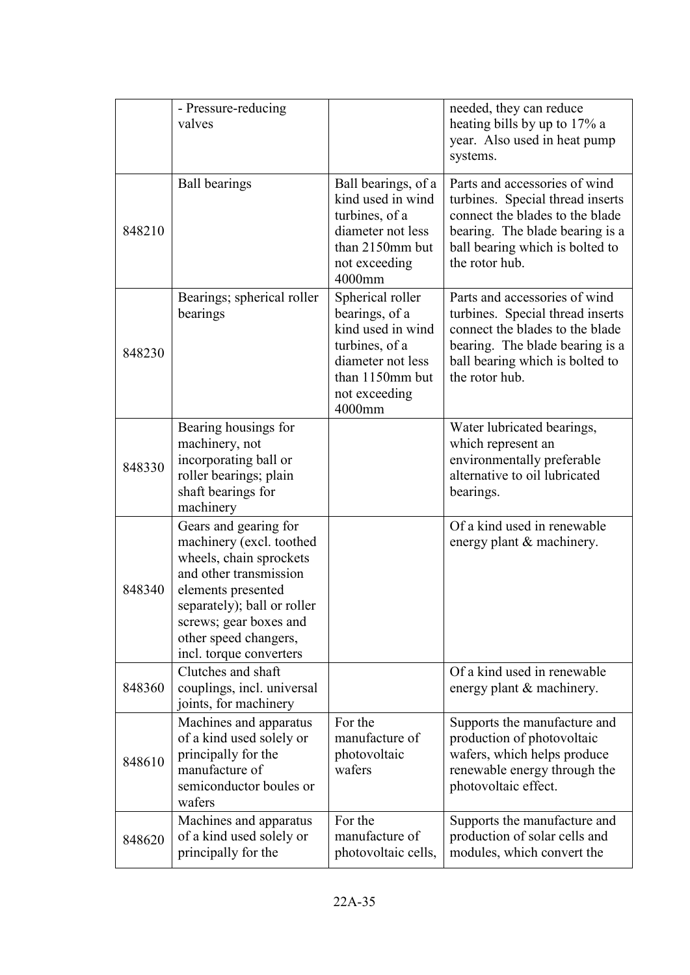|        | - Pressure-reducing<br>valves                                                                                                                                                                                                             |                                                                                                                                              | needed, they can reduce<br>heating bills by up to 17% a<br>year. Also used in heat pump<br>systems.                                                                                          |
|--------|-------------------------------------------------------------------------------------------------------------------------------------------------------------------------------------------------------------------------------------------|----------------------------------------------------------------------------------------------------------------------------------------------|----------------------------------------------------------------------------------------------------------------------------------------------------------------------------------------------|
| 848210 | <b>Ball bearings</b>                                                                                                                                                                                                                      | Ball bearings, of a<br>kind used in wind<br>turbines, of a<br>diameter not less<br>than 2150mm but<br>not exceeding<br>4000mm                | Parts and accessories of wind<br>turbines. Special thread inserts<br>connect the blades to the blade<br>bearing. The blade bearing is a<br>ball bearing which is bolted to<br>the rotor hub. |
| 848230 | Bearings; spherical roller<br>bearings                                                                                                                                                                                                    | Spherical roller<br>bearings, of a<br>kind used in wind<br>turbines, of a<br>diameter not less<br>than 1150mm but<br>not exceeding<br>4000mm | Parts and accessories of wind<br>turbines. Special thread inserts<br>connect the blades to the blade<br>bearing. The blade bearing is a<br>ball bearing which is bolted to<br>the rotor hub. |
| 848330 | Bearing housings for<br>machinery, not<br>incorporating ball or<br>roller bearings; plain<br>shaft bearings for<br>machinery                                                                                                              |                                                                                                                                              | Water lubricated bearings,<br>which represent an<br>environmentally preferable<br>alternative to oil lubricated<br>bearings.                                                                 |
| 848340 | Gears and gearing for<br>machinery (excl. toothed<br>wheels, chain sprockets<br>and other transmission<br>elements presented<br>separately); ball or roller<br>screws; gear boxes and<br>other speed changers,<br>incl. torque converters |                                                                                                                                              | Of a kind used in renewable<br>energy plant & machinery.                                                                                                                                     |
| 848360 | Clutches and shaft<br>couplings, incl. universal<br>joints, for machinery                                                                                                                                                                 |                                                                                                                                              | Of a kind used in renewable<br>energy plant & machinery.                                                                                                                                     |
| 848610 | Machines and apparatus<br>of a kind used solely or<br>principally for the<br>manufacture of<br>semiconductor boules or<br>wafers                                                                                                          | For the<br>manufacture of<br>photovoltaic<br>wafers                                                                                          | Supports the manufacture and<br>production of photovoltaic<br>wafers, which helps produce<br>renewable energy through the<br>photovoltaic effect.                                            |
| 848620 | Machines and apparatus<br>of a kind used solely or<br>principally for the                                                                                                                                                                 | For the<br>manufacture of<br>photovoltaic cells,                                                                                             | Supports the manufacture and<br>production of solar cells and<br>modules, which convert the                                                                                                  |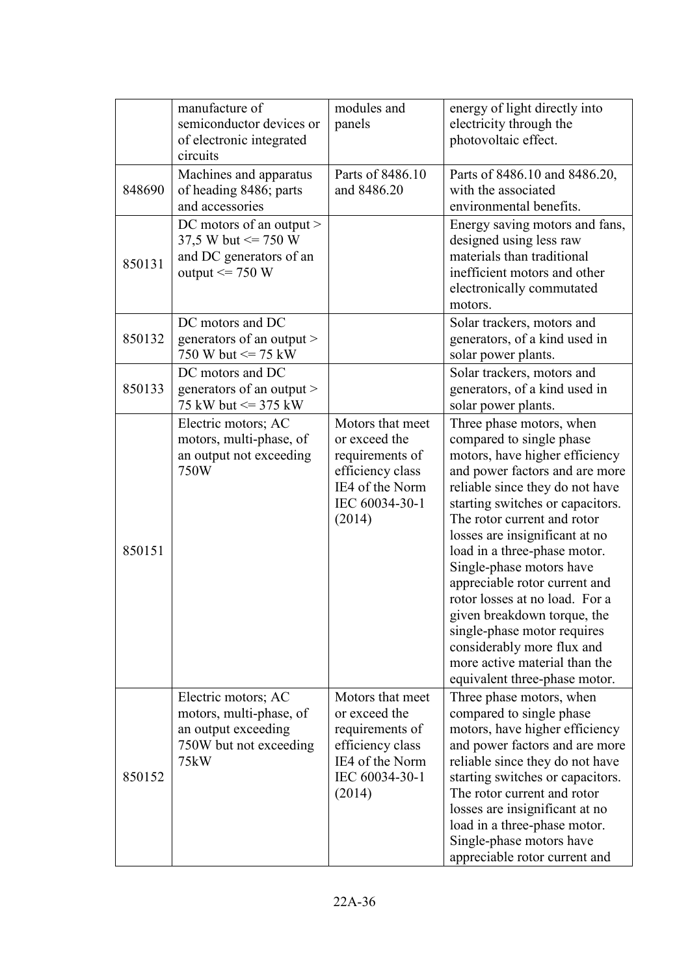|        | manufacture of<br>semiconductor devices or<br>of electronic integrated<br>circuits                      | modules and<br>panels                                                                                                   | energy of light directly into<br>electricity through the<br>photovoltaic effect.                                                                                                                                                                                                                                                                                                                                                                                                                                                                              |
|--------|---------------------------------------------------------------------------------------------------------|-------------------------------------------------------------------------------------------------------------------------|---------------------------------------------------------------------------------------------------------------------------------------------------------------------------------------------------------------------------------------------------------------------------------------------------------------------------------------------------------------------------------------------------------------------------------------------------------------------------------------------------------------------------------------------------------------|
| 848690 | Machines and apparatus<br>of heading 8486; parts<br>and accessories                                     | Parts of 8486.10<br>and 8486.20                                                                                         | Parts of 8486.10 and 8486.20,<br>with the associated<br>environmental benefits.                                                                                                                                                                                                                                                                                                                                                                                                                                                                               |
| 850131 | DC motors of an output ><br>37,5 W but $\leq$ 750 W<br>and DC generators of an<br>output $\leq$ 750 W   |                                                                                                                         | Energy saving motors and fans,<br>designed using less raw<br>materials than traditional<br>inefficient motors and other<br>electronically commutated<br>motors.                                                                                                                                                                                                                                                                                                                                                                                               |
| 850132 | DC motors and DC<br>generators of an output ><br>750 W but $\leq$ 75 kW                                 |                                                                                                                         | Solar trackers, motors and<br>generators, of a kind used in<br>solar power plants.                                                                                                                                                                                                                                                                                                                                                                                                                                                                            |
| 850133 | DC motors and DC<br>generators of an output $>$<br>75 kW but $\leq$ 375 kW                              |                                                                                                                         | Solar trackers, motors and<br>generators, of a kind used in<br>solar power plants.                                                                                                                                                                                                                                                                                                                                                                                                                                                                            |
| 850151 | Electric motors; AC<br>motors, multi-phase, of<br>an output not exceeding<br>750W                       | Motors that meet<br>or exceed the<br>requirements of<br>efficiency class<br>IE4 of the Norm<br>IEC 60034-30-1<br>(2014) | Three phase motors, when<br>compared to single phase<br>motors, have higher efficiency<br>and power factors and are more<br>reliable since they do not have<br>starting switches or capacitors.<br>The rotor current and rotor<br>losses are insignificant at no<br>load in a three-phase motor.<br>Single-phase motors have<br>appreciable rotor current and<br>rotor losses at no load. For a<br>given breakdown torque, the<br>single-phase motor requires<br>considerably more flux and<br>more active material than the<br>equivalent three-phase motor. |
| 850152 | Electric motors; AC<br>motors, multi-phase, of<br>an output exceeding<br>750W but not exceeding<br>75kW | Motors that meet<br>or exceed the<br>requirements of<br>efficiency class<br>IE4 of the Norm<br>IEC 60034-30-1<br>(2014) | Three phase motors, when<br>compared to single phase<br>motors, have higher efficiency<br>and power factors and are more<br>reliable since they do not have<br>starting switches or capacitors.<br>The rotor current and rotor<br>losses are insignificant at no<br>load in a three-phase motor.<br>Single-phase motors have<br>appreciable rotor current and                                                                                                                                                                                                 |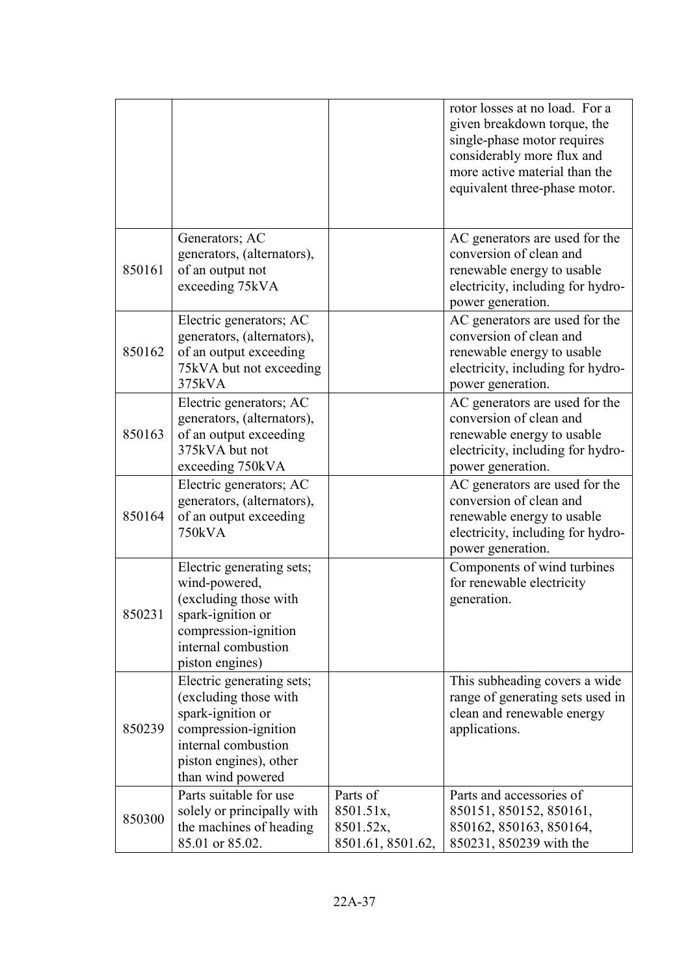|        |                                                                                                                                                                       |                                                         | rotor losses at no load. For a<br>given breakdown torque, the<br>single-phase motor requires<br>considerably more flux and<br>more active material than the<br>equivalent three-phase motor. |
|--------|-----------------------------------------------------------------------------------------------------------------------------------------------------------------------|---------------------------------------------------------|----------------------------------------------------------------------------------------------------------------------------------------------------------------------------------------------|
| 850161 | Generators; AC<br>generators, (alternators),<br>of an output not<br>exceeding 75kVA                                                                                   |                                                         | AC generators are used for the<br>conversion of clean and<br>renewable energy to usable<br>electricity, including for hydro-<br>power generation.                                            |
| 850162 | Electric generators; AC<br>generators, (alternators),<br>of an output exceeding<br>75kVA but not exceeding<br>375kVA                                                  |                                                         | AC generators are used for the<br>conversion of clean and<br>renewable energy to usable<br>electricity, including for hydro-<br>power generation.                                            |
| 850163 | Electric generators; AC<br>generators, (alternators),<br>of an output exceeding<br>375kVA but not<br>exceeding 750kVA                                                 |                                                         | AC generators are used for the<br>conversion of clean and<br>renewable energy to usable<br>electricity, including for hydro-<br>power generation.                                            |
| 850164 | Electric generators; AC<br>generators, (alternators),<br>of an output exceeding<br>750kVA                                                                             |                                                         | AC generators are used for the<br>conversion of clean and<br>renewable energy to usable<br>electricity, including for hydro-<br>power generation.                                            |
| 850231 | Electric generating sets;<br>wind-powered,<br>(excluding those with<br>spark-ignition or<br>compression-ignition<br>internal combustion<br>piston engines)            |                                                         | Components of wind turbines<br>for renewable electricity<br>generation.                                                                                                                      |
| 850239 | Electric generating sets;<br>(excluding those with<br>spark-ignition or<br>compression-ignition<br>internal combustion<br>piston engines), other<br>than wind powered |                                                         | This subheading covers a wide<br>range of generating sets used in<br>clean and renewable energy<br>applications.                                                                             |
| 850300 | Parts suitable for use<br>solely or principally with<br>the machines of heading<br>85.01 or 85.02.                                                                    | Parts of<br>8501.51x,<br>8501.52x,<br>8501.61, 8501.62, | Parts and accessories of<br>850151, 850152, 850161,<br>850162, 850163, 850164,<br>850231, 850239 with the                                                                                    |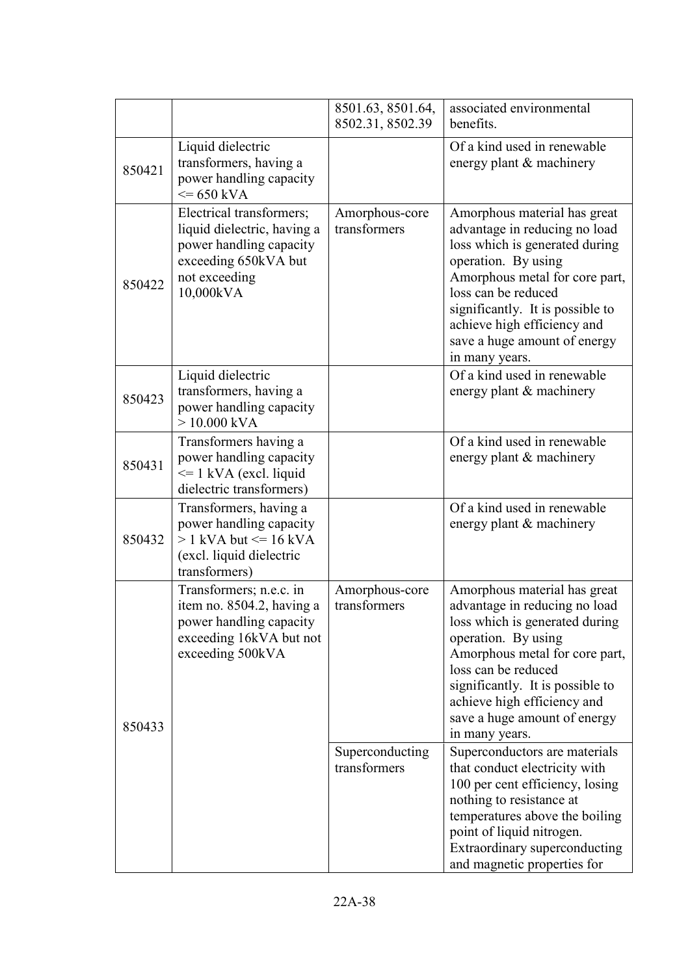|        |                                                                                                                                          | 8501.63, 8501.64,<br>8502.31, 8502.39 | associated environmental<br>benefits.                                                                                                                                                                                                                                                                |
|--------|------------------------------------------------------------------------------------------------------------------------------------------|---------------------------------------|------------------------------------------------------------------------------------------------------------------------------------------------------------------------------------------------------------------------------------------------------------------------------------------------------|
| 850421 | Liquid dielectric<br>transformers, having a<br>power handling capacity<br>$\leq$ 650 kVA                                                 |                                       | Of a kind used in renewable<br>energy plant & machinery                                                                                                                                                                                                                                              |
| 850422 | Electrical transformers;<br>liquid dielectric, having a<br>power handling capacity<br>exceeding 650kVA but<br>not exceeding<br>10,000kVA | Amorphous-core<br>transformers        | Amorphous material has great<br>advantage in reducing no load<br>loss which is generated during<br>operation. By using<br>Amorphous metal for core part,<br>loss can be reduced<br>significantly. It is possible to<br>achieve high efficiency and<br>save a huge amount of energy<br>in many years. |
| 850423 | Liquid dielectric<br>transformers, having a<br>power handling capacity<br>$> 10.000$ kVA                                                 |                                       | Of a kind used in renewable<br>energy plant & machinery                                                                                                                                                                                                                                              |
| 850431 | Transformers having a<br>power handling capacity<br>$\leq$ 1 kVA (excl. liquid<br>dielectric transformers)                               |                                       | Of a kind used in renewable<br>energy plant & machinery                                                                                                                                                                                                                                              |
| 850432 | Transformers, having a<br>power handling capacity<br>$> 1$ kVA but $\leq 16$ kVA<br>(excl. liquid dielectric<br>transformers)            |                                       | Of a kind used in renewable<br>energy plant & machinery                                                                                                                                                                                                                                              |
| 850433 | Transformers; n.e.c. in<br>item no. 8504.2, having a<br>power handling capacity<br>exceeding 16kVA but not<br>exceeding 500kVA           | Amorphous-core<br>transformers        | Amorphous material has great<br>advantage in reducing no load<br>loss which is generated during<br>operation. By using<br>Amorphous metal for core part,<br>loss can be reduced<br>significantly. It is possible to<br>achieve high efficiency and<br>save a huge amount of energy<br>in many years. |
|        |                                                                                                                                          | Superconducting<br>transformers       | Superconductors are materials<br>that conduct electricity with<br>100 per cent efficiency, losing<br>nothing to resistance at<br>temperatures above the boiling<br>point of liquid nitrogen.<br>Extraordinary superconducting<br>and magnetic properties for                                         |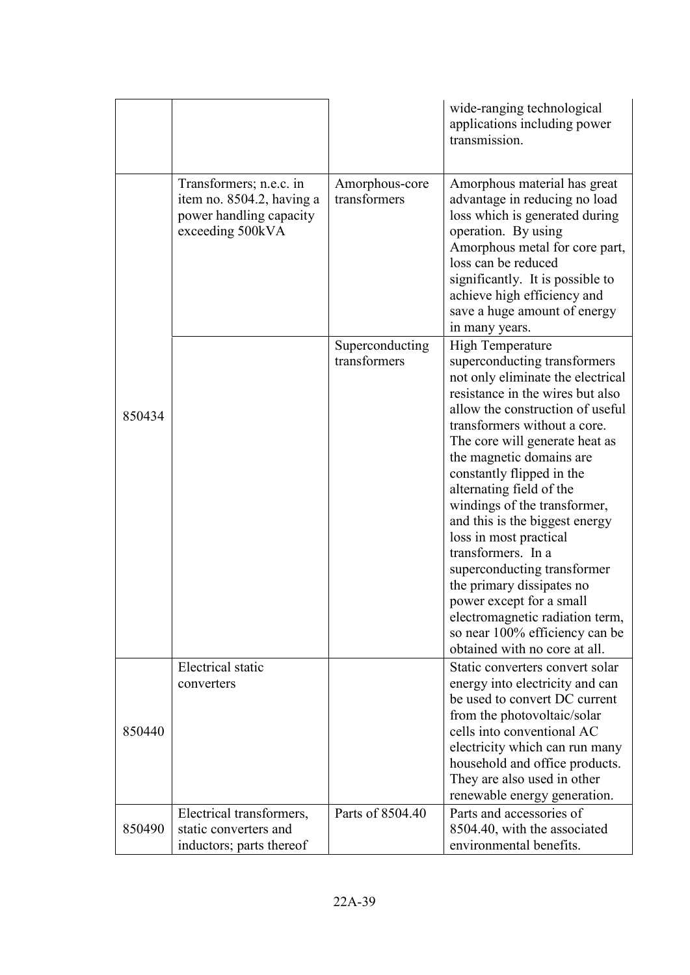|        |                                                                                                     |                                 | wide-ranging technological<br>applications including power<br>transmission.                                                                                                                                                                                                                                                                                                                                                                                                                                                                                                                                                                 |
|--------|-----------------------------------------------------------------------------------------------------|---------------------------------|---------------------------------------------------------------------------------------------------------------------------------------------------------------------------------------------------------------------------------------------------------------------------------------------------------------------------------------------------------------------------------------------------------------------------------------------------------------------------------------------------------------------------------------------------------------------------------------------------------------------------------------------|
|        | Transformers; n.e.c. in<br>item no. 8504.2, having a<br>power handling capacity<br>exceeding 500kVA | Amorphous-core<br>transformers  | Amorphous material has great<br>advantage in reducing no load<br>loss which is generated during<br>operation. By using<br>Amorphous metal for core part,<br>loss can be reduced<br>significantly. It is possible to<br>achieve high efficiency and<br>save a huge amount of energy<br>in many years.                                                                                                                                                                                                                                                                                                                                        |
| 850434 |                                                                                                     | Superconducting<br>transformers | <b>High Temperature</b><br>superconducting transformers<br>not only eliminate the electrical<br>resistance in the wires but also<br>allow the construction of useful<br>transformers without a core.<br>The core will generate heat as<br>the magnetic domains are<br>constantly flipped in the<br>alternating field of the<br>windings of the transformer,<br>and this is the biggest energy<br>loss in most practical<br>transformers. In a<br>superconducting transformer<br>the primary dissipates no<br>power except for a small<br>electromagnetic radiation term,<br>so near 100% efficiency can be<br>obtained with no core at all. |
| 850440 | Electrical static<br>converters                                                                     |                                 | Static converters convert solar<br>energy into electricity and can<br>be used to convert DC current<br>from the photovoltaic/solar<br>cells into conventional AC<br>electricity which can run many<br>household and office products.<br>They are also used in other<br>renewable energy generation.                                                                                                                                                                                                                                                                                                                                         |
| 850490 | Electrical transformers,<br>static converters and<br>inductors; parts thereof                       | Parts of 8504.40                | Parts and accessories of<br>8504.40, with the associated<br>environmental benefits.                                                                                                                                                                                                                                                                                                                                                                                                                                                                                                                                                         |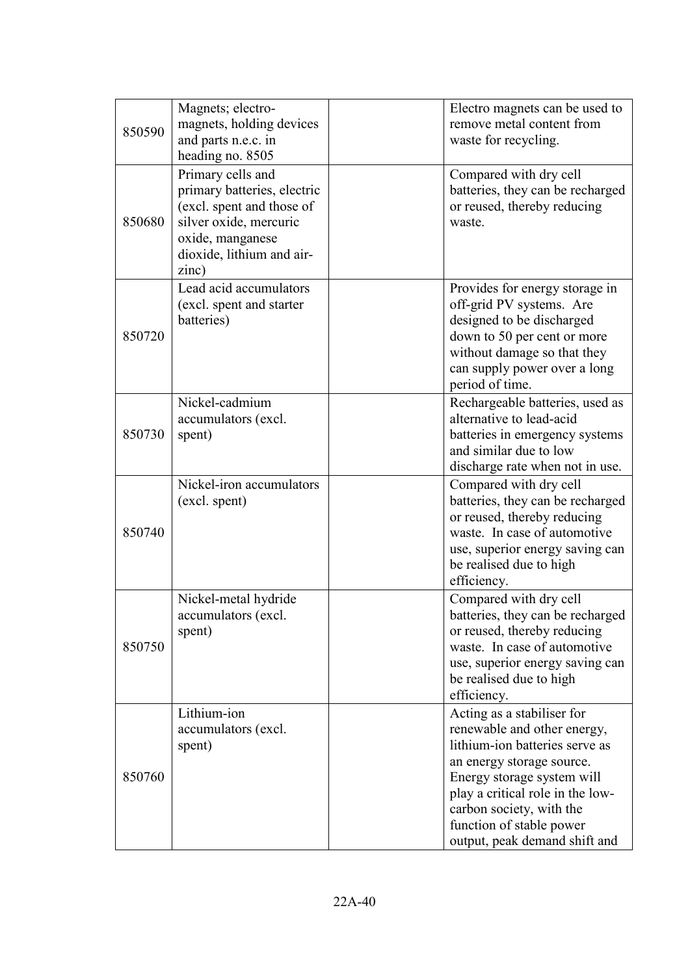| 850590 | Magnets; electro-<br>magnets, holding devices<br>and parts n.e.c. in<br>heading no. 8505                                                                          | Electro magnets can be used to<br>remove metal content from<br>waste for recycling.                                                                                                                                                                                                 |  |
|--------|-------------------------------------------------------------------------------------------------------------------------------------------------------------------|-------------------------------------------------------------------------------------------------------------------------------------------------------------------------------------------------------------------------------------------------------------------------------------|--|
| 850680 | Primary cells and<br>primary batteries, electric<br>(excl. spent and those of<br>silver oxide, mercuric<br>oxide, manganese<br>dioxide, lithium and air-<br>zinc) | Compared with dry cell<br>batteries, they can be recharged<br>or reused, thereby reducing<br>waste.                                                                                                                                                                                 |  |
| 850720 | Lead acid accumulators<br>(excl. spent and starter<br>batteries)                                                                                                  | Provides for energy storage in<br>off-grid PV systems. Are<br>designed to be discharged<br>down to 50 per cent or more<br>without damage so that they<br>can supply power over a long<br>period of time.                                                                            |  |
| 850730 | Nickel-cadmium<br>accumulators (excl.<br>spent)                                                                                                                   | Rechargeable batteries, used as<br>alternative to lead-acid<br>batteries in emergency systems<br>and similar due to low<br>discharge rate when not in use.                                                                                                                          |  |
| 850740 | Nickel-iron accumulators<br>(excl. spent)                                                                                                                         | Compared with dry cell<br>batteries, they can be recharged<br>or reused, thereby reducing<br>waste. In case of automotive<br>use, superior energy saving can<br>be realised due to high<br>efficiency.                                                                              |  |
| 850750 | Nickel-metal hydride<br>accumulators (excl.<br>spent)                                                                                                             | Compared with dry cell<br>batteries, they can be recharged<br>or reused, thereby reducing<br>waste. In case of automotive<br>use, superior energy saving can<br>be realised due to high<br>efficiency.                                                                              |  |
| 850760 | Lithium-ion<br>accumulators (excl.<br>spent)                                                                                                                      | Acting as a stabiliser for<br>renewable and other energy,<br>lithium-ion batteries serve as<br>an energy storage source.<br>Energy storage system will<br>play a critical role in the low-<br>carbon society, with the<br>function of stable power<br>output, peak demand shift and |  |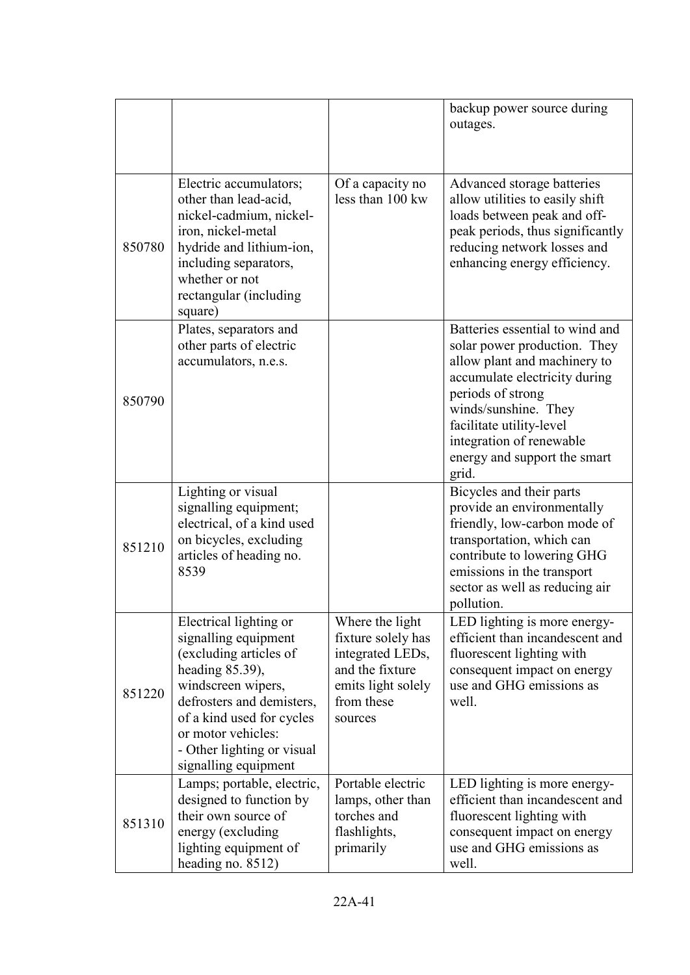|        |                                                                                                                                                                                                                                                            |                                                                                                                             | backup power source during<br>outages.                                                                                                                                                                                                                                         |
|--------|------------------------------------------------------------------------------------------------------------------------------------------------------------------------------------------------------------------------------------------------------------|-----------------------------------------------------------------------------------------------------------------------------|--------------------------------------------------------------------------------------------------------------------------------------------------------------------------------------------------------------------------------------------------------------------------------|
| 850780 | Electric accumulators;<br>other than lead-acid,<br>nickel-cadmium, nickel-<br>iron, nickel-metal<br>hydride and lithium-ion,<br>including separators,<br>whether or not<br>rectangular (including<br>square)                                               | Of a capacity no<br>less than 100 kw                                                                                        | Advanced storage batteries<br>allow utilities to easily shift<br>loads between peak and off-<br>peak periods, thus significantly<br>reducing network losses and<br>enhancing energy efficiency.                                                                                |
| 850790 | Plates, separators and<br>other parts of electric<br>accumulators, n.e.s.                                                                                                                                                                                  |                                                                                                                             | Batteries essential to wind and<br>solar power production. They<br>allow plant and machinery to<br>accumulate electricity during<br>periods of strong<br>winds/sunshine. They<br>facilitate utility-level<br>integration of renewable<br>energy and support the smart<br>grid. |
| 851210 | Lighting or visual<br>signalling equipment;<br>electrical, of a kind used<br>on bicycles, excluding<br>articles of heading no.<br>8539                                                                                                                     |                                                                                                                             | Bicycles and their parts<br>provide an environmentally<br>friendly, low-carbon mode of<br>transportation, which can<br>contribute to lowering GHG<br>emissions in the transport<br>sector as well as reducing air<br>pollution.                                                |
| 851220 | Electrical lighting or<br>signalling equipment<br>(excluding articles of<br>heading $85.39$ ),<br>windscreen wipers,<br>defrosters and demisters,<br>of a kind used for cycles<br>or motor vehicles:<br>- Other lighting or visual<br>signalling equipment | Where the light<br>fixture solely has<br>integrated LEDs,<br>and the fixture<br>emits light solely<br>from these<br>sources | LED lighting is more energy-<br>efficient than incandescent and<br>fluorescent lighting with<br>consequent impact on energy<br>use and GHG emissions as<br>well.                                                                                                               |
| 851310 | Lamps; portable, electric,<br>designed to function by<br>their own source of<br>energy (excluding<br>lighting equipment of<br>heading no. 8512)                                                                                                            | Portable electric<br>lamps, other than<br>torches and<br>flashlights,<br>primarily                                          | LED lighting is more energy-<br>efficient than incandescent and<br>fluorescent lighting with<br>consequent impact on energy<br>use and GHG emissions as<br>well.                                                                                                               |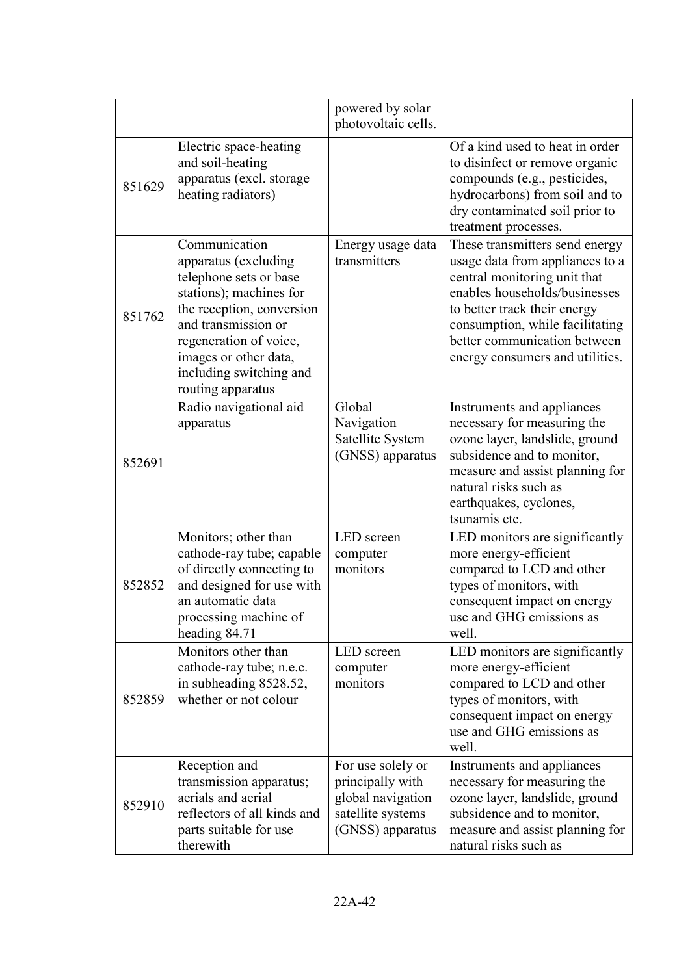|        |                                                                                                                                                                                                                                                   | powered by solar<br>photovoltaic cells.                                                             |                                                                                                                                                                                                                                                                          |
|--------|---------------------------------------------------------------------------------------------------------------------------------------------------------------------------------------------------------------------------------------------------|-----------------------------------------------------------------------------------------------------|--------------------------------------------------------------------------------------------------------------------------------------------------------------------------------------------------------------------------------------------------------------------------|
| 851629 | Electric space-heating<br>and soil-heating<br>apparatus (excl. storage<br>heating radiators)                                                                                                                                                      |                                                                                                     | Of a kind used to heat in order<br>to disinfect or remove organic<br>compounds (e.g., pesticides,<br>hydrocarbons) from soil and to<br>dry contaminated soil prior to<br>treatment processes.                                                                            |
| 851762 | Communication<br>apparatus (excluding<br>telephone sets or base<br>stations); machines for<br>the reception, conversion<br>and transmission or<br>regeneration of voice,<br>images or other data,<br>including switching and<br>routing apparatus | Energy usage data<br>transmitters                                                                   | These transmitters send energy<br>usage data from appliances to a<br>central monitoring unit that<br>enables households/businesses<br>to better track their energy<br>consumption, while facilitating<br>better communication between<br>energy consumers and utilities. |
| 852691 | Radio navigational aid<br>apparatus                                                                                                                                                                                                               | Global<br>Navigation<br>Satellite System<br>(GNSS) apparatus                                        | Instruments and appliances<br>necessary for measuring the<br>ozone layer, landslide, ground<br>subsidence and to monitor,<br>measure and assist planning for<br>natural risks such as<br>earthquakes, cyclones,<br>tsunamis etc.                                         |
| 852852 | Monitors; other than<br>cathode-ray tube; capable<br>of directly connecting to<br>and designed for use with<br>an automatic data<br>processing machine of<br>heading 84.71                                                                        | LED screen<br>computer<br>monitors                                                                  | LED monitors are significantly<br>more energy-efficient<br>compared to LCD and other<br>types of monitors, with<br>consequent impact on energy<br>use and GHG emissions as<br>well.                                                                                      |
| 852859 | Monitors other than<br>cathode-ray tube; n.e.c.<br>in subheading 8528.52,<br>whether or not colour                                                                                                                                                | LED screen<br>computer<br>monitors                                                                  | LED monitors are significantly<br>more energy-efficient<br>compared to LCD and other<br>types of monitors, with<br>consequent impact on energy<br>use and GHG emissions as<br>well.                                                                                      |
| 852910 | Reception and<br>transmission apparatus;<br>aerials and aerial<br>reflectors of all kinds and<br>parts suitable for use<br>therewith                                                                                                              | For use solely or<br>principally with<br>global navigation<br>satellite systems<br>(GNSS) apparatus | Instruments and appliances<br>necessary for measuring the<br>ozone layer, landslide, ground<br>subsidence and to monitor,<br>measure and assist planning for<br>natural risks such as                                                                                    |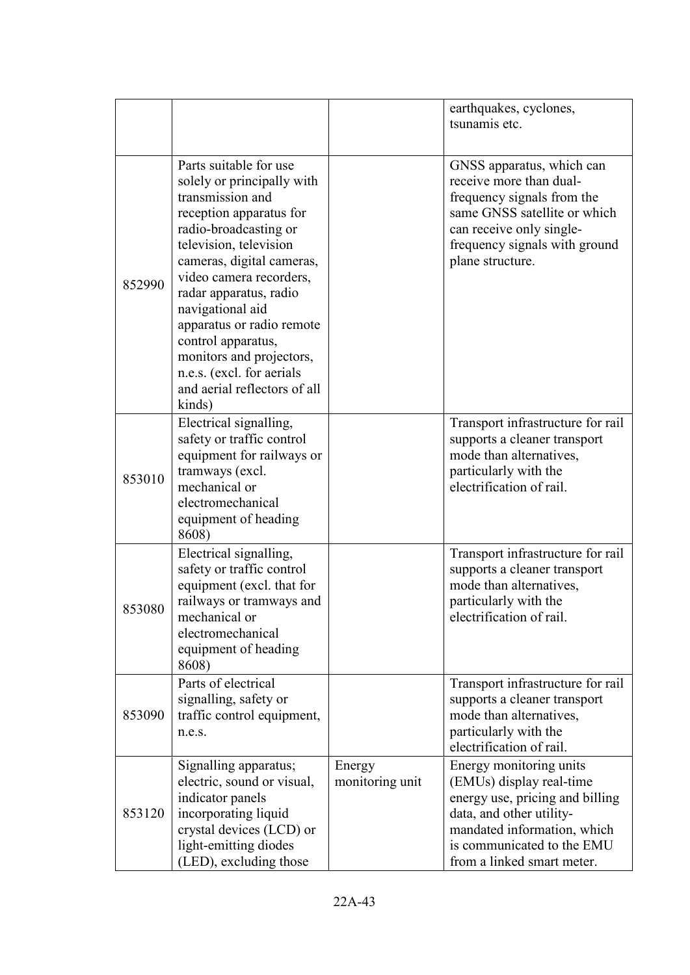|        |                                                                                                                                                                                                                                                                                                                                                                                                                    |                           | earthquakes, cyclones,<br>tsunamis etc.                                                                                                                                                                       |
|--------|--------------------------------------------------------------------------------------------------------------------------------------------------------------------------------------------------------------------------------------------------------------------------------------------------------------------------------------------------------------------------------------------------------------------|---------------------------|---------------------------------------------------------------------------------------------------------------------------------------------------------------------------------------------------------------|
| 852990 | Parts suitable for use<br>solely or principally with<br>transmission and<br>reception apparatus for<br>radio-broadcasting or<br>television, television<br>cameras, digital cameras,<br>video camera recorders,<br>radar apparatus, radio<br>navigational aid<br>apparatus or radio remote<br>control apparatus,<br>monitors and projectors,<br>n.e.s. (excl. for aerials<br>and aerial reflectors of all<br>kinds) |                           | GNSS apparatus, which can<br>receive more than dual-<br>frequency signals from the<br>same GNSS satellite or which<br>can receive only single-<br>frequency signals with ground<br>plane structure.           |
| 853010 | Electrical signalling,<br>safety or traffic control<br>equipment for railways or<br>tramways (excl.<br>mechanical or<br>electromechanical<br>equipment of heading<br>8608)                                                                                                                                                                                                                                         |                           | Transport infrastructure for rail<br>supports a cleaner transport<br>mode than alternatives,<br>particularly with the<br>electrification of rail.                                                             |
| 853080 | Electrical signalling,<br>safety or traffic control<br>equipment (excl. that for<br>railways or tramways and<br>mechanical or<br>electromechanical<br>equipment of heading<br>8608)                                                                                                                                                                                                                                |                           | Transport infrastructure for rail<br>supports a cleaner transport<br>mode than alternatives,<br>particularly with the<br>electrification of rail.                                                             |
| 853090 | Parts of electrical<br>signalling, safety or<br>traffic control equipment,<br>n.e.s.                                                                                                                                                                                                                                                                                                                               |                           | Transport infrastructure for rail<br>supports a cleaner transport<br>mode than alternatives,<br>particularly with the<br>electrification of rail.                                                             |
| 853120 | Signalling apparatus;<br>electric, sound or visual,<br>indicator panels<br>incorporating liquid<br>crystal devices (LCD) or<br>light-emitting diodes<br>(LED), excluding those                                                                                                                                                                                                                                     | Energy<br>monitoring unit | Energy monitoring units<br>(EMUs) display real-time<br>energy use, pricing and billing<br>data, and other utility-<br>mandated information, which<br>is communicated to the EMU<br>from a linked smart meter. |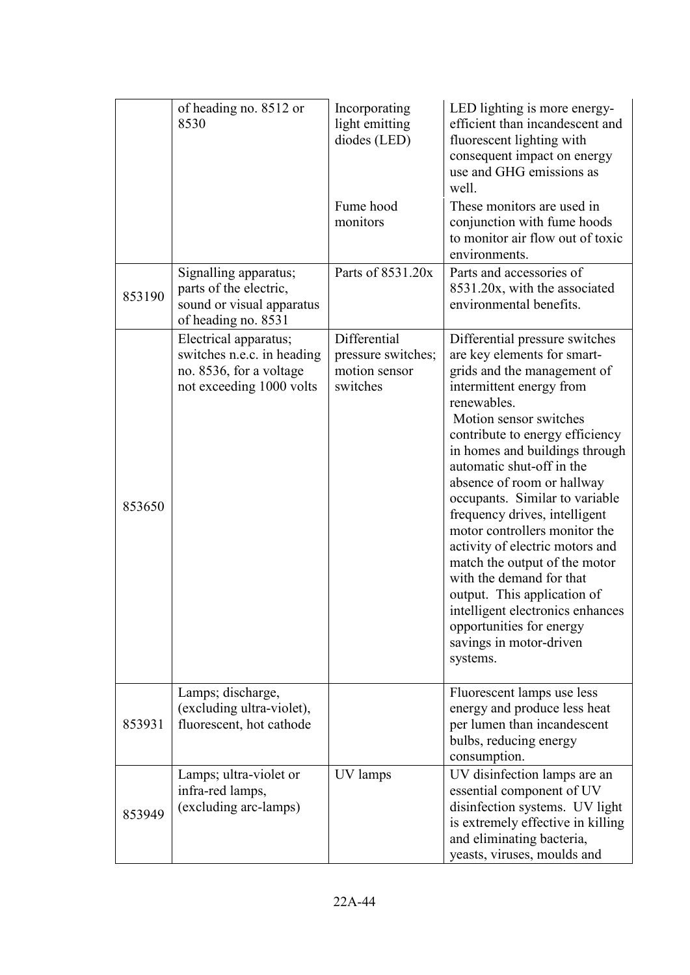|        | of heading no. 8512 or<br>8530                                                                             | Incorporating<br>light emitting<br>diodes (LED)                 | LED lighting is more energy-<br>efficient than incandescent and<br>fluorescent lighting with<br>consequent impact on energy<br>use and GHG emissions as<br>well.                                                                                                                                                                                                                                                                                                                                                                                                                                                                            |
|--------|------------------------------------------------------------------------------------------------------------|-----------------------------------------------------------------|---------------------------------------------------------------------------------------------------------------------------------------------------------------------------------------------------------------------------------------------------------------------------------------------------------------------------------------------------------------------------------------------------------------------------------------------------------------------------------------------------------------------------------------------------------------------------------------------------------------------------------------------|
|        |                                                                                                            | Fume hood<br>monitors                                           | These monitors are used in<br>conjunction with fume hoods<br>to monitor air flow out of toxic<br>environments.                                                                                                                                                                                                                                                                                                                                                                                                                                                                                                                              |
| 853190 | Signalling apparatus;<br>parts of the electric,<br>sound or visual apparatus<br>of heading no. 8531        | Parts of 8531.20x                                               | Parts and accessories of<br>8531.20x, with the associated<br>environmental benefits.                                                                                                                                                                                                                                                                                                                                                                                                                                                                                                                                                        |
| 853650 | Electrical apparatus;<br>switches n.e.c. in heading<br>no. 8536, for a voltage<br>not exceeding 1000 volts | Differential<br>pressure switches;<br>motion sensor<br>switches | Differential pressure switches<br>are key elements for smart-<br>grids and the management of<br>intermittent energy from<br>renewables.<br>Motion sensor switches<br>contribute to energy efficiency<br>in homes and buildings through<br>automatic shut-off in the<br>absence of room or hallway<br>occupants. Similar to variable<br>frequency drives, intelligent<br>motor controllers monitor the<br>activity of electric motors and<br>match the output of the motor<br>with the demand for that<br>output. This application of<br>intelligent electronics enhances<br>opportunities for energy<br>savings in motor-driven<br>systems. |
| 853931 | Lamps; discharge,<br>(excluding ultra-violet),<br>fluorescent, hot cathode                                 |                                                                 | Fluorescent lamps use less<br>energy and produce less heat<br>per lumen than incandescent<br>bulbs, reducing energy<br>consumption.                                                                                                                                                                                                                                                                                                                                                                                                                                                                                                         |
| 853949 | Lamps; ultra-violet or<br>infra-red lamps,<br>(excluding arc-lamps)                                        | UV lamps                                                        | UV disinfection lamps are an<br>essential component of UV<br>disinfection systems. UV light<br>is extremely effective in killing<br>and eliminating bacteria,<br>yeasts, viruses, moulds and                                                                                                                                                                                                                                                                                                                                                                                                                                                |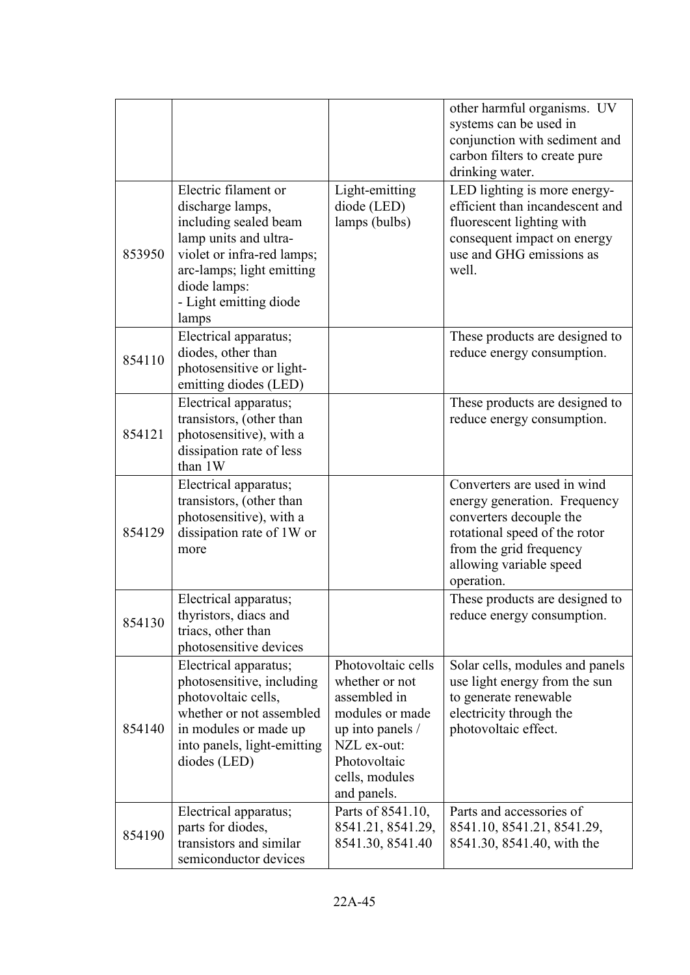|        |                                                                                                                                                                                                          |                                                                                                                                                             | other harmful organisms. UV<br>systems can be used in<br>conjunction with sediment and<br>carbon filters to create pure<br>drinking water.                                                  |
|--------|----------------------------------------------------------------------------------------------------------------------------------------------------------------------------------------------------------|-------------------------------------------------------------------------------------------------------------------------------------------------------------|---------------------------------------------------------------------------------------------------------------------------------------------------------------------------------------------|
| 853950 | Electric filament or<br>discharge lamps,<br>including sealed beam<br>lamp units and ultra-<br>violet or infra-red lamps;<br>arc-lamps; light emitting<br>diode lamps:<br>- Light emitting diode<br>lamps | Light-emitting<br>diode (LED)<br>lamps (bulbs)                                                                                                              | LED lighting is more energy-<br>efficient than incandescent and<br>fluorescent lighting with<br>consequent impact on energy<br>use and GHG emissions as<br>well.                            |
| 854110 | Electrical apparatus;<br>diodes, other than<br>photosensitive or light-<br>emitting diodes (LED)                                                                                                         |                                                                                                                                                             | These products are designed to<br>reduce energy consumption.                                                                                                                                |
| 854121 | Electrical apparatus;<br>transistors, (other than<br>photosensitive), with a<br>dissipation rate of less<br>than 1W                                                                                      |                                                                                                                                                             | These products are designed to<br>reduce energy consumption.                                                                                                                                |
| 854129 | Electrical apparatus;<br>transistors, (other than<br>photosensitive), with a<br>dissipation rate of 1W or<br>more                                                                                        |                                                                                                                                                             | Converters are used in wind<br>energy generation. Frequency<br>converters decouple the<br>rotational speed of the rotor<br>from the grid frequency<br>allowing variable speed<br>operation. |
| 854130 | Electrical apparatus;<br>thyristors, diacs and<br>triacs, other than<br>photosensitive devices                                                                                                           |                                                                                                                                                             | These products are designed to<br>reduce energy consumption.                                                                                                                                |
| 854140 | Electrical apparatus;<br>photosensitive, including<br>photovoltaic cells,<br>whether or not assembled<br>in modules or made up<br>into panels, light-emitting<br>diodes (LED)                            | Photovoltaic cells<br>whether or not<br>assembled in<br>modules or made<br>up into panels /<br>NZL ex-out:<br>Photovoltaic<br>cells, modules<br>and panels. | Solar cells, modules and panels<br>use light energy from the sun<br>to generate renewable<br>electricity through the<br>photovoltaic effect.                                                |
| 854190 | Electrical apparatus;<br>parts for diodes,<br>transistors and similar<br>semiconductor devices                                                                                                           | Parts of 8541.10,<br>8541.21, 8541.29,<br>8541.30, 8541.40                                                                                                  | Parts and accessories of<br>8541.10, 8541.21, 8541.29,<br>8541.30, 8541.40, with the                                                                                                        |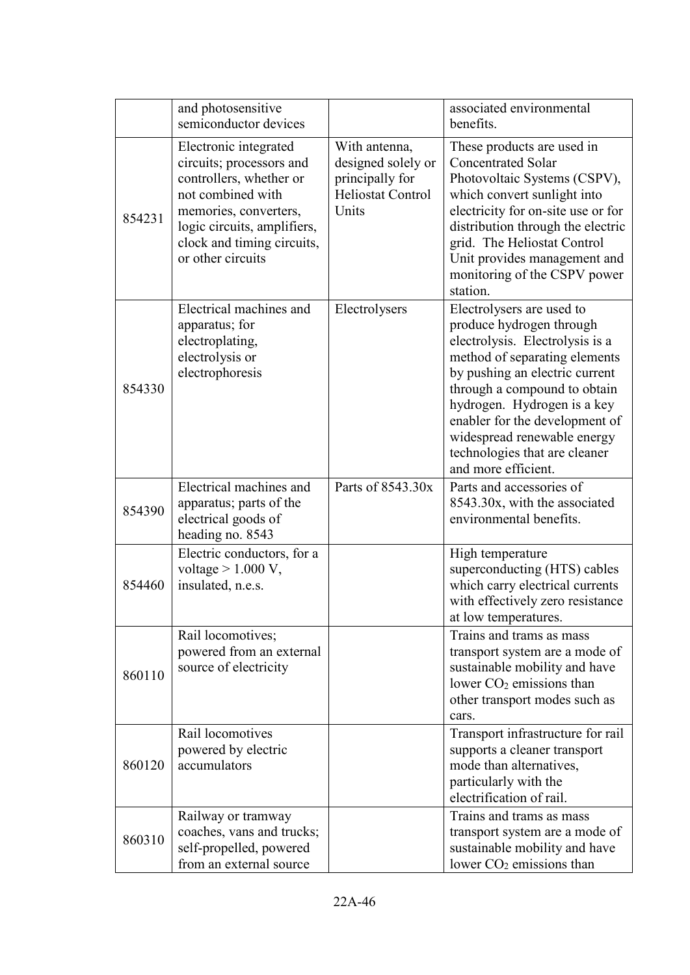|        | and photosensitive<br>semiconductor devices                                                                                                                                                                  |                                                                                             | associated environmental<br>benefits.                                                                                                                                                                                                                                                                                                               |
|--------|--------------------------------------------------------------------------------------------------------------------------------------------------------------------------------------------------------------|---------------------------------------------------------------------------------------------|-----------------------------------------------------------------------------------------------------------------------------------------------------------------------------------------------------------------------------------------------------------------------------------------------------------------------------------------------------|
| 854231 | Electronic integrated<br>circuits; processors and<br>controllers, whether or<br>not combined with<br>memories, converters,<br>logic circuits, amplifiers,<br>clock and timing circuits,<br>or other circuits | With antenna,<br>designed solely or<br>principally for<br><b>Heliostat Control</b><br>Units | These products are used in<br><b>Concentrated Solar</b><br>Photovoltaic Systems (CSPV),<br>which convert sunlight into<br>electricity for on-site use or for<br>distribution through the electric<br>grid. The Heliostat Control<br>Unit provides management and<br>monitoring of the CSPV power<br>station.                                        |
| 854330 | Electrical machines and<br>apparatus; for<br>electroplating,<br>electrolysis or<br>electrophoresis                                                                                                           | Electrolysers                                                                               | Electrolysers are used to<br>produce hydrogen through<br>electrolysis. Electrolysis is a<br>method of separating elements<br>by pushing an electric current<br>through a compound to obtain<br>hydrogen. Hydrogen is a key<br>enabler for the development of<br>widespread renewable energy<br>technologies that are cleaner<br>and more efficient. |
| 854390 | Electrical machines and<br>apparatus; parts of the<br>electrical goods of<br>heading no. 8543                                                                                                                | Parts of 8543.30x                                                                           | Parts and accessories of<br>8543.30x, with the associated<br>environmental benefits.                                                                                                                                                                                                                                                                |
| 854460 | Electric conductors, for a<br>voltage $> 1.000 V$ ,<br>insulated, n.e.s.                                                                                                                                     |                                                                                             | High temperature<br>superconducting (HTS) cables<br>which carry electrical currents<br>with effectively zero resistance<br>at low temperatures.                                                                                                                                                                                                     |
| 860110 | Rail locomotives;<br>powered from an external<br>source of electricity                                                                                                                                       |                                                                                             | Trains and trams as mass<br>transport system are a mode of<br>sustainable mobility and have<br>lower $CO2$ emissions than<br>other transport modes such as<br>cars.                                                                                                                                                                                 |
| 860120 | Rail locomotives<br>powered by electric<br>accumulators                                                                                                                                                      |                                                                                             | Transport infrastructure for rail<br>supports a cleaner transport<br>mode than alternatives,<br>particularly with the<br>electrification of rail.                                                                                                                                                                                                   |
| 860310 | Railway or tramway<br>coaches, vans and trucks;<br>self-propelled, powered<br>from an external source                                                                                                        |                                                                                             | Trains and trams as mass<br>transport system are a mode of<br>sustainable mobility and have<br>lower CO <sub>2</sub> emissions than                                                                                                                                                                                                                 |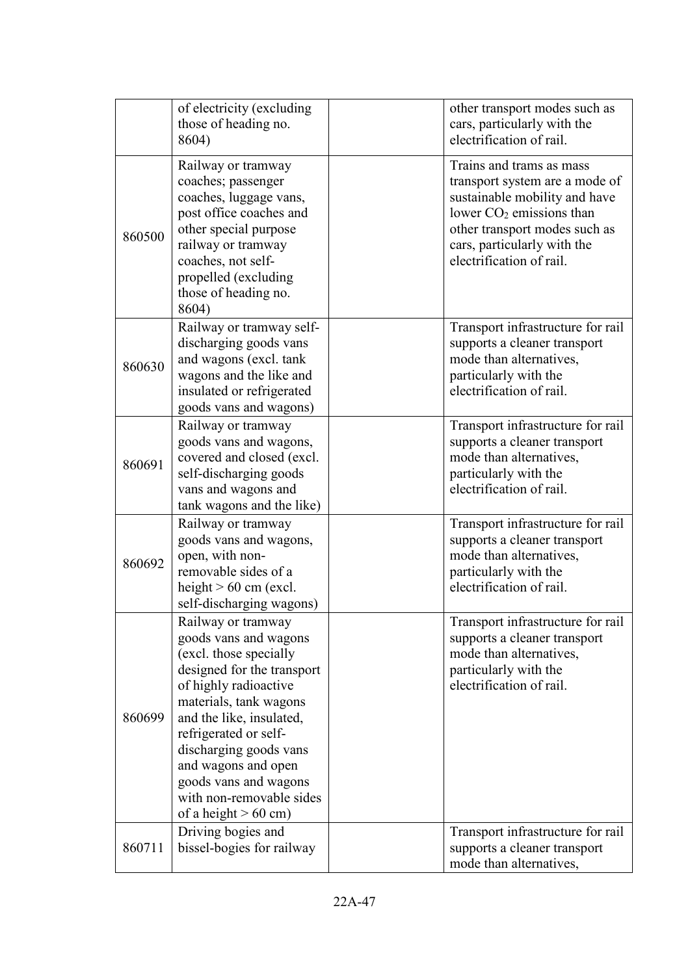|        | of electricity (excluding<br>those of heading no.<br>8604)                                                                                                                                                                                                                                                                                  | other transport modes such as<br>cars, particularly with the<br>electrification of rail.                                                                                                                              |
|--------|---------------------------------------------------------------------------------------------------------------------------------------------------------------------------------------------------------------------------------------------------------------------------------------------------------------------------------------------|-----------------------------------------------------------------------------------------------------------------------------------------------------------------------------------------------------------------------|
| 860500 | Railway or tramway<br>coaches; passenger<br>coaches, luggage vans,<br>post office coaches and<br>other special purpose<br>railway or tramway<br>coaches, not self-<br>propelled (excluding<br>those of heading no.<br>8604)                                                                                                                 | Trains and trams as mass<br>transport system are a mode of<br>sustainable mobility and have<br>lower $CO2$ emissions than<br>other transport modes such as<br>cars, particularly with the<br>electrification of rail. |
| 860630 | Railway or tramway self-<br>discharging goods vans<br>and wagons (excl. tank<br>wagons and the like and<br>insulated or refrigerated<br>goods vans and wagons)                                                                                                                                                                              | Transport infrastructure for rail<br>supports a cleaner transport<br>mode than alternatives,<br>particularly with the<br>electrification of rail.                                                                     |
| 860691 | Railway or tramway<br>goods vans and wagons,<br>covered and closed (excl.<br>self-discharging goods<br>vans and wagons and<br>tank wagons and the like)                                                                                                                                                                                     | Transport infrastructure for rail<br>supports a cleaner transport<br>mode than alternatives,<br>particularly with the<br>electrification of rail.                                                                     |
| 860692 | Railway or tramway<br>goods vans and wagons,<br>open, with non-<br>removable sides of a<br>height $> 60$ cm (excl.<br>self-discharging wagons)                                                                                                                                                                                              | Transport infrastructure for rail<br>supports a cleaner transport<br>mode than alternatives,<br>particularly with the<br>electrification of rail.                                                                     |
| 860699 | Railway or tramway<br>goods vans and wagons<br>(excl. those specially<br>designed for the transport<br>of highly radioactive<br>materials, tank wagons<br>and the like, insulated,<br>refrigerated or self-<br>discharging goods vans<br>and wagons and open<br>goods vans and wagons<br>with non-removable sides<br>of a height $> 60$ cm) | Transport infrastructure for rail<br>supports a cleaner transport<br>mode than alternatives,<br>particularly with the<br>electrification of rail.                                                                     |
| 860711 | Driving bogies and<br>bissel-bogies for railway                                                                                                                                                                                                                                                                                             | Transport infrastructure for rail<br>supports a cleaner transport<br>mode than alternatives,                                                                                                                          |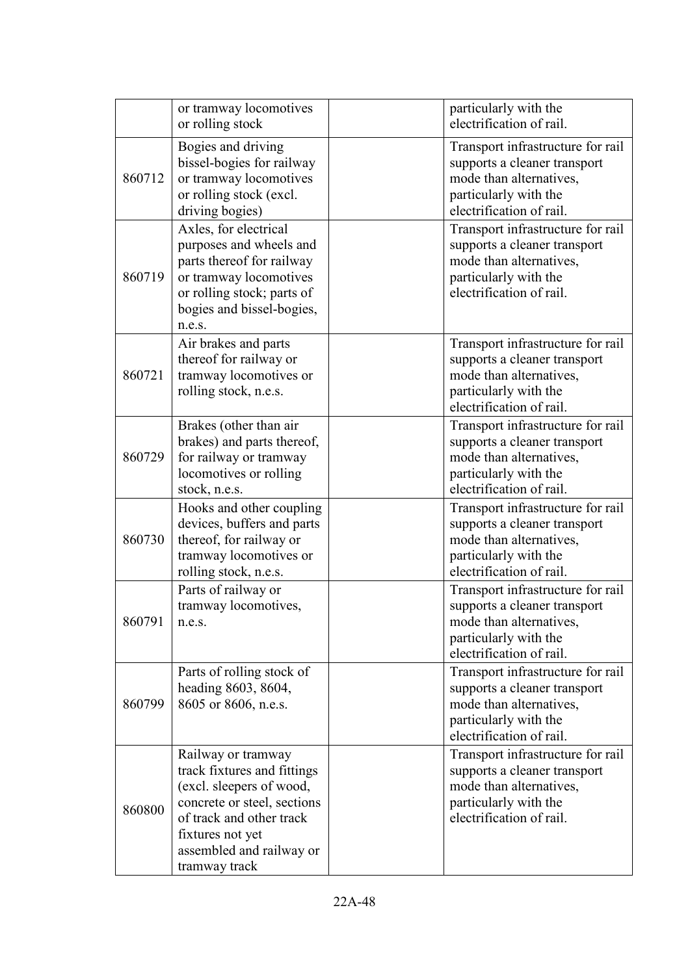|        | or tramway locomotives<br>or rolling stock                                                                                                                                                                | particularly with the<br>electrification of rail.                                                                                                 |
|--------|-----------------------------------------------------------------------------------------------------------------------------------------------------------------------------------------------------------|---------------------------------------------------------------------------------------------------------------------------------------------------|
| 860712 | Bogies and driving<br>bissel-bogies for railway<br>or tramway locomotives<br>or rolling stock (excl.<br>driving bogies)                                                                                   | Transport infrastructure for rail<br>supports a cleaner transport<br>mode than alternatives,<br>particularly with the<br>electrification of rail. |
| 860719 | Axles, for electrical<br>purposes and wheels and<br>parts thereof for railway<br>or tramway locomotives<br>or rolling stock; parts of<br>bogies and bissel-bogies,<br>n.e.s.                              | Transport infrastructure for rail<br>supports a cleaner transport<br>mode than alternatives,<br>particularly with the<br>electrification of rail. |
| 860721 | Air brakes and parts<br>thereof for railway or<br>tramway locomotives or<br>rolling stock, n.e.s.                                                                                                         | Transport infrastructure for rail<br>supports a cleaner transport<br>mode than alternatives,<br>particularly with the<br>electrification of rail. |
| 860729 | Brakes (other than air<br>brakes) and parts thereof,<br>for railway or tramway<br>locomotives or rolling<br>stock, n.e.s.                                                                                 | Transport infrastructure for rail<br>supports a cleaner transport<br>mode than alternatives,<br>particularly with the<br>electrification of rail. |
| 860730 | Hooks and other coupling<br>devices, buffers and parts<br>thereof, for railway or<br>tramway locomotives or<br>rolling stock, n.e.s.                                                                      | Transport infrastructure for rail<br>supports a cleaner transport<br>mode than alternatives,<br>particularly with the<br>electrification of rail. |
| 860791 | Parts of railway or<br>tramway locomotives,<br>n.e.s.                                                                                                                                                     | Transport infrastructure for rail<br>supports a cleaner transport<br>mode than alternatives,<br>particularly with the<br>electrification of rail. |
| 860799 | Parts of rolling stock of<br>heading 8603, 8604,<br>8605 or 8606, n.e.s.                                                                                                                                  | Transport infrastructure for rail<br>supports a cleaner transport<br>mode than alternatives,<br>particularly with the<br>electrification of rail. |
| 860800 | Railway or tramway<br>track fixtures and fittings<br>(excl. sleepers of wood,<br>concrete or steel, sections<br>of track and other track<br>fixtures not yet<br>assembled and railway or<br>tramway track | Transport infrastructure for rail<br>supports a cleaner transport<br>mode than alternatives,<br>particularly with the<br>electrification of rail. |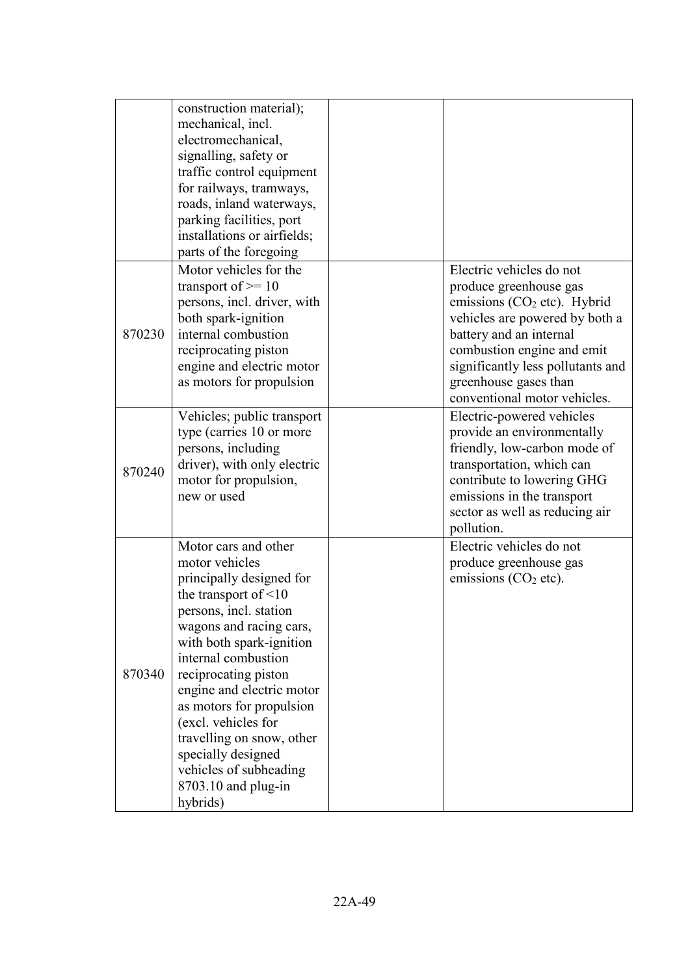|        | construction material);<br>mechanical, incl.<br>electromechanical,<br>signalling, safety or<br>traffic control equipment<br>for railways, tramways,<br>roads, inland waterways,<br>parking facilities, port<br>installations or airfields;<br>parts of the foregoing                                                                                                                                                             |                                                                                                                                                                                                                                                                                        |
|--------|----------------------------------------------------------------------------------------------------------------------------------------------------------------------------------------------------------------------------------------------------------------------------------------------------------------------------------------------------------------------------------------------------------------------------------|----------------------------------------------------------------------------------------------------------------------------------------------------------------------------------------------------------------------------------------------------------------------------------------|
| 870230 | Motor vehicles for the<br>transport of $\geq 10$<br>persons, incl. driver, with<br>both spark-ignition<br>internal combustion<br>reciprocating piston<br>engine and electric motor<br>as motors for propulsion                                                                                                                                                                                                                   | Electric vehicles do not<br>produce greenhouse gas<br>emissions (CO <sub>2</sub> etc). Hybrid<br>vehicles are powered by both a<br>battery and an internal<br>combustion engine and emit<br>significantly less pollutants and<br>greenhouse gases than<br>conventional motor vehicles. |
| 870240 | Vehicles; public transport<br>type (carries 10 or more<br>persons, including<br>driver), with only electric<br>motor for propulsion,<br>new or used                                                                                                                                                                                                                                                                              | Electric-powered vehicles<br>provide an environmentally<br>friendly, low-carbon mode of<br>transportation, which can<br>contribute to lowering GHG<br>emissions in the transport<br>sector as well as reducing air<br>pollution.                                                       |
| 870340 | Motor cars and other<br>motor vehicles<br>principally designed for<br>the transport of $\leq 10$<br>persons, incl. station<br>wagons and racing cars,<br>with both spark-ignition<br>internal combustion<br>reciprocating piston<br>engine and electric motor<br>as motors for propulsion<br>(excl. vehicles for<br>travelling on snow, other<br>specially designed<br>vehicles of subheading<br>8703.10 and plug-in<br>hybrids) | Electric vehicles do not<br>produce greenhouse gas<br>emissions $(CO2 etc).$                                                                                                                                                                                                           |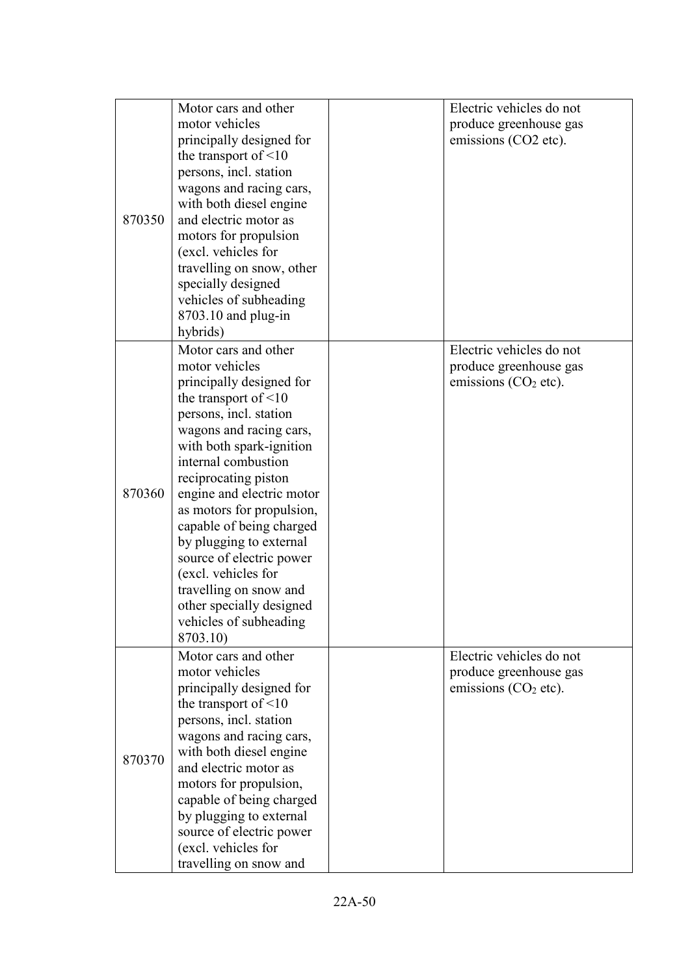| 870350 | Motor cars and other<br>motor vehicles<br>principally designed for<br>the transport of $\leq 10$<br>persons, incl. station<br>wagons and racing cars,<br>with both diesel engine<br>and electric motor as                                                                                                                                                                                                                                                                                        | Electric vehicles do not<br>produce greenhouse gas<br>emissions (CO2 etc).   |
|--------|--------------------------------------------------------------------------------------------------------------------------------------------------------------------------------------------------------------------------------------------------------------------------------------------------------------------------------------------------------------------------------------------------------------------------------------------------------------------------------------------------|------------------------------------------------------------------------------|
|        | motors for propulsion<br>(excl. vehicles for<br>travelling on snow, other<br>specially designed<br>vehicles of subheading<br>8703.10 and plug-in<br>hybrids)                                                                                                                                                                                                                                                                                                                                     |                                                                              |
| 870360 | Motor cars and other<br>motor vehicles<br>principally designed for<br>the transport of $\leq 10$<br>persons, incl. station<br>wagons and racing cars,<br>with both spark-ignition<br>internal combustion<br>reciprocating piston<br>engine and electric motor<br>as motors for propulsion,<br>capable of being charged<br>by plugging to external<br>source of electric power<br>(excl. vehicles for<br>travelling on snow and<br>other specially designed<br>vehicles of subheading<br>8703.10) | Electric vehicles do not<br>produce greenhouse gas<br>emissions $(CO2 etc).$ |
| 870370 | Motor cars and other<br>motor vehicles<br>principally designed for<br>the transport of $\leq 10$<br>persons, incl. station<br>wagons and racing cars,<br>with both diesel engine<br>and electric motor as<br>motors for propulsion,<br>capable of being charged<br>by plugging to external<br>source of electric power<br>(excl. vehicles for<br>travelling on snow and                                                                                                                          | Electric vehicles do not<br>produce greenhouse gas<br>emissions $(CO2 etc).$ |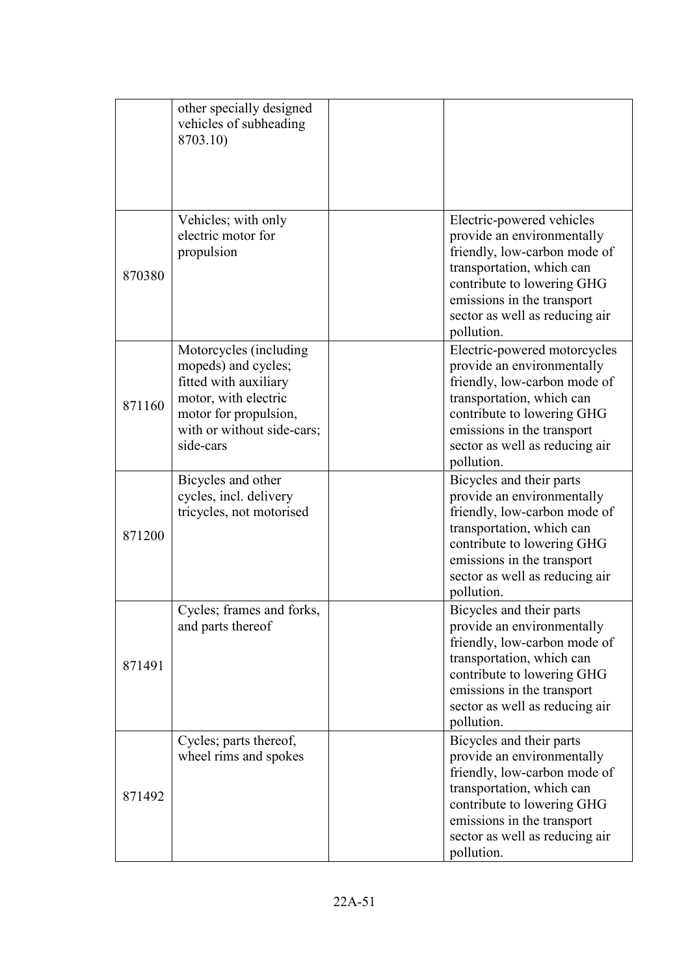|        | other specially designed<br>vehicles of subheading<br>8703.10)                                                                                                     |                                                                                                                                                                                                                                     |
|--------|--------------------------------------------------------------------------------------------------------------------------------------------------------------------|-------------------------------------------------------------------------------------------------------------------------------------------------------------------------------------------------------------------------------------|
| 870380 | Vehicles; with only<br>electric motor for<br>propulsion                                                                                                            | Electric-powered vehicles<br>provide an environmentally<br>friendly, low-carbon mode of<br>transportation, which can<br>contribute to lowering GHG<br>emissions in the transport<br>sector as well as reducing air<br>pollution.    |
| 871160 | Motorcycles (including<br>mopeds) and cycles;<br>fitted with auxiliary<br>motor, with electric<br>motor for propulsion,<br>with or without side-cars;<br>side-cars | Electric-powered motorcycles<br>provide an environmentally<br>friendly, low-carbon mode of<br>transportation, which can<br>contribute to lowering GHG<br>emissions in the transport<br>sector as well as reducing air<br>pollution. |
| 871200 | Bicycles and other<br>cycles, incl. delivery<br>tricycles, not motorised                                                                                           | Bicycles and their parts<br>provide an environmentally<br>friendly, low-carbon mode of<br>transportation, which can<br>contribute to lowering GHG<br>emissions in the transport<br>sector as well as reducing air<br>pollution.     |
| 871491 | Cycles; frames and forks,<br>and parts thereof                                                                                                                     | Bicycles and their parts<br>provide an environmentally<br>friendly, low-carbon mode of<br>transportation, which can<br>contribute to lowering GHG<br>emissions in the transport<br>sector as well as reducing air<br>pollution.     |
| 871492 | Cycles; parts thereof,<br>wheel rims and spokes                                                                                                                    | Bicycles and their parts<br>provide an environmentally<br>friendly, low-carbon mode of<br>transportation, which can<br>contribute to lowering GHG<br>emissions in the transport<br>sector as well as reducing air<br>pollution.     |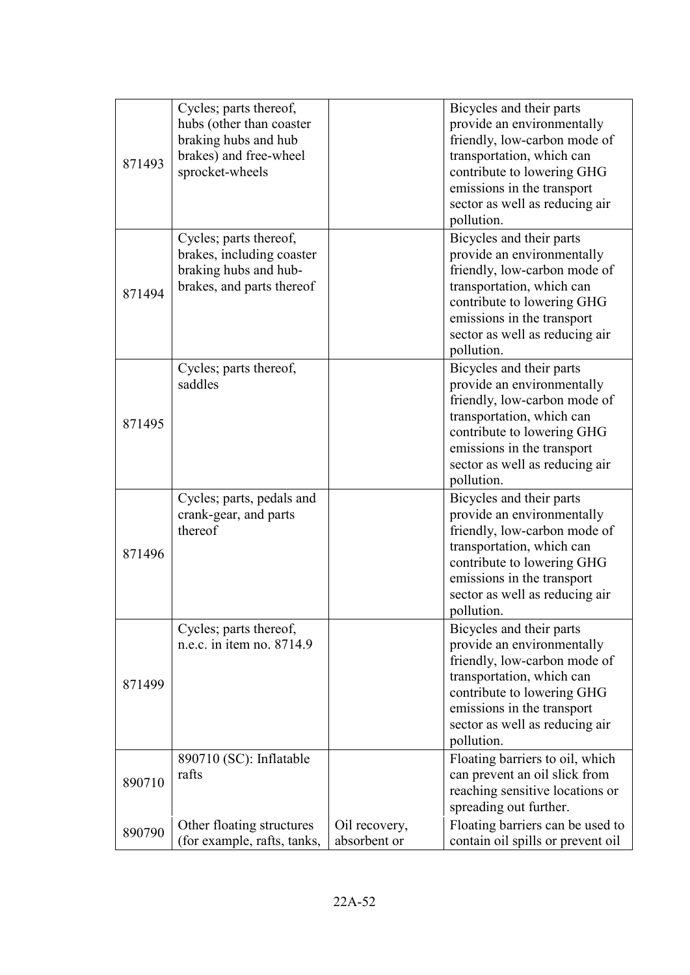| 871493 | Cycles; parts thereof,<br>hubs (other than coaster<br>braking hubs and hub<br>brakes) and free-wheel<br>sprocket-wheels |                               | Bicycles and their parts<br>provide an environmentally<br>friendly, low-carbon mode of<br>transportation, which can<br>contribute to lowering GHG<br>emissions in the transport<br>sector as well as reducing air<br>pollution. |
|--------|-------------------------------------------------------------------------------------------------------------------------|-------------------------------|---------------------------------------------------------------------------------------------------------------------------------------------------------------------------------------------------------------------------------|
| 871494 | Cycles; parts thereof,<br>brakes, including coaster<br>braking hubs and hub-<br>brakes, and parts thereof               |                               | Bicycles and their parts<br>provide an environmentally<br>friendly, low-carbon mode of<br>transportation, which can<br>contribute to lowering GHG<br>emissions in the transport<br>sector as well as reducing air<br>pollution. |
| 871495 | Cycles; parts thereof,<br>saddles                                                                                       |                               | Bicycles and their parts<br>provide an environmentally<br>friendly, low-carbon mode of<br>transportation, which can<br>contribute to lowering GHG<br>emissions in the transport<br>sector as well as reducing air<br>pollution. |
| 871496 | Cycles; parts, pedals and<br>crank-gear, and parts<br>thereof                                                           |                               | Bicycles and their parts<br>provide an environmentally<br>friendly, low-carbon mode of<br>transportation, which can<br>contribute to lowering GHG<br>emissions in the transport<br>sector as well as reducing air<br>pollution. |
| 871499 | Cycles; parts thereof,<br>n.e.c. in item no. 8714.9                                                                     |                               | Bicycles and their parts<br>provide an environmentally<br>friendly, low-carbon mode of<br>transportation, which can<br>contribute to lowering GHG<br>emissions in the transport<br>sector as well as reducing air<br>pollution. |
| 890710 | 890710 (SC): Inflatable<br>rafts                                                                                        |                               | Floating barriers to oil, which<br>can prevent an oil slick from<br>reaching sensitive locations or<br>spreading out further.                                                                                                   |
| 890790 | Other floating structures<br>(for example, rafts, tanks,                                                                | Oil recovery,<br>absorbent or | Floating barriers can be used to<br>contain oil spills or prevent oil                                                                                                                                                           |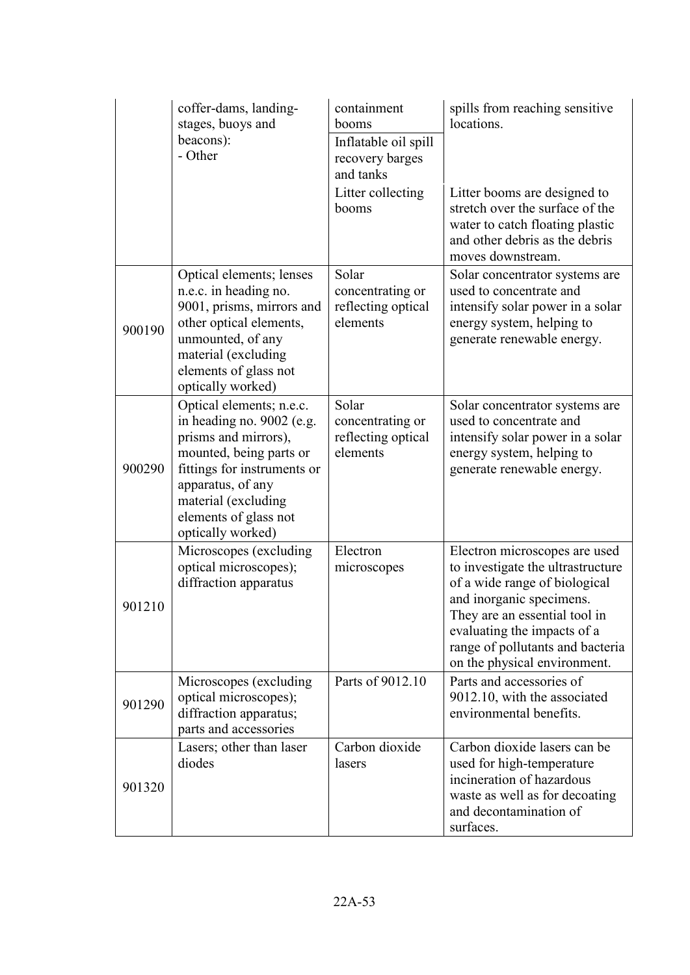|        | coffer-dams, landing-<br>stages, buoys and<br>beacons):<br>- Other                                                                                                                                                                | containment<br>booms<br>Inflatable oil spill<br>recovery barges<br>and tanks | spills from reaching sensitive<br>locations.                                                                                                                                                                                                                        |
|--------|-----------------------------------------------------------------------------------------------------------------------------------------------------------------------------------------------------------------------------------|------------------------------------------------------------------------------|---------------------------------------------------------------------------------------------------------------------------------------------------------------------------------------------------------------------------------------------------------------------|
|        |                                                                                                                                                                                                                                   | Litter collecting<br>booms                                                   | Litter booms are designed to<br>stretch over the surface of the<br>water to catch floating plastic<br>and other debris as the debris<br>moves downstream.                                                                                                           |
| 900190 | Optical elements; lenses<br>n.e.c. in heading no.<br>9001, prisms, mirrors and<br>other optical elements,<br>unmounted, of any<br>material (excluding<br>elements of glass not<br>optically worked)                               | Solar<br>concentrating or<br>reflecting optical<br>elements                  | Solar concentrator systems are<br>used to concentrate and<br>intensify solar power in a solar<br>energy system, helping to<br>generate renewable energy.                                                                                                            |
| 900290 | Optical elements; n.e.c.<br>in heading no. 9002 (e.g.<br>prisms and mirrors),<br>mounted, being parts or<br>fittings for instruments or<br>apparatus, of any<br>material (excluding<br>elements of glass not<br>optically worked) | Solar<br>concentrating or<br>reflecting optical<br>elements                  | Solar concentrator systems are<br>used to concentrate and<br>intensify solar power in a solar<br>energy system, helping to<br>generate renewable energy.                                                                                                            |
| 901210 | Microscopes (excluding<br>optical microscopes);<br>diffraction apparatus                                                                                                                                                          | Electron<br>microscopes                                                      | Electron microscopes are used<br>to investigate the ultrastructure<br>of a wide range of biological<br>and inorganic specimens.<br>They are an essential tool in<br>evaluating the impacts of a<br>range of pollutants and bacteria<br>on the physical environment. |
| 901290 | Microscopes (excluding)<br>optical microscopes);<br>diffraction apparatus;<br>parts and accessories                                                                                                                               | Parts of 9012.10                                                             | Parts and accessories of<br>9012.10, with the associated<br>environmental benefits.                                                                                                                                                                                 |
| 901320 | Lasers; other than laser<br>diodes                                                                                                                                                                                                | Carbon dioxide<br>lasers                                                     | Carbon dioxide lasers can be<br>used for high-temperature<br>incineration of hazardous<br>waste as well as for decoating<br>and decontamination of<br>surfaces.                                                                                                     |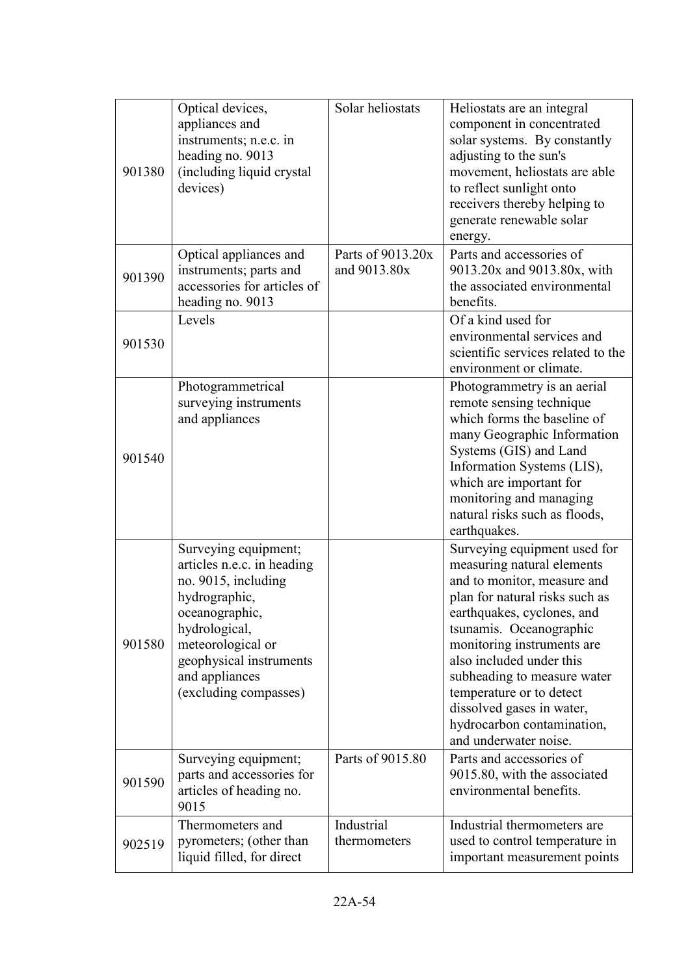| 901380 | Optical devices,<br>appliances and<br>instruments; n.e.c. in<br>heading no. 9013<br>(including liquid crystal<br>devices)                                                                                                | Solar heliostats                  | Heliostats are an integral<br>component in concentrated<br>solar systems. By constantly<br>adjusting to the sun's<br>movement, heliostats are able<br>to reflect sunlight onto<br>receivers thereby helping to<br>generate renewable solar<br>energy.                                                                                                                                         |
|--------|--------------------------------------------------------------------------------------------------------------------------------------------------------------------------------------------------------------------------|-----------------------------------|-----------------------------------------------------------------------------------------------------------------------------------------------------------------------------------------------------------------------------------------------------------------------------------------------------------------------------------------------------------------------------------------------|
| 901390 | Optical appliances and<br>instruments; parts and<br>accessories for articles of<br>heading no. 9013                                                                                                                      | Parts of 9013.20x<br>and 9013.80x | Parts and accessories of<br>9013.20x and 9013.80x, with<br>the associated environmental<br>benefits.                                                                                                                                                                                                                                                                                          |
| 901530 | Levels                                                                                                                                                                                                                   |                                   | Of a kind used for<br>environmental services and<br>scientific services related to the<br>environment or climate.                                                                                                                                                                                                                                                                             |
| 901540 | Photogrammetrical<br>surveying instruments<br>and appliances                                                                                                                                                             |                                   | Photogrammetry is an aerial<br>remote sensing technique<br>which forms the baseline of<br>many Geographic Information<br>Systems (GIS) and Land<br>Information Systems (LIS),<br>which are important for<br>monitoring and managing<br>natural risks such as floods,<br>earthquakes.                                                                                                          |
| 901580 | Surveying equipment;<br>articles n.e.c. in heading<br>no. 9015, including<br>hydrographic,<br>oceanographic,<br>hydrological,<br>meteorological or<br>geophysical instruments<br>and appliances<br>(excluding compasses) |                                   | Surveying equipment used for<br>measuring natural elements<br>and to monitor, measure and<br>plan for natural risks such as<br>earthquakes, cyclones, and<br>tsunamis. Oceanographic<br>monitoring instruments are<br>also included under this<br>subheading to measure water<br>temperature or to detect<br>dissolved gases in water,<br>hydrocarbon contamination,<br>and underwater noise. |
| 901590 | Surveying equipment;<br>parts and accessories for<br>articles of heading no.<br>9015                                                                                                                                     | Parts of 9015.80                  | Parts and accessories of<br>9015.80, with the associated<br>environmental benefits.                                                                                                                                                                                                                                                                                                           |
| 902519 | Thermometers and<br>pyrometers; (other than<br>liquid filled, for direct                                                                                                                                                 | Industrial<br>thermometers        | Industrial thermometers are<br>used to control temperature in<br>important measurement points                                                                                                                                                                                                                                                                                                 |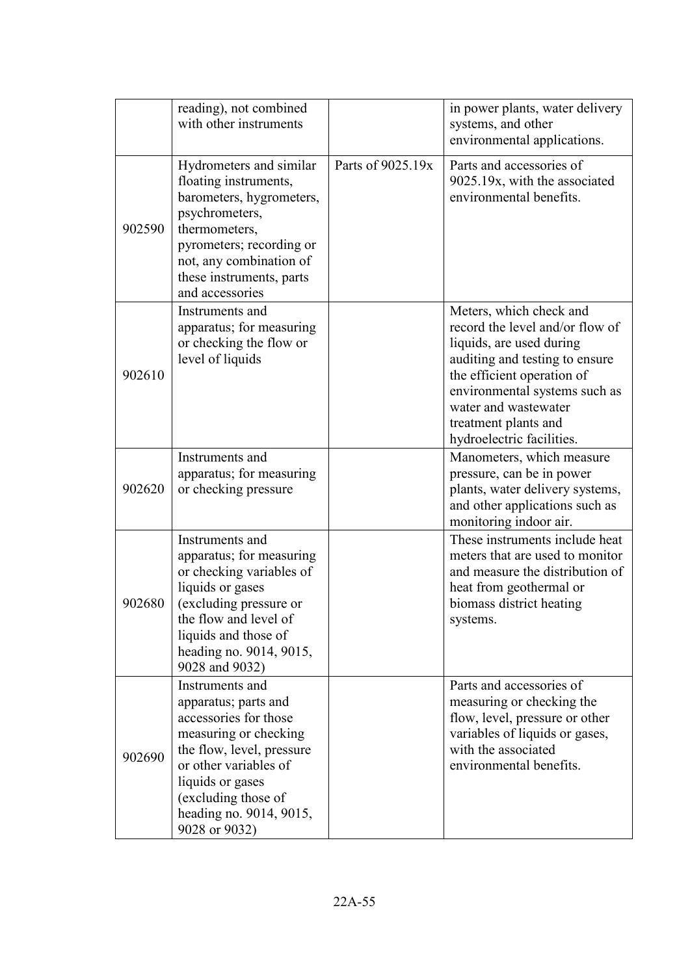|        | reading), not combined<br>with other instruments                                                                                                                                                                                       |                   | in power plants, water delivery<br>systems, and other<br>environmental applications.                                                                                                                                                                                 |
|--------|----------------------------------------------------------------------------------------------------------------------------------------------------------------------------------------------------------------------------------------|-------------------|----------------------------------------------------------------------------------------------------------------------------------------------------------------------------------------------------------------------------------------------------------------------|
| 902590 | Hydrometers and similar<br>floating instruments,<br>barometers, hygrometers,<br>psychrometers,<br>thermometers,<br>pyrometers; recording or<br>not, any combination of<br>these instruments, parts<br>and accessories                  | Parts of 9025.19x | Parts and accessories of<br>9025.19x, with the associated<br>environmental benefits.                                                                                                                                                                                 |
| 902610 | Instruments and<br>apparatus; for measuring<br>or checking the flow or<br>level of liquids                                                                                                                                             |                   | Meters, which check and<br>record the level and/or flow of<br>liquids, are used during<br>auditing and testing to ensure<br>the efficient operation of<br>environmental systems such as<br>water and wastewater<br>treatment plants and<br>hydroelectric facilities. |
| 902620 | Instruments and<br>apparatus; for measuring<br>or checking pressure                                                                                                                                                                    |                   | Manometers, which measure<br>pressure, can be in power<br>plants, water delivery systems,<br>and other applications such as<br>monitoring indoor air.                                                                                                                |
| 902680 | Instruments and<br>apparatus; for measuring<br>or checking variables of<br>liquids or gases<br>(excluding pressure or<br>the flow and level of<br>liquids and those of<br>heading no. 9014, 9015,<br>9028 and 9032)                    |                   | These instruments include heat<br>meters that are used to monitor<br>and measure the distribution of<br>heat from geothermal or<br>biomass district heating<br>systems.                                                                                              |
| 902690 | Instruments and<br>apparatus; parts and<br>accessories for those<br>measuring or checking<br>the flow, level, pressure<br>or other variables of<br>liquids or gases<br>(excluding those of<br>heading no. 9014, 9015,<br>9028 or 9032) |                   | Parts and accessories of<br>measuring or checking the<br>flow, level, pressure or other<br>variables of liquids or gases,<br>with the associated<br>environmental benefits.                                                                                          |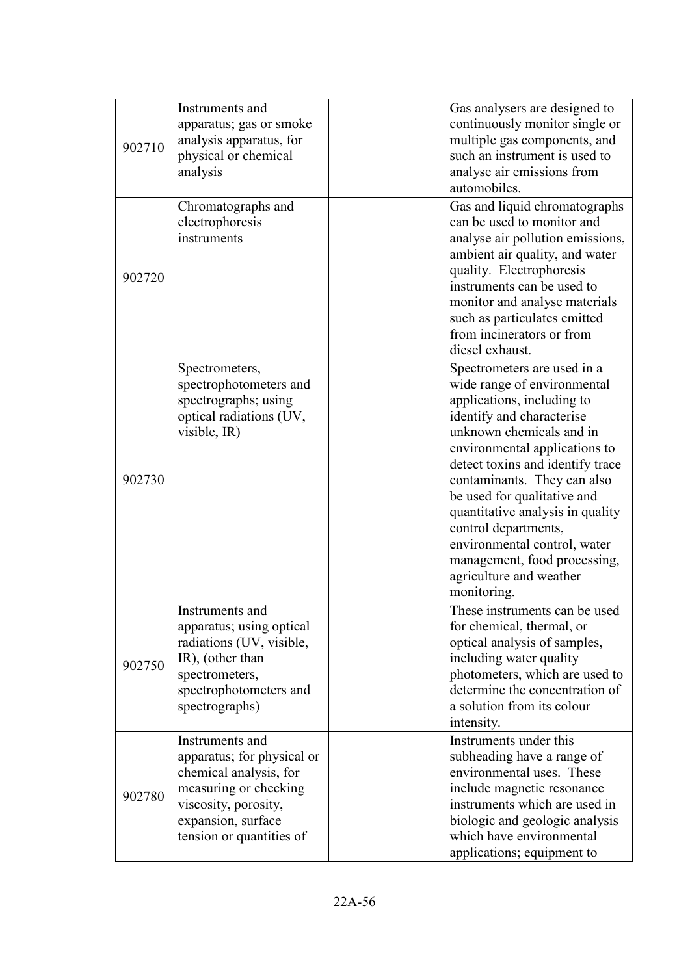| 902710 | Instruments and<br>apparatus; gas or smoke<br>analysis apparatus, for<br>physical or chemical<br>analysis                                                                  | Gas analysers are designed to<br>continuously monitor single or<br>multiple gas components, and<br>such an instrument is used to<br>analyse air emissions from<br>automobiles.                                                                                                                                                                                                                                                                             |
|--------|----------------------------------------------------------------------------------------------------------------------------------------------------------------------------|------------------------------------------------------------------------------------------------------------------------------------------------------------------------------------------------------------------------------------------------------------------------------------------------------------------------------------------------------------------------------------------------------------------------------------------------------------|
| 902720 | Chromatographs and<br>electrophoresis<br>instruments                                                                                                                       | Gas and liquid chromatographs<br>can be used to monitor and<br>analyse air pollution emissions,<br>ambient air quality, and water<br>quality. Electrophoresis<br>instruments can be used to<br>monitor and analyse materials<br>such as particulates emitted<br>from incinerators or from<br>diesel exhaust.                                                                                                                                               |
| 902730 | Spectrometers,<br>spectrophotometers and<br>spectrographs; using<br>optical radiations (UV,<br>visible, IR)                                                                | Spectrometers are used in a<br>wide range of environmental<br>applications, including to<br>identify and characterise<br>unknown chemicals and in<br>environmental applications to<br>detect toxins and identify trace<br>contaminants. They can also<br>be used for qualitative and<br>quantitative analysis in quality<br>control departments,<br>environmental control, water<br>management, food processing,<br>agriculture and weather<br>monitoring. |
| 902750 | Instruments and<br>apparatus; using optical<br>radiations (UV, visible,<br>IR), (other than<br>spectrometers,<br>spectrophotometers and<br>spectrographs)                  | These instruments can be used<br>for chemical, thermal, or<br>optical analysis of samples,<br>including water quality<br>photometers, which are used to<br>determine the concentration of<br>a solution from its colour<br>intensity.                                                                                                                                                                                                                      |
| 902780 | Instruments and<br>apparatus; for physical or<br>chemical analysis, for<br>measuring or checking<br>viscosity, porosity,<br>expansion, surface<br>tension or quantities of | Instruments under this<br>subheading have a range of<br>environmental uses. These<br>include magnetic resonance<br>instruments which are used in<br>biologic and geologic analysis<br>which have environmental<br>applications; equipment to                                                                                                                                                                                                               |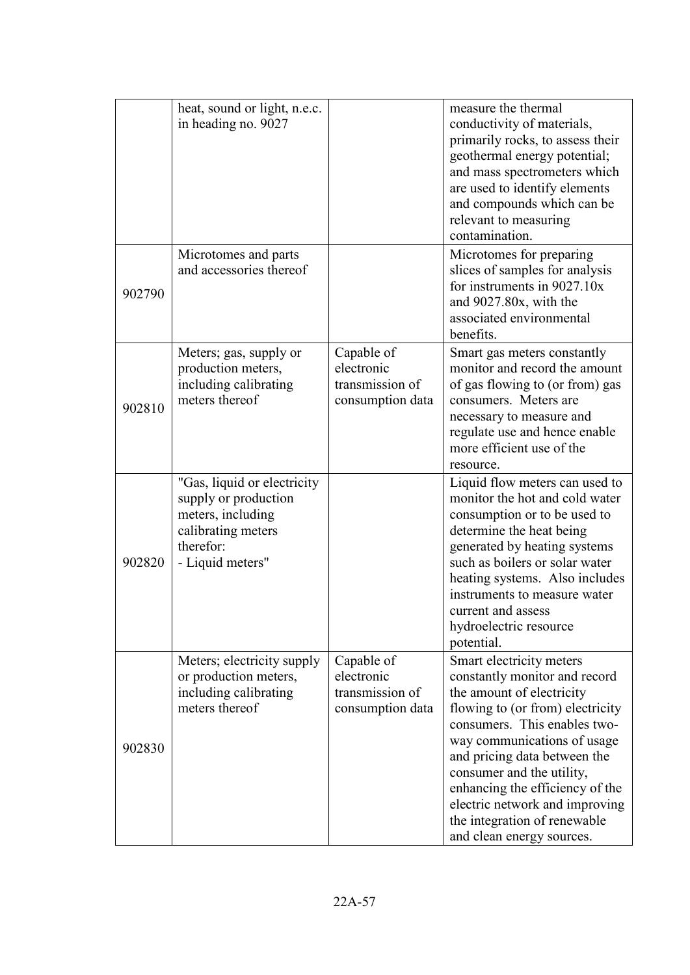|        | heat, sound or light, n.e.c.<br>in heading no. 9027                                                                             |                                                                 | measure the thermal<br>conductivity of materials,<br>primarily rocks, to assess their<br>geothermal energy potential;<br>and mass spectrometers which<br>are used to identify elements<br>and compounds which can be<br>relevant to measuring<br>contamination.                                                                                                                          |
|--------|---------------------------------------------------------------------------------------------------------------------------------|-----------------------------------------------------------------|------------------------------------------------------------------------------------------------------------------------------------------------------------------------------------------------------------------------------------------------------------------------------------------------------------------------------------------------------------------------------------------|
| 902790 | Microtomes and parts<br>and accessories thereof                                                                                 |                                                                 | Microtomes for preparing<br>slices of samples for analysis<br>for instruments in 9027.10x<br>and 9027.80x, with the<br>associated environmental<br>benefits.                                                                                                                                                                                                                             |
| 902810 | Meters; gas, supply or<br>production meters,<br>including calibrating<br>meters thereof                                         | Capable of<br>electronic<br>transmission of<br>consumption data | Smart gas meters constantly<br>monitor and record the amount<br>of gas flowing to (or from) gas<br>consumers. Meters are<br>necessary to measure and<br>regulate use and hence enable<br>more efficient use of the<br>resource.                                                                                                                                                          |
| 902820 | "Gas, liquid or electricity<br>supply or production<br>meters, including<br>calibrating meters<br>therefor:<br>- Liquid meters" |                                                                 | Liquid flow meters can used to<br>monitor the hot and cold water<br>consumption or to be used to<br>determine the heat being<br>generated by heating systems<br>such as boilers or solar water<br>heating systems. Also includes<br>instruments to measure water<br>current and assess<br>hydroelectric resource<br>potential.                                                           |
| 902830 | Meters; electricity supply<br>or production meters,<br>including calibrating<br>meters thereof                                  | Capable of<br>electronic<br>transmission of<br>consumption data | Smart electricity meters<br>constantly monitor and record<br>the amount of electricity<br>flowing to (or from) electricity<br>consumers. This enables two-<br>way communications of usage<br>and pricing data between the<br>consumer and the utility,<br>enhancing the efficiency of the<br>electric network and improving<br>the integration of renewable<br>and clean energy sources. |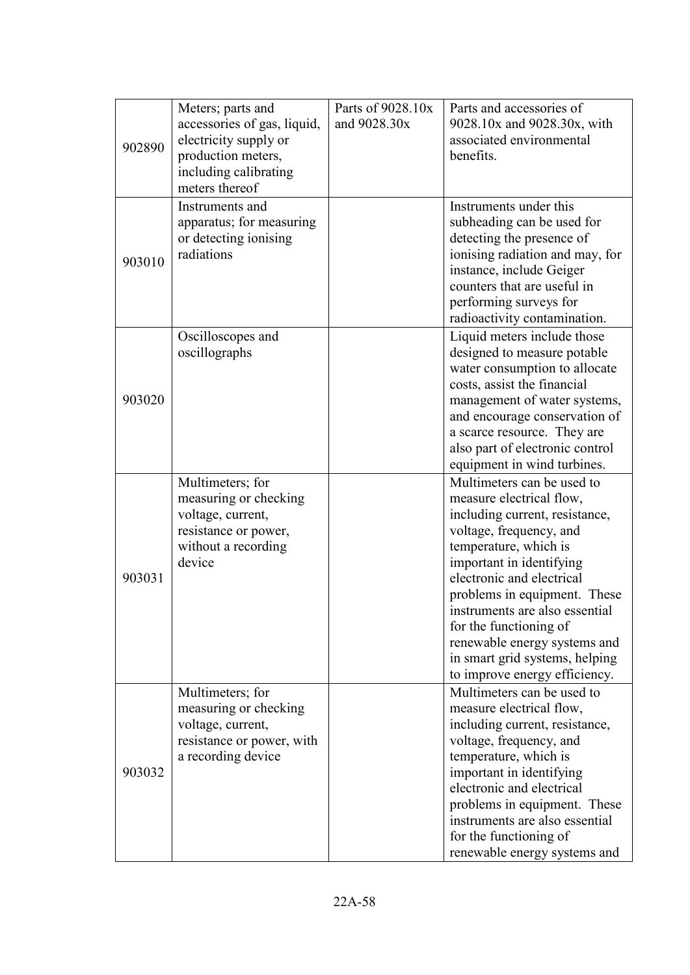| 902890 | Meters; parts and<br>accessories of gas, liquid,<br>electricity supply or<br>production meters,<br>including calibrating<br>meters thereof | Parts of 9028.10x<br>and 9028.30x | Parts and accessories of<br>9028.10x and 9028.30x, with<br>associated environmental<br>benefits.                                                                                                                                                                                                                                                                                                     |
|--------|--------------------------------------------------------------------------------------------------------------------------------------------|-----------------------------------|------------------------------------------------------------------------------------------------------------------------------------------------------------------------------------------------------------------------------------------------------------------------------------------------------------------------------------------------------------------------------------------------------|
| 903010 | Instruments and<br>apparatus; for measuring<br>or detecting ionising<br>radiations                                                         |                                   | Instruments under this<br>subheading can be used for<br>detecting the presence of<br>ionising radiation and may, for<br>instance, include Geiger<br>counters that are useful in<br>performing surveys for<br>radioactivity contamination.                                                                                                                                                            |
| 903020 | Oscilloscopes and<br>oscillographs                                                                                                         |                                   | Liquid meters include those<br>designed to measure potable<br>water consumption to allocate<br>costs, assist the financial<br>management of water systems,<br>and encourage conservation of<br>a scarce resource. They are<br>also part of electronic control<br>equipment in wind turbines.                                                                                                         |
| 903031 | Multimeters; for<br>measuring or checking<br>voltage, current,<br>resistance or power,<br>without a recording<br>device                    |                                   | Multimeters can be used to<br>measure electrical flow,<br>including current, resistance,<br>voltage, frequency, and<br>temperature, which is<br>important in identifying<br>electronic and electrical<br>problems in equipment. These<br>instruments are also essential<br>for the functioning of<br>renewable energy systems and<br>in smart grid systems, helping<br>to improve energy efficiency. |
| 903032 | Multimeters; for<br>measuring or checking<br>voltage, current,<br>resistance or power, with<br>a recording device                          |                                   | Multimeters can be used to<br>measure electrical flow,<br>including current, resistance,<br>voltage, frequency, and<br>temperature, which is<br>important in identifying<br>electronic and electrical<br>problems in equipment. These<br>instruments are also essential<br>for the functioning of<br>renewable energy systems and                                                                    |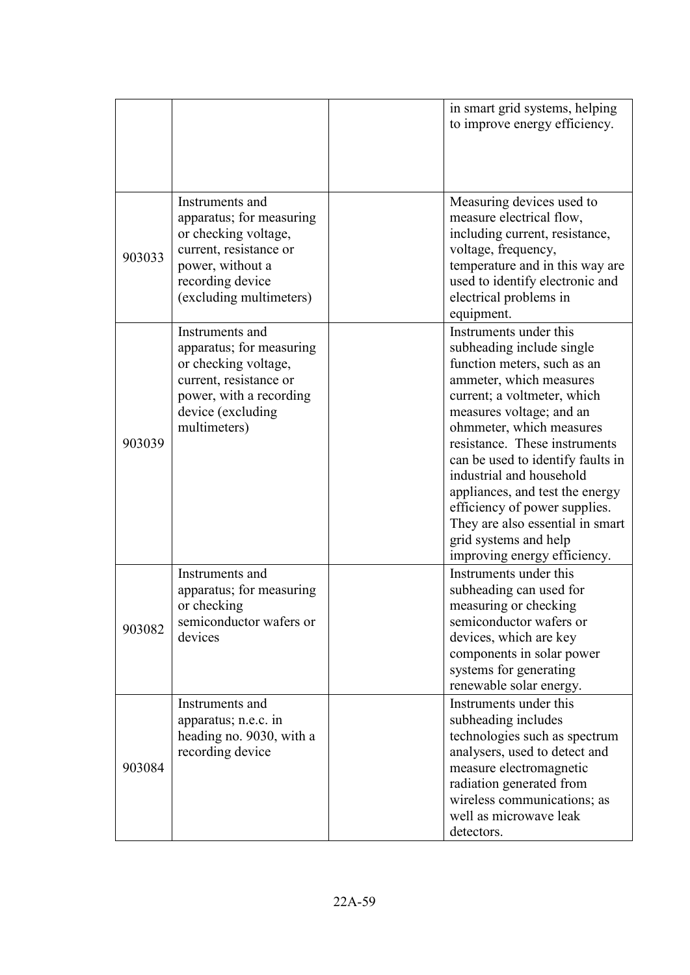|        |                                                                                                                                                                  | in smart grid systems, helping<br>to improve energy efficiency.                                                                                                                                                                                                                                                                                                                                                                                                         |
|--------|------------------------------------------------------------------------------------------------------------------------------------------------------------------|-------------------------------------------------------------------------------------------------------------------------------------------------------------------------------------------------------------------------------------------------------------------------------------------------------------------------------------------------------------------------------------------------------------------------------------------------------------------------|
| 903033 | Instruments and<br>apparatus; for measuring<br>or checking voltage,<br>current, resistance or<br>power, without a<br>recording device<br>(excluding multimeters) | Measuring devices used to<br>measure electrical flow,<br>including current, resistance,<br>voltage, frequency,<br>temperature and in this way are<br>used to identify electronic and<br>electrical problems in<br>equipment.                                                                                                                                                                                                                                            |
| 903039 | Instruments and<br>apparatus; for measuring<br>or checking voltage,<br>current, resistance or<br>power, with a recording<br>device (excluding<br>multimeters)    | Instruments under this<br>subheading include single<br>function meters, such as an<br>ammeter, which measures<br>current; a voltmeter, which<br>measures voltage; and an<br>ohmmeter, which measures<br>resistance. These instruments<br>can be used to identify faults in<br>industrial and household<br>appliances, and test the energy<br>efficiency of power supplies.<br>They are also essential in smart<br>grid systems and help<br>improving energy efficiency. |
| 903082 | Instruments and<br>apparatus; for measuring<br>or checking<br>semiconductor wafers or<br>devices                                                                 | Instruments under this<br>subheading can used for<br>measuring or checking<br>semiconductor wafers or<br>devices, which are key<br>components in solar power<br>systems for generating<br>renewable solar energy.                                                                                                                                                                                                                                                       |
| 903084 | Instruments and<br>apparatus; n.e.c. in<br>heading no. 9030, with a<br>recording device                                                                          | Instruments under this<br>subheading includes<br>technologies such as spectrum<br>analysers, used to detect and<br>measure electromagnetic<br>radiation generated from<br>wireless communications; as<br>well as microwave leak<br>detectors.                                                                                                                                                                                                                           |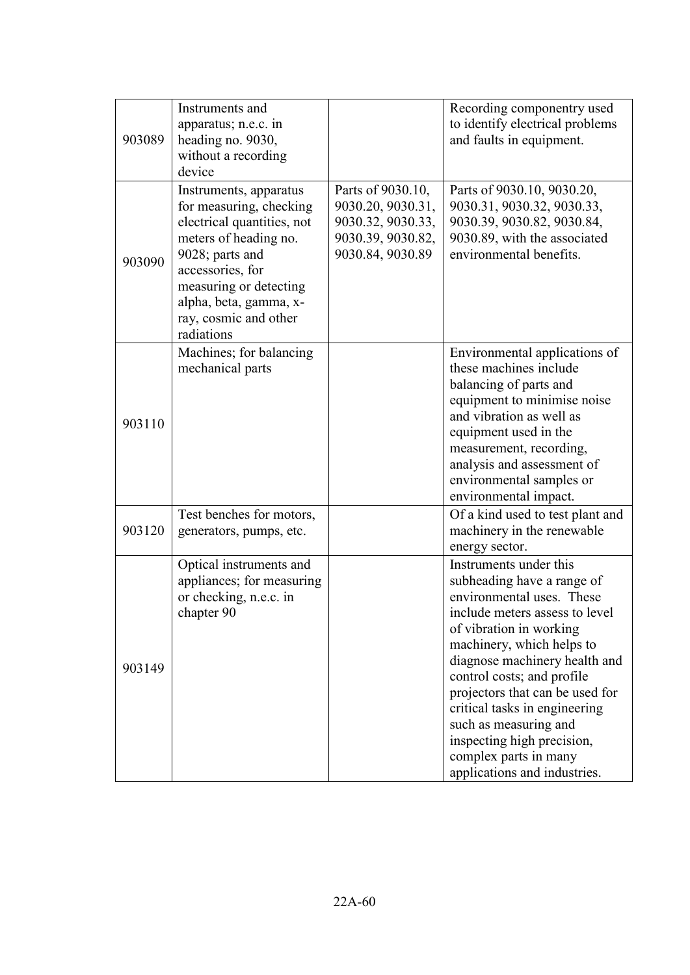| 903089 | Instruments and<br>apparatus; n.e.c. in<br>heading no. 9030,<br>without a recording<br>device                                                                                                                                              |                                                                                                      | Recording componentry used<br>to identify electrical problems<br>and faults in equipment.                                                                                                                                                                                                                                                                                                                                      |
|--------|--------------------------------------------------------------------------------------------------------------------------------------------------------------------------------------------------------------------------------------------|------------------------------------------------------------------------------------------------------|--------------------------------------------------------------------------------------------------------------------------------------------------------------------------------------------------------------------------------------------------------------------------------------------------------------------------------------------------------------------------------------------------------------------------------|
| 903090 | Instruments, apparatus<br>for measuring, checking<br>electrical quantities, not<br>meters of heading no.<br>9028; parts and<br>accessories, for<br>measuring or detecting<br>alpha, beta, gamma, x-<br>ray, cosmic and other<br>radiations | Parts of 9030.10,<br>9030.20, 9030.31,<br>9030.32, 9030.33,<br>9030.39, 9030.82,<br>9030.84, 9030.89 | Parts of 9030.10, 9030.20,<br>9030.31, 9030.32, 9030.33,<br>9030.39, 9030.82, 9030.84,<br>9030.89, with the associated<br>environmental benefits.                                                                                                                                                                                                                                                                              |
| 903110 | Machines; for balancing<br>mechanical parts                                                                                                                                                                                                |                                                                                                      | Environmental applications of<br>these machines include<br>balancing of parts and<br>equipment to minimise noise<br>and vibration as well as<br>equipment used in the<br>measurement, recording,<br>analysis and assessment of<br>environmental samples or<br>environmental impact.                                                                                                                                            |
| 903120 | Test benches for motors,<br>generators, pumps, etc.                                                                                                                                                                                        |                                                                                                      | Of a kind used to test plant and<br>machinery in the renewable<br>energy sector.                                                                                                                                                                                                                                                                                                                                               |
| 903149 | Optical instruments and<br>appliances; for measuring<br>or checking, n.e.c. in<br>chapter 90                                                                                                                                               |                                                                                                      | Instruments under this<br>subheading have a range of<br>environmental uses. These<br>include meters assess to level<br>of vibration in working<br>machinery, which helps to<br>diagnose machinery health and<br>control costs; and profile<br>projectors that can be used for<br>critical tasks in engineering<br>such as measuring and<br>inspecting high precision,<br>complex parts in many<br>applications and industries. |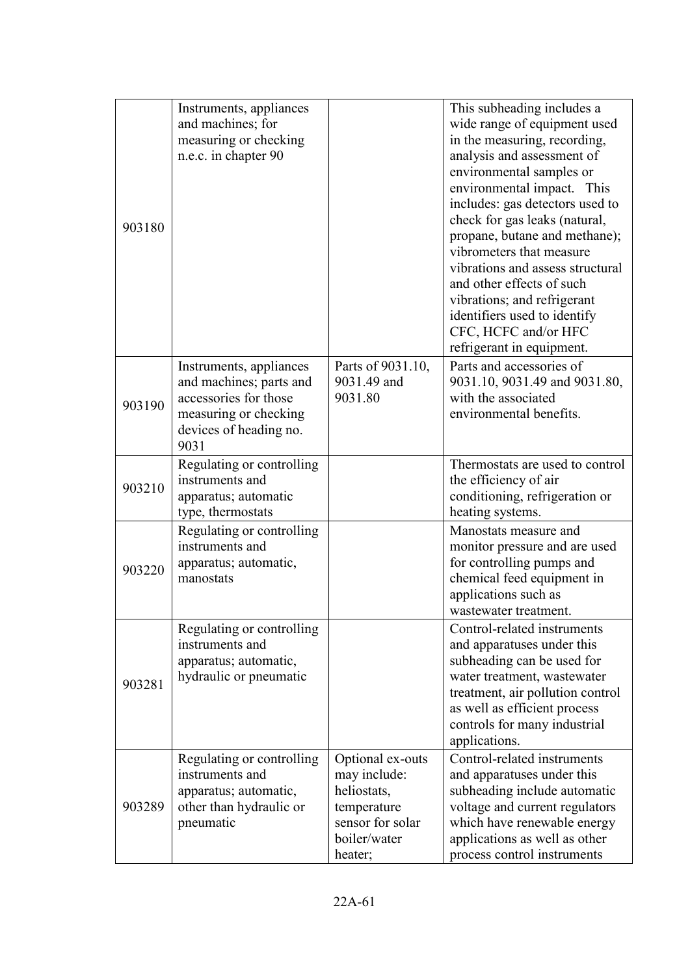| 903180 | Instruments, appliances<br>and machines; for<br>measuring or checking<br>n.e.c. in chapter 90                                          |                                                                                                               | This subheading includes a<br>wide range of equipment used<br>in the measuring, recording,<br>analysis and assessment of<br>environmental samples or<br>environmental impact. This<br>includes: gas detectors used to<br>check for gas leaks (natural,<br>propane, butane and methane);<br>vibrometers that measure<br>vibrations and assess structural<br>and other effects of such<br>vibrations; and refrigerant<br>identifiers used to identify<br>CFC, HCFC and/or HFC<br>refrigerant in equipment. |
|--------|----------------------------------------------------------------------------------------------------------------------------------------|---------------------------------------------------------------------------------------------------------------|----------------------------------------------------------------------------------------------------------------------------------------------------------------------------------------------------------------------------------------------------------------------------------------------------------------------------------------------------------------------------------------------------------------------------------------------------------------------------------------------------------|
| 903190 | Instruments, appliances<br>and machines; parts and<br>accessories for those<br>measuring or checking<br>devices of heading no.<br>9031 | Parts of 9031.10,<br>9031.49 and<br>9031.80                                                                   | Parts and accessories of<br>9031.10, 9031.49 and 9031.80,<br>with the associated<br>environmental benefits.                                                                                                                                                                                                                                                                                                                                                                                              |
| 903210 | Regulating or controlling<br>instruments and<br>apparatus; automatic<br>type, thermostats                                              |                                                                                                               | Thermostats are used to control<br>the efficiency of air<br>conditioning, refrigeration or<br>heating systems.                                                                                                                                                                                                                                                                                                                                                                                           |
| 903220 | Regulating or controlling<br>instruments and<br>apparatus; automatic,<br>manostats                                                     |                                                                                                               | Manostats measure and<br>monitor pressure and are used<br>for controlling pumps and<br>chemical feed equipment in<br>applications such as<br>wastewater treatment.                                                                                                                                                                                                                                                                                                                                       |
| 903281 | Regulating or controlling<br>instruments and<br>apparatus; automatic,<br>hydraulic or pneumatic                                        |                                                                                                               | Control-related instruments<br>and apparatuses under this<br>subheading can be used for<br>water treatment, wastewater<br>treatment, air pollution control<br>as well as efficient process<br>controls for many industrial<br>applications.                                                                                                                                                                                                                                                              |
| 903289 | Regulating or controlling<br>instruments and<br>apparatus; automatic,<br>other than hydraulic or<br>pneumatic                          | Optional ex-outs<br>may include:<br>heliostats,<br>temperature<br>sensor for solar<br>boiler/water<br>heater; | Control-related instruments<br>and apparatuses under this<br>subheading include automatic<br>voltage and current regulators<br>which have renewable energy<br>applications as well as other<br>process control instruments                                                                                                                                                                                                                                                                               |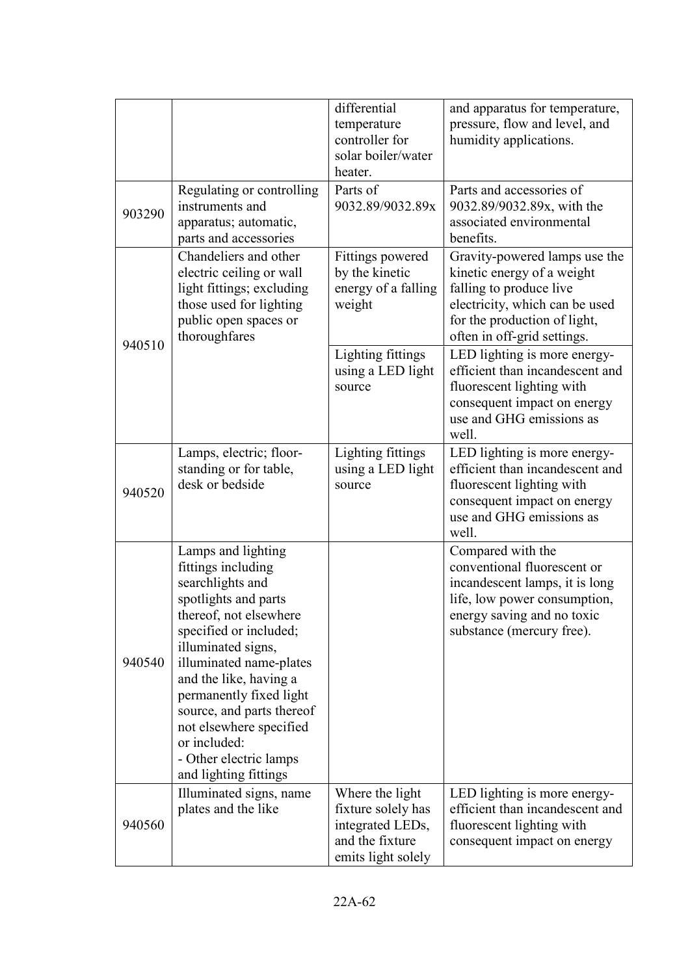|        |                                                                                                                                                                                                                                                                                                                                                                           | differential<br>temperature<br>controller for<br>solar boiler/water<br>heater.                     | and apparatus for temperature,<br>pressure, flow and level, and<br>humidity applications.                                                                                               |
|--------|---------------------------------------------------------------------------------------------------------------------------------------------------------------------------------------------------------------------------------------------------------------------------------------------------------------------------------------------------------------------------|----------------------------------------------------------------------------------------------------|-----------------------------------------------------------------------------------------------------------------------------------------------------------------------------------------|
| 903290 | Regulating or controlling<br>instruments and<br>apparatus; automatic,<br>parts and accessories                                                                                                                                                                                                                                                                            | Parts of<br>9032.89/9032.89x                                                                       | Parts and accessories of<br>9032.89/9032.89x, with the<br>associated environmental<br>benefits.                                                                                         |
| 940510 | Chandeliers and other<br>electric ceiling or wall<br>light fittings; excluding<br>those used for lighting<br>public open spaces or<br>thoroughfares                                                                                                                                                                                                                       | Fittings powered<br>by the kinetic<br>energy of a falling<br>weight                                | Gravity-powered lamps use the<br>kinetic energy of a weight<br>falling to produce live<br>electricity, which can be used<br>for the production of light,<br>often in off-grid settings. |
|        |                                                                                                                                                                                                                                                                                                                                                                           | Lighting fittings<br>using a LED light<br>source                                                   | LED lighting is more energy-<br>efficient than incandescent and<br>fluorescent lighting with<br>consequent impact on energy<br>use and GHG emissions as<br>well.                        |
| 940520 | Lamps, electric; floor-<br>standing or for table,<br>desk or bedside                                                                                                                                                                                                                                                                                                      | Lighting fittings<br>using a LED light<br>source                                                   | LED lighting is more energy-<br>efficient than incandescent and<br>fluorescent lighting with<br>consequent impact on energy<br>use and GHG emissions as<br>well.                        |
| 940540 | Lamps and lighting<br>fittings including<br>searchlights and<br>spotlights and parts<br>thereof, not elsewhere<br>specified or included;<br>illuminated signs,<br>illuminated name-plates<br>and the like, having a<br>permanently fixed light<br>source, and parts thereof<br>not elsewhere specified<br>or included:<br>- Other electric lamps<br>and lighting fittings |                                                                                                    | Compared with the<br>conventional fluorescent or<br>incandescent lamps, it is long<br>life, low power consumption,<br>energy saving and no toxic<br>substance (mercury free).           |
| 940560 | Illuminated signs, name<br>plates and the like                                                                                                                                                                                                                                                                                                                            | Where the light<br>fixture solely has<br>integrated LEDs,<br>and the fixture<br>emits light solely | LED lighting is more energy-<br>efficient than incandescent and<br>fluorescent lighting with<br>consequent impact on energy                                                             |